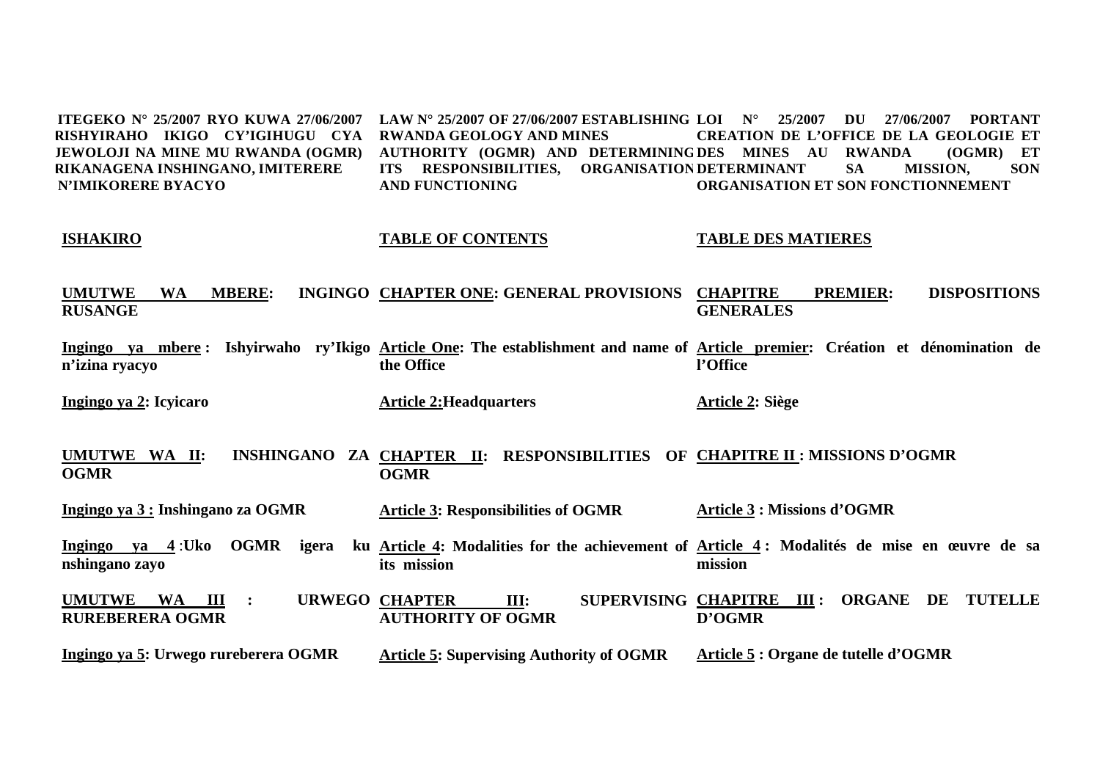**ITEGEKO N° 25/2007 RYO KUWA 27/06/2007 LAW N° 25/2007 OF 27/06/2007 ESTABLISHING LOI N° 25/2007 DU 27/06/2007 PORTANT RISHYIRAHO IKIGO CY'IGIHUGU CYA RWANDA GEOLOGY AND MINES JEWOLOJI NA MINE MU RWANDA (OGMR) RIKANAGENA INSHINGANO, IMITERERE N'IMIKORERE BYACYO AUTHORITY (OGMR) AND DETERMINING DES MINES AU RWANDA (OGMR) ET ITS RESPONSIBILITIES, ORGANISATION DETERMINANT SA MISSION, SON AND FUNCTIONING CREATION DE L'OFFICE DE LA GEOLOGIE ET ORGANISATION ET SON FONCTIONNEMENT** 

#### **ISHAKIRO TABLE OF CONTENTS TABLE DES MATIERES**

**UMUTWE WA MBERE: RUSANGE INGINGO CHAPTER ONE: GENERAL PROVISIONS CHAPITRE** PREMIER: DISPOSITIONS **GENERALES** 

**Ingingo ya mbere : Ishyirwaho ry'Ikigo Article One: The establishment and name of Article premier: Création et dénomination de <sup>n</sup>'izina ryacyo the Office l'Office** 

**Ingingo ya 2: Icyicaro** 

**Article 2:Headquarters** 

**Article 2: Siège** 

**UMUTWE WA II: OGMR CHAPTER II: RESPONSIBILITIES OF CHAPITRE II : MISSIONS D'OGMR OGMR** 

**Ingingo ya 3 : Inshingano za OGMR Article 3: Responsibilities of OGMR Article 3 : Missions d'OGMR** 

**Ingingo ya 4** :**Uko OGMR igera ku nshingano zayo Article 4: Modalities for the achievement of Article 4 : Modalités de mise en œuvre de sa its mission mission** 

**UMUTWE WA III : URWEGO RUREBERERA OGMR CHAPTER III: SUPERVISING CHAPITRE III : ORGANE DE TUTELLE AUTHORITY OF OGMR D'OGMR** 

**Ingingo ya 5: Urwego rureberera OGMR Article 5: Supervising Authority of OGMR Article 5 : Organe de tutelle d'OGMR**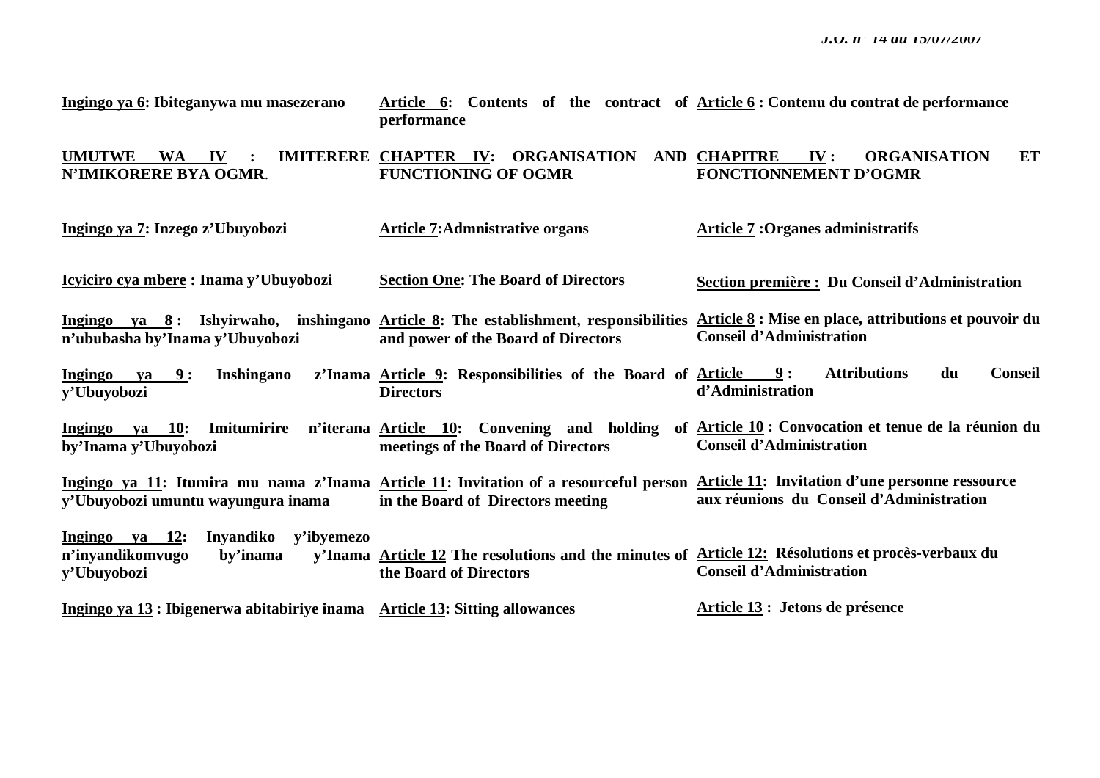| Ingingo ya 6: Ibiteganywa mu masezerano                                                  | performance                                                                                                                  | Article 6: Contents of the contract of Article 6: Contenu du contrat de performance                                                                                               |
|------------------------------------------------------------------------------------------|------------------------------------------------------------------------------------------------------------------------------|-----------------------------------------------------------------------------------------------------------------------------------------------------------------------------------|
| <b>UMUTWE</b><br><b>WA</b><br>IV<br>N'IMIKORERE BYA OGMR.                                | IMITERERE CHAPTER IV: ORGANISATION<br><b>FUNCTIONING OF OGMR</b>                                                             | AND CHAPITRE<br>$\mathbf{IV}$ :<br><b>ORGANISATION</b><br>ET<br><b>FONCTIONNEMENT D'OGMR</b>                                                                                      |
| Ingingo ya 7: Inzego z'Ubuyobozi                                                         | <b>Article 7: Admnistrative organs</b>                                                                                       | <b>Article 7: Organes administratifs</b>                                                                                                                                          |
| Icyiciro cya mbere: Inama y'Ubuyobozi                                                    | <b>Section One: The Board of Directors</b>                                                                                   | Section première : Du Conseil d'Administration                                                                                                                                    |
| n'ububasha by'Inama y'Ubuyobozi                                                          | and power of the Board of Directors                                                                                          | Ingingo ya 8: Ishyirwaho, inshingano Article 8: The establishment, responsibilities Article 8: Mise en place, attributions et pouvoir du<br><b>Conseil d'Administration</b>       |
| <b>Ingingo</b><br>9:<br><b>Inshingano</b><br>ya<br>y'Ubuyobozi                           | z'Inama Article 9: Responsibilities of the Board of Article<br><b>Directors</b>                                              | <b>Attributions</b><br>du<br><b>Conseil</b><br>9:<br>d'Administration                                                                                                             |
| Ingingo va 10:<br>Imitumirire<br>by'Inama y'Ubuyobozi                                    | n'iterana Article 10: Convening and holding<br>meetings of the Board of Directors                                            | of Article 10 : Convocation et tenue de la réunion du<br><b>Conseil d'Administration</b>                                                                                          |
| y'Ubuyobozi umuntu wayungura inama                                                       | in the Board of Directors meeting                                                                                            | Ingingo ya 11: Itumira mu nama z'Inama Article 11: Invitation of a resourceful person Article 11: Invitation d'une personne ressource<br>aux réunions du Conseil d'Administration |
| Ingingo ya 12:<br>Inyandiko<br>y'ibyemezo<br>n'inyandikomvugo<br>by'inama<br>y'Ubuyobozi | y'Inama Article 12 The resolutions and the minutes of Article 12: Résolutions et procès-verbaux du<br>the Board of Directors | <b>Conseil d'Administration</b>                                                                                                                                                   |
| Ingingo va 13 : Ibigenerwa abitabiriye inama Article 13: Sitting allowances              |                                                                                                                              | Article 13 : Jetons de présence                                                                                                                                                   |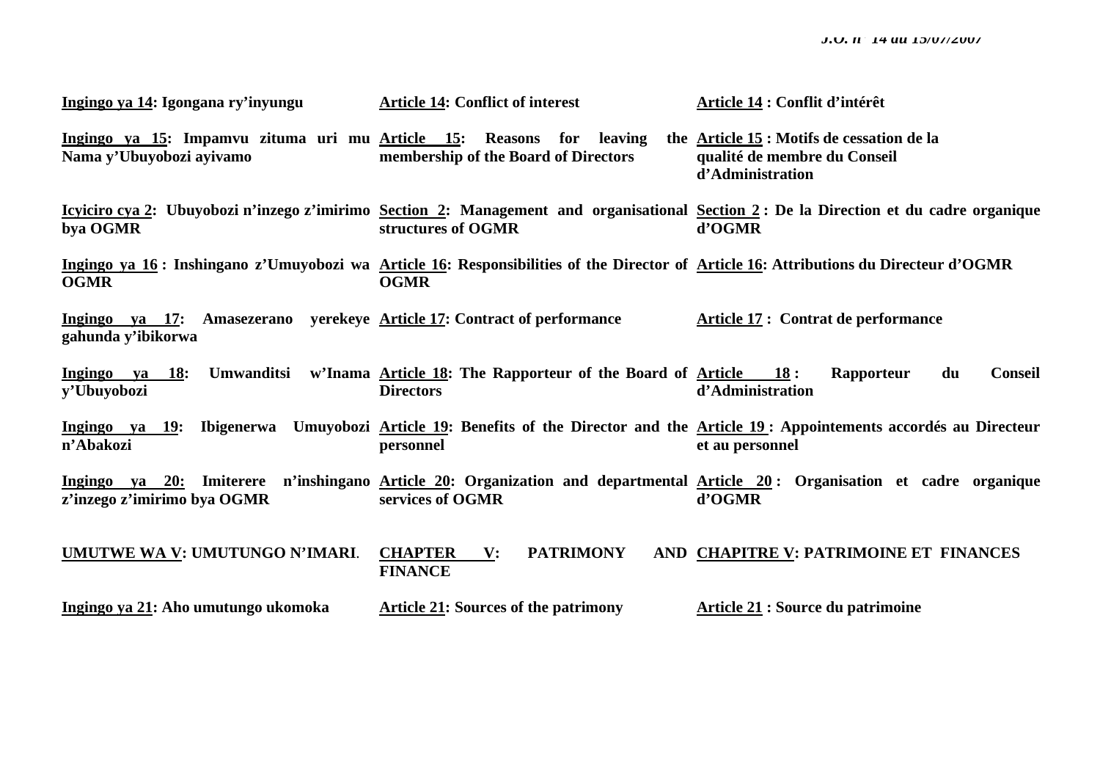| Ingingo ya 14: Igongana ry'inyungu                                                                           | <b>Article 14: Conflict of interest</b>                                                          | Article 14 : Conflit d'intérêt                                                                                                                   |
|--------------------------------------------------------------------------------------------------------------|--------------------------------------------------------------------------------------------------|--------------------------------------------------------------------------------------------------------------------------------------------------|
| Ingingo ya 15: Impamvu zituma uri mu Article 15:<br>Nama y'Ubuyobozi ayivamo                                 | Reasons for leaving<br>membership of the Board of Directors                                      | the Article 15 : Motifs de cessation de la<br>qualité de membre du Conseil<br>d'Administration                                                   |
| bya OGMR                                                                                                     | structures of OGMR                                                                               | Icviciro cva 2: Ubuyobozi n'inzego z'imirimo Section 2: Management and organisational Section 2: De la Direction et du cadre organique<br>d'OGMR |
| <b>OGMR</b>                                                                                                  | <b>OGMR</b>                                                                                      | Ingingo ya 16: Inshingano z'Umuyobozi wa Article 16: Responsibilities of the Director of Article 16: Attributions du Directeur d'OGMR            |
| <u>Ingingo va 17:</u> Amasezerano yerekeye <u>Article 17</u> : Contract of performance<br>gahunda y'ibikorwa |                                                                                                  | Article 17 : Contrat de performance                                                                                                              |
| Ingingo ya 18:<br>y'Ubuyobozi                                                                                | Umwanditsi w'Inama Article 18: The Rapporteur of the Board of Article $18$ :<br><b>Directors</b> | <b>Conseil</b><br>Rapporteur<br>du<br>d'Administration                                                                                           |
| Ingingo ya 19: Ibigenerwa<br>n'Abakozi                                                                       | personnel                                                                                        | Umuyobozi Article 19: Benefits of the Director and the Article 19: Appointements accordés au Directeur<br>et au personnel                        |
| z'inzego z'imirimo bya OGMR                                                                                  | services of OGMR                                                                                 | Ingingo ya 20: Imiterere n'inshingano Article 20: Organization and departmental Article 20: Organisation et cadre organique<br>d'OGMR            |
| UMUTWE WA V: UMUTUNGO N'IMARI.                                                                               | <b>CHAPTER</b> V:<br><b>PATRIMONY</b><br><b>FINANCE</b>                                          | AND CHAPITRE V: PATRIMOINE ET FINANCES                                                                                                           |
| Ingingo ya 21: Aho umutungo ukomoka                                                                          | <b>Article 21: Sources of the patrimony</b>                                                      | Article 21 : Source du patrimoine                                                                                                                |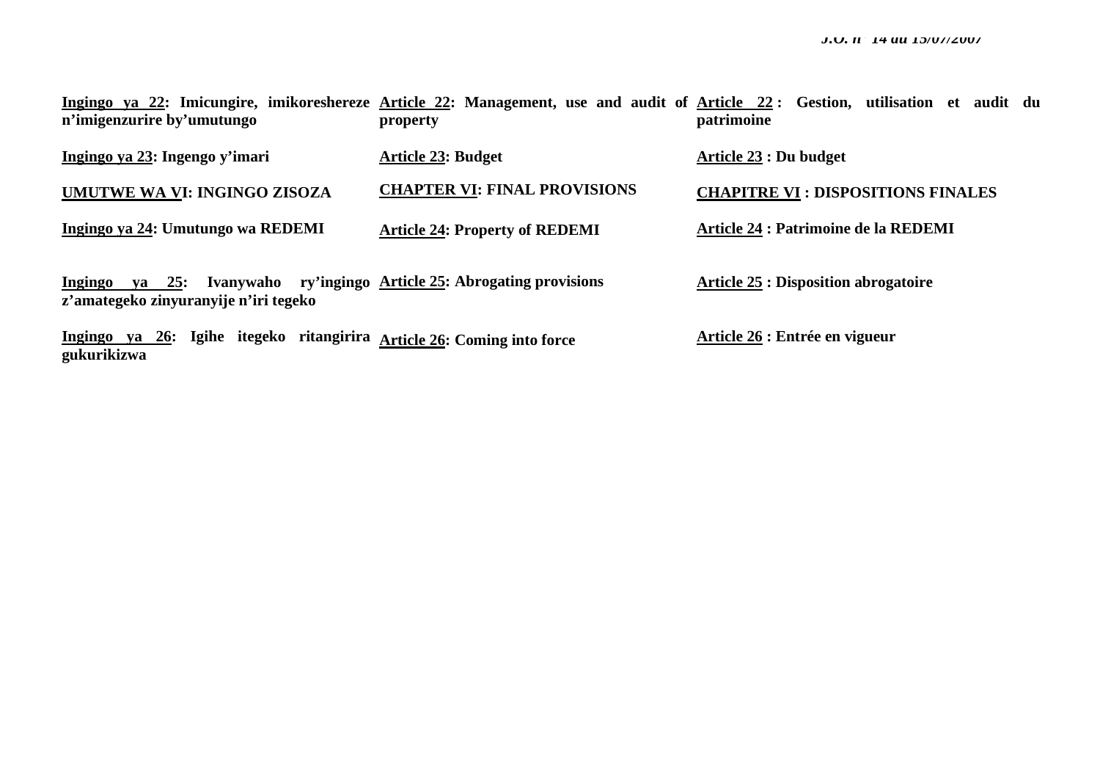| n'imigenzurire by'umutungo                                                            | property                                               | Ingingo ya 22: Imicungire, imikoreshereze Article 22: Management, use and audit of Article 22: Gestion, utilisation et audit du<br>patrimoine |
|---------------------------------------------------------------------------------------|--------------------------------------------------------|-----------------------------------------------------------------------------------------------------------------------------------------------|
| Ingingo va 23: Ingengo y'imari                                                        | <b>Article 23: Budget</b>                              | <b>Article 23 : Du budget</b>                                                                                                                 |
| UMUTWE WA VI: INGINGO ZISOZA                                                          | <b>CHAPTER VI: FINAL PROVISIONS</b>                    | <b>CHAPITRE VI : DISPOSITIONS FINALES</b>                                                                                                     |
| Ingingo ya 24: Umutungo wa REDEMI                                                     | <b>Article 24: Property of REDEMI</b>                  | Article 24 : Patrimoine de la REDEMI                                                                                                          |
| $ya$ 25:<br>Ingingo<br>z'amategeko zinyuranyije n'iri tegeko                          | Ivanywaho ry'ingingo Article 25: Abrogating provisions | <b>Article 25 : Disposition abrogatoire</b>                                                                                                   |
| Ingingo va 26: Igihe itegeko ritangirira Article 26: Coming into force<br>gukurikizwa |                                                        | Article 26 : Entrée en vigueur                                                                                                                |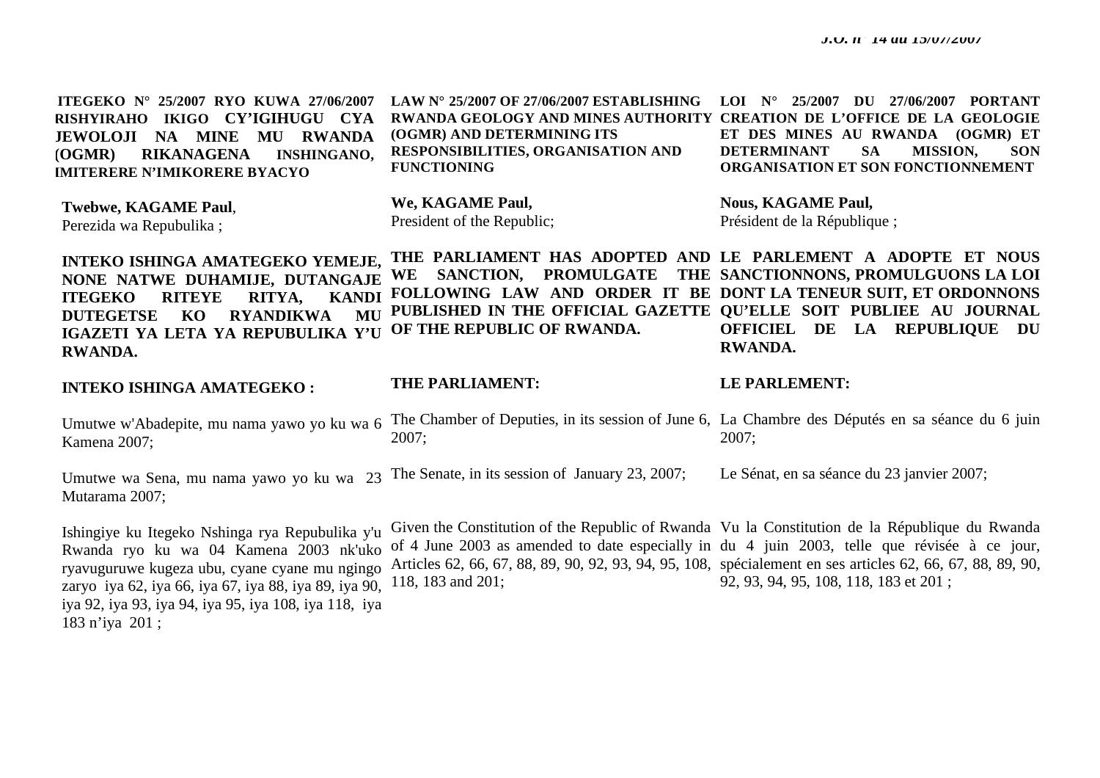**ITEGEKO N° 25/2007 RYO KUWA 27/06/2007 RISHYIRAHO IKIGO CY'IGIHUGU CYA JEWOLOJI NA MINE MU RWANDA (OGMR) RIKANAGENA INSHINGANO, IMITERERE N'IMIKORERE BYACYO** 

**(OGMR) AND DETERMINING ITS RESPONSIBILITIES, ORGANISATION AND FUNCTIONING** 

**LAW N° 25/2007 OF 27/06/2007 ESTABLISHING LOI N° 25/2007 DU 27/06/2007 PORTANT RWANDA GEOLOGY AND MINES AUTHORITY CREATION DE L'OFFICE DE LA GEOLOGIE ET DES MINES AU RWANDA (OGMR) ET DETERMINANT SA MISSION, SON ORGANISATION ET SON FONCTIONNEMENT** 

**Twebwe, KAGAME Paul**, Perezida wa Repubulika ;

**We, KAGAME Paul,**  President of the Republic; **Nous, KAGAME Paul,**  Président de la République ;

**INTEKO ISHINGA AMATEGEKO YEMEJE, NONE NATWE DUHAMIJE, DUTANGAJE ITEGEKO RITEYE RITYA, KANDI DUTEGETSE KO RYANDIKWA MU IGAZETI YA LETA YA REPUBULIKA Y'U RWANDA. THE PARLIAMENT HAS ADOPTED AND LE PARLEMENT A ADOPTE ET NOUS WE SANCTION, PROMULGATE THE SANCTIONNONS, PROMULGUONS LA LOI FOLLOWING LAW AND ORDER IT BE DONT LA TENEUR SUIT, ET ORDONNONS PUBLISHED IN THE OFFICIAL GAZETTE QU'ELLE SOIT PUBLIEE AU JOURNAL OF THE REPUBLIC OF RWANDA. OFFICIEL DE LA REPUBLIQUE DU RWANDA.** 

**INTEKO ISHINGA AMATEGEKO :** 

**THE PARLIAMENT:** 

**LE PARLEMENT:** 

Umutwe w'Abadepite, mu nama yawo yo ku wa 6 Kamena 2007; The Chamber of Deputies, in its session of June 6, La Chambre des Députés en sa séance du 6 juin 2007; 2007;

Umutwe wa Sena, mu nama yawo yo ku wa 23 The Senate, in its session of January 23, 2007; Mutarama 2007; Le Sénat, en sa séance du 23 janvier 2007;

Ishingiye ku Itegeko Nshinga rya Repubulika y'u Rwanda ryo ku wa 04 Kamena 2003 nk'uko ryavuguruwe kugeza ubu, cyane cyane mu ngingo zaryo iya 62, iya 66, iya 67, iya 88, iya 89, iya 90, iya 92, iya 93, iya 94, iya 95, iya 108, iya 118, iya 183 n'iya 201 ;

of 4 June 2003 as amended to date especially in du 4 juin 2003, telle que révisée à ce jour, Articles 62, 66, 67, 88, 89, 90, 92, 93, 94, 95, 108, spécialement en ses articles 62, 66, 67, 88, 89, 90, 118, 183 and 201;

Given the Constitution of the Republic of Rwanda Vu la Constitution de la République du Rwanda 92, 93, 94, 95, 108, 118, 183 et 201 ;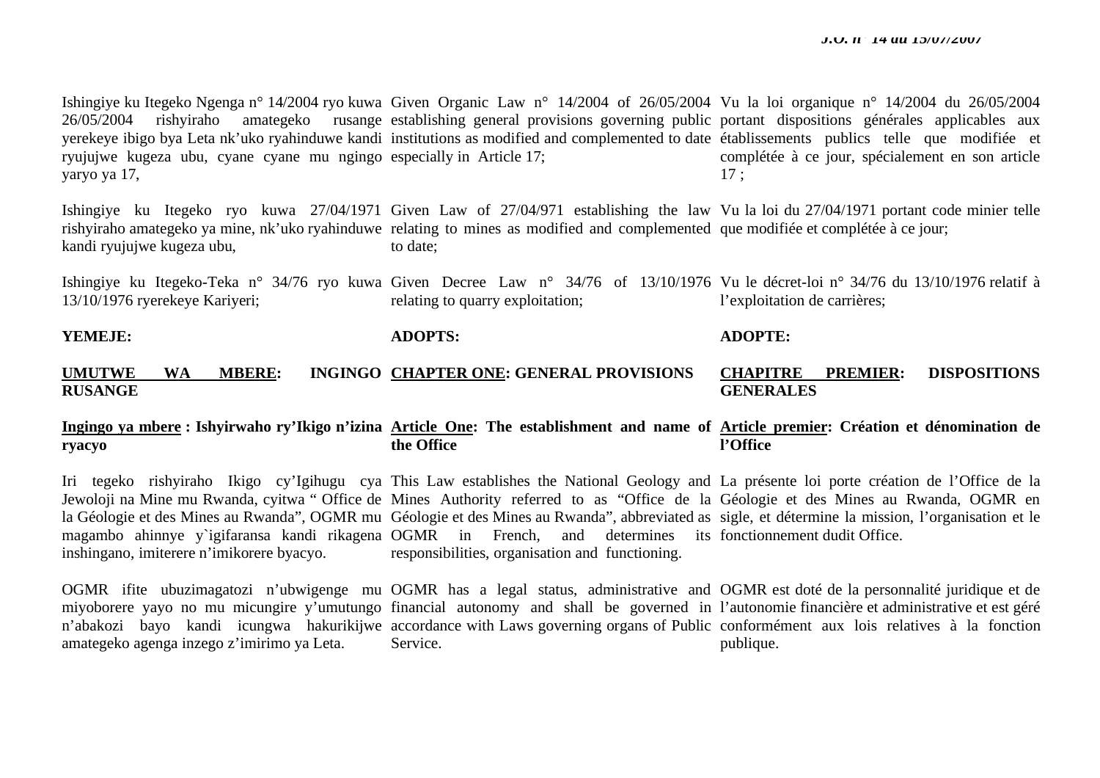Ishingiye ku Itegeko Ngenga n° 14/2004 ryo kuwa Given Organic Law n° 14/2004 of 26/05/2004 Vu la loi organique n° 14/2004 du 26/05/2004 26/05/2004 rishyiraho amategeko rusange establishing general provisions governing public portant dispositions générales applicables aux yerekeye ibigo bya Leta nk'uko ryahinduwe kandi institutions as modified and complemented to date établissements publics telle que modifiée et ryujujwe kugeza ubu, cyane cyane mu ngingo especially in Article 17; yaryo ya 17, complétée à ce jour, spécialement en son article 17 ;

Ishingiye ku Itegeko ryo kuwa 27/04/1971 Given Law of 27/04/971 establishing the law Vu la loi du 27/04/1971 portant code minier telle rishyiraho amategeko ya mine, nk'uko ryahinduwe relating to mines as modified and complemented que modifiée et complétée à ce jour; kandi ryujujwe kugeza ubu, to date;

Ishingiye ku Itegeko-Teka n° 34/76 ryo kuwa Given Decree Law n° 34/76 of 13/10/1976 Vu le décret-loi n° 34/76 du 13/10/1976 relatif à 13/10/1976 ryerekeye Kariyeri; relating to quarry exploitation; l'exploitation de carrières;

#### **YEMEJE:**

**ADOPTS:** 

**ADOPTE:** 

#### **UMUTWE WA MBERE: INGINGO CHAPTER ONE: GENERAL PROVISIONS RUSANGE CHAPITRE PREMIER: DISPOSITIONS GENERALES**

#### **Ingingo ya mbere : Ishyirwaho ry'Ikigo n'izina Article One: The establishment and name of Article premier: Création et dénomination de ryacyo the Office l'Office**

Iri tegeko rishyiraho Ikigo cy'Igihugu cya This Law establishes the National Geology and La présente loi porte création de l'Office de la Jewoloji na Mine mu Rwanda, cyitwa "Office de Mines Authority referred to as "Office de la Géologie et des Mines au Rwanda, OGMR en la Géologie et des Mines au Rwanda", OGMR mu Géologie et des Mines au Rwanda", abbreviated as sigle, et détermine la mission, l'organisation et le magambo ahinnye y`igifaransa kandi rikagena OGMR in French, and determines its fonctionnement dudit Office. inshingano, imiterere n'imikorere byacyo. responsibilities, organisation and functioning.

OGMR ifite ubuzimagatozi n'ubwigenge mu OGMR has a legal status, administrative and OGMR est doté de la personnalité juridique et de miyoborere yayo no mu micungire y'umutungo financial autonomy and shall be governed in l'autonomiefinancière et administrative et est géré <sup>n</sup>'abakozi bayo kandi icungwa hakurikijwe accordance with Laws governing organs of Public conformément aux lois relatives à la fonction amategeko agenga inzego z'imirimo ya Leta. Service. publique.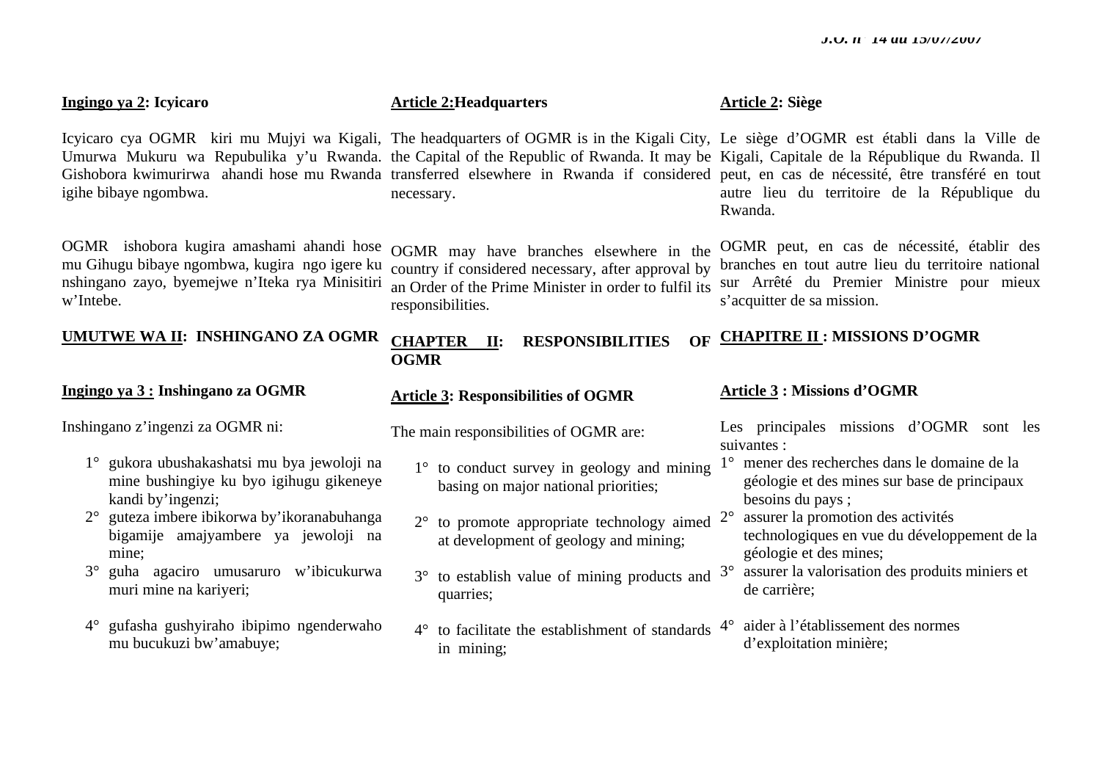# **Ingingo ya 2: Icyicaro**

Icyicaro cya OGMR kiri mu Mujyi wa Kigali, The headquarters of OGMR is in the Kigali City, Le siège d'OGMR est établi dans la Ville de igihe bibaye ngombwa.

OGMR ishobora kugira amashami ahandi hose mu Gihugu bibaye ngombwa, kugira ngo igere ku nshingano zayo, byemejwe n'Iteka rya Minisitiri <sup>w</sup>'Intebe.

# **UMUTWE WA II: INSHINGANO ZA OGMR**

# **Ingingo ya 3 : Inshingano za OGMR**

Inshingano z'ingenzi za OGMR ni:

- 1° gukora ubushakashatsi mu bya jewoloji na mine bushingiye ku byo igihugu gikeneye kandi by'ingenzi;
- 2° guteza imbere ibikorwa by'ikoranabuhanga bigamije amajyambere ya jewoloji na mine;
- 3° guha agaciro umusaruro w'ibicukurwa muri mine na kariyeri;
- 4° gufasha gushyiraho ibipimo ngenderwaho mu bucukuzi bw'amabuye;

# **Article 2:Headquarters**

Umurwa Mukuru wa Repubulika y'u Rwanda. the Capital of the Republic of Rwanda. It may be Kigali, Capitale de la République du Rwanda. Il Gishobora kwimurirwa ahandi hose mu Rwanda transferred elsewhere in Rwanda if considered peut, en cas de nécessité, être transféré en tout necessary.

> OGMR may have branches elsewhere in the country if considered necessary, after approval by an Order of the Prime Minister in order to fulfil its responsibilities.

# **CHAPTER II: RESPONSIBILITIES OGMR**

# **Article 3: Responsibilities of OGMR**

The main responsibilities of OGMR are:

- basing on major national priorities;
- $2^{\circ}$  to promote appropriate technology aimed  $2^{\circ}$  assurer la promotion des activités at development of geology and mining;
- quarries;
- $4^{\circ}$  to facilitate the establishment of standards  $4^{\circ}$ in mining;

### **Article 2: Siège**

autre lieu du territoire de la République du Rwanda.

OGMR peut, en cas de nécessité, établir des branches en tout autre lieu du territoire national sur Arrêté du Premier Ministre pour mieux <sup>s</sup>'acquitter de sa mission.

# **CHAPITRE II : MISSIONS D'OGMR**

# **Article 3 : Missions d'OGMR**

Les principales missions d'OGMR sont les suivantes :

- 1° to conduct survey in geology and mining 1° mener des recherches dans le domaine de la géologie et des mines sur base de principaux besoins du pays ;
	- technologiques en vue du développement de la géologie et des mines;
- $3^{\circ}$  to establish value of mining products and  $3^{\circ}$  assurer la valorisation des produits miniers et de carrière;
	- aider à l'établissement des normes d'exploitation minière;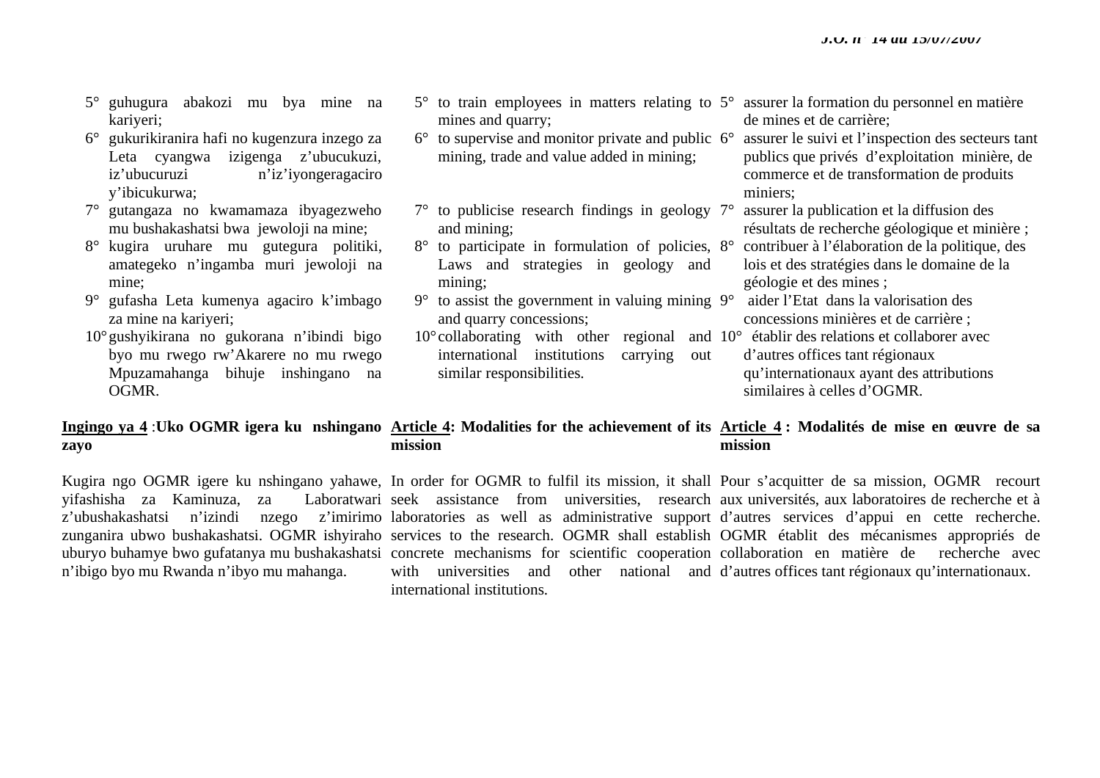- 5° guhugura abakozi mu bya mine na kariyeri;
- 6° gukurikiranira hafi no kugenzura inzego za Leta cyangwa izigenga z'ubucukuzi, iz'ubucuruzi n'iz'iyongeragaciro y'ibicukurwa;
- 7° gutangaza no kwamamaza ibyagezweho mu bushakashatsi bwa jewoloji na mine;
- 8° kugira uruhare mu gutegura politiki, amategeko n'ingamba muri jewoloji na mine;
- 9° gufasha Leta kumenya agaciro k'imbago za mine na kariyeri;
- 10°gushyikirana no gukorana n'ibindi bigo byo mu rwego rw'Akarere no mu rwego Mpuzamahanga bihuje inshingano na OGMR.
- $5^\circ$  to train employees in matters relating to  $5^\circ$ mines and quarry;
- $6^{\circ}$  to supervise and monitor private and public  $6^{\circ}$ mining, trade and value added in mining;
- $7^\circ$  to publicise research findings in geology  $7^\circ$ and mining;
- 8° to participate in formulation of policies, 8° Laws and strategies in geology and mining;
- $9^{\circ}$  to assist the government in valuing mining  $9^{\circ}$ and quarry concessions;
- $10^{\circ}$  collaborating with other regional international institutions carrying out similar responsibilities.

5° assurer la formation du personnel en matière de mines et de carrière;

6° assurer le suivi et l'inspection des secteurs tant publics que privés d'exploitation minière, de commerce et de transformation de produits miniers;

- 7° assurer la publication et la diffusion des résultats de recherche géologique et minière ;
- 8° contribuer à l'élaboration de la politique, des lois et des stratégies dans le domaine de la géologie et des mines ;
- aider l'Etat dans la valorisation des concessions minières et de carrière ;
- 10° établir des relations et collaborer avec d'autres offices tant régionaux qu'internationaux ayant des attributions similaires à celles d'OGMR.

#### Ingingo ya 4 :Uko OGMR igera ku nshingano Article 4: Modalities for the achievement of its Article 4 : Modalités de mise en œuvre de sa **zayo mission mission**

yifashisha za Kaminuza, za Laboratwari <sup>n</sup>'ibigo byo mu Rwanda n'ibyo mu mahanga.

Kugira ngo OGMR igere ku nshingano yahawe, In order for OGMR to fulfil its mission, it shall Pour s'acquitter de sa mission, OGMR recourt <sup>z</sup>'ubushakashatsi n'izindi nzego z'imirimo laboratories as well as administrative support d'autres services d'appui en cette recherche. zunganira ubwo bushakashatsi. OGMR ishyiraho services to the research. OGMR shall establish OGMR établit des mécanismes appropriés de uburyo buhamye bwo gufatanya mu bushakashatsi concrete mechanisms for scientific cooperation collaboration en matière de recherche avec seek assistance from universities, research aux universités, aux laboratoires de recherche et à with universities and other national and d'autres offices tant régionaux qu'internationaux. international institutions.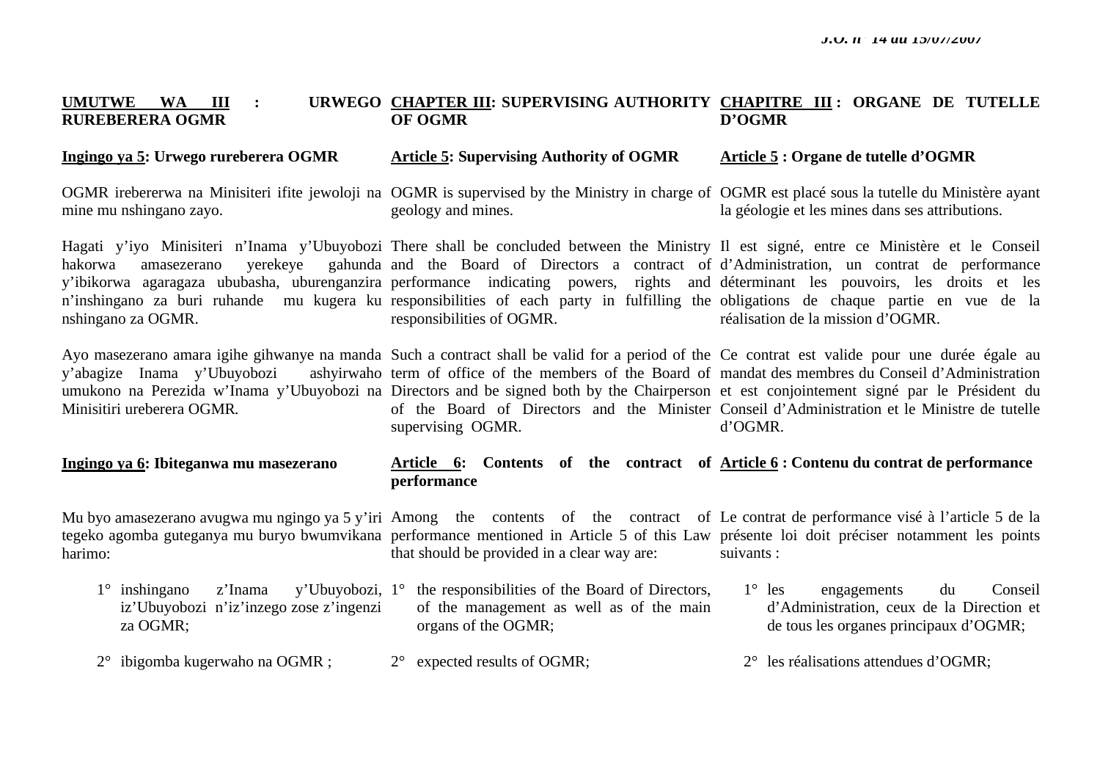#### **UMUTWE WA III : RUREBERERA OGMR CHAPTER III: SUPERVISING AUTHORITY CHAPITRE III : ORGANE DE TUTELLE OF OGMR D'OGMR**

#### **Ingingo ya 5: Urwego rureberera OGMR Article 5: Supervising Authority of OGMR Article 5 : Organe de tutelle d'OGMR**

OGMR irebererwa na Minisiteri ifite jewoloji na OGMR is supervised by the Ministry in charge of OGMR est placé sous la tutelle du Ministère ayant mine mu nshingano zayo. geology and mines. la géologie et les mines dans ses attributions.

Hagati y'iyo Minisiteri n'Inama y'Ubuyobozi There shall be concluded between the Ministry Il est signé, entre ce Ministère et le Conseil hakorwa amasezerano verekeye y'ibikorwa agaragaza ububasha, uburenganzira performance indicating powers, rights and déterminant les pouvoirs, les droits et les n'inshingano za buri ruhande mu kugera ku responsibilities of each party in fulfilling the obligations de chaque partie en vue de la nshingano za OGMR. and the Board of Directors a contract of d'Administration, un contrat de performance responsibilities of OGMR. réalisation de la mission d'OGMR.

Ayo masezerano amara igihe gihwanye na manda Such a contract shall be valid for a period of the Ce contrat est valide pour une durée égale au y'abagize Inama y'Ubuyobozi umukono na Perezida w'Inama y'Ubuyobozi na Directors and be signed both by the Chairperson et est conjointement signé par le Président du Minisitiri ureberera OGMR*.*  term of office of the members of the Board of mandat des membres du Conseil d'Administration of the Board of Directors and the Minister Conseil d'Administration et le Ministre de tutelle supervising OGMR. d'OGMR.

#### **Ingingo ya 6: Ibiteganwa mu masezerano**  Article 6: Contents of the contract of <u>Article 6</u>: Contenu du contrat de performance **performance**

Mu byo amasezerano avugwa mu ngingo ya 5 y'iri Among the contents of the contract of Le contrat de performance visé à l'article 5 de la tegeko agomba guteganya mu buryo bwumvikana performance mentioned in Article 5 of this Law présente loi doit préciser notamment les points harimo: that should be provided in a clear way are: suivants :

- 1° inshingano z'Inama y'Ubuyobozi, 1° the responsibilities of the Board of Directors, iz'Ubuyobozi n'iz'inzego zose z'ingenzi za OGMR; of the management as well as of the main organs of the OGMR; 1° les engagements du Conseil d'Administration, ceux de la Direction et de tous les organes principaux d'OGMR;
- 2° ibigomba kugerwaho na OGMR ; 2° expected results of OGMR;
- 2° les réalisations attendues d'OGMR;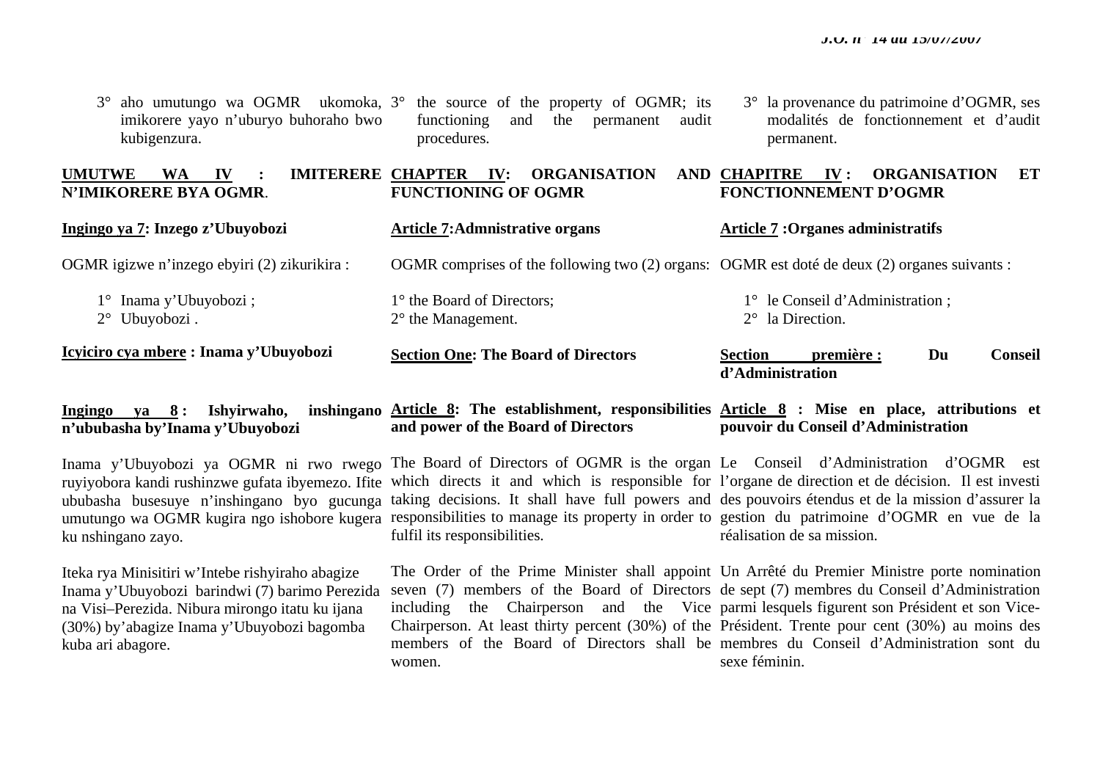| $2^{\circ}$ Ubuyobozi.<br>Icyiciro cya mbere: Inama y'Ubuyobozi                                            | $2^{\circ}$ the Management.<br><b>Section One: The Board of Directors</b>                    | $2^{\circ}$ la Direction.<br>Du<br><b>Conseil</b><br>première :<br><b>Section</b>     |
|------------------------------------------------------------------------------------------------------------|----------------------------------------------------------------------------------------------|---------------------------------------------------------------------------------------|
| $1^{\circ}$ Inama y'Ubuyobozi;                                                                             | 1° the Board of Directors;                                                                   | 1° le Conseil d'Administration;                                                       |
| OGMR igizwe n'inzego ebyiri (2) zikurikira :                                                               | OGMR comprises of the following two (2) organs: OGMR est doté de deux (2) organes suivants : |                                                                                       |
| Ingingo ya 7: Inzego z'Ubuyobozi                                                                           | <b>Article 7:Admnistrative organs</b>                                                        | <b>Article 7: Organes administratifs</b>                                              |
| <b>IMITERERE CHAPTER</b><br><b>UMUTWE</b><br><b>WA</b><br>$\mathbf{I} \mathbf{V}$<br>N'IMIKORERE BYA OGMR. | <b>ORGANISATION</b><br>$\mathbf{IV:}$<br><b>FUNCTIONING OF OGMR</b>                          | <b>ORGANISATION</b><br>AND CHAPITRE<br>$\mathbf{IV}$ :<br>ET<br>FONCTIONNEMENT D'OGMR |
| imikorere yayo n'uburyo buhoraho bwo<br>kubigenzura.                                                       | the<br>audit<br>functioning<br>and<br>permanent<br>procedures.                               | modalités de fonctionnement et d'audit<br>permanent.                                  |

#### **Ingingo ya 8: Ishyirwaho, <sup>n</sup>'ububasha by'Inama y'Ubuyobozi Article 8: The establishment, responsibilities Article 8 : Mise en place, attributions et and power of the Board of Directors pouvoir du Conseil d'Administration**

ruyiyobora kandi rushinzwe gufata ibyemezo. Ifite ububasha busesuye n'inshingano byo gucunga ku nshingano zayo.

Iteka rya Minisitiri w'Intebe rishyiraho abagize Inama y'Ubuyobozi barindwi (7) barimo Perezida na Visi–Perezida. Nibura mirongo itatu ku ijana (30%) by'abagize Inama y'Ubuyobozi bagomba kuba ari abagore.

Inama y'Ubuyobozi ya OGMR ni rwo rwego The Board of Directors of OGMR is the organ Le Conseil d'Administration d'OGMR est umutungo wa OGMR kugira ngo ishobore kugera responsibilities to manage its property in order to gestion du patrimoine d'OGMR en vue de la which directs it and which is responsible for l'organe de direction et de décision. Il est investi taking decisions. It shall have full powers and des pouvoirs étendus et de la mission d'assurer la fulfil its responsibilities.

women.

réalisation de sa mission.

The Order of the Prime Minister shall appoint Un Arrêté du Premier Ministre porte nomination seven (7) members of the Board of Directors de sept (7) membres du Conseil d'Administration including the Chairperson and the Vice parmi lesquels figurent son Président et son Vice-Chairperson. At least thirty percent (30%) of the Président. Trente pour cent (30%) au moins des members of the Board of Directors shall be membres du Conseil d'Administration sont du sexe féminin.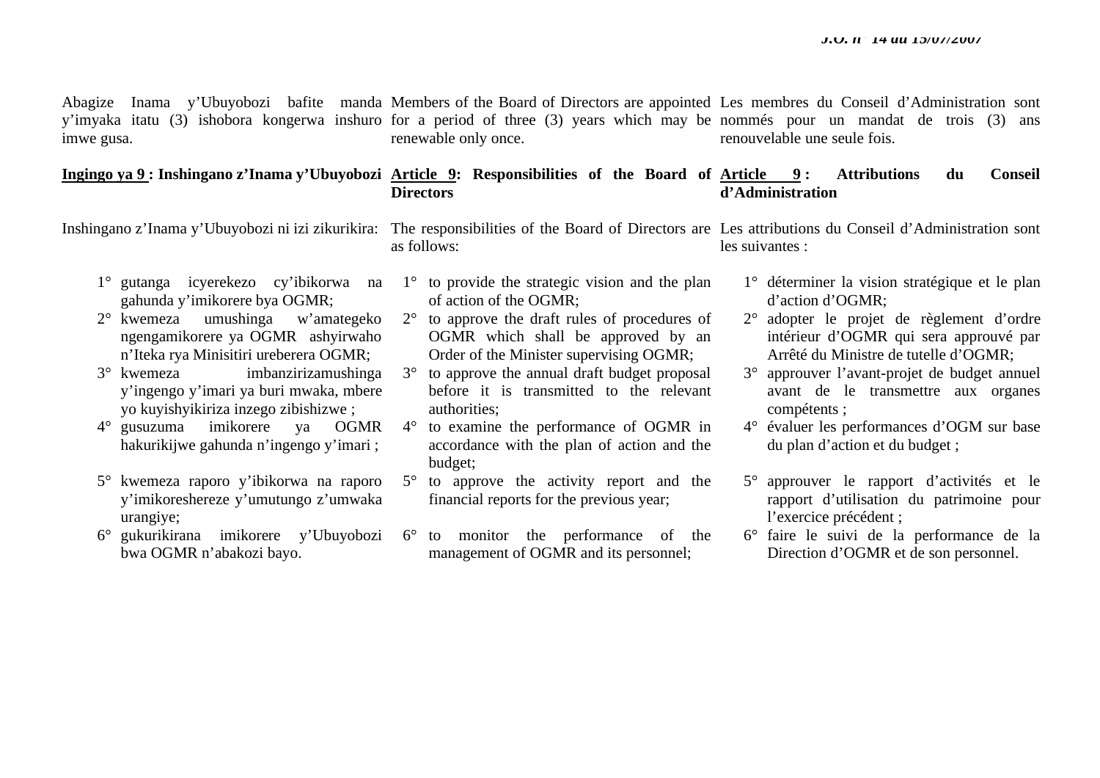Abagize Inama y'Ubuyobozi bafite manda Members of the Board of Directors are appointed Les membres du Conseil d'Administration sont y'imyaka itatu (3) ishobora kongerwa inshuro for a period of three (3) years which may be nommés pour un mandat de trois (3) ans imwe gusa. renewable only once. renouvelable une seule fois.

#### **Ingingo ya 9 : Inshingano z'Inama y'Ubuyobozi Article 9: Responsibilities of the Board of Article 9 : Attributions du Conseil Directors d'Administration**

Inshingano z'Inama y'Ubuyobozi ni izi zikurikira: The responsibilities of the Board of Directors are Les attributions du Conseil d'Administration sont as follows: les suivantes :

- 1° gutanga icyerekezo cy'ibikorwa na gahunda y'imikorere bya OGMR;
- 2° kwemeza umushinga w'amategeko ngengamikorere ya OGMR ashyirwaho <sup>n</sup>'Iteka rya Minisitiri ureberera OGMR;
- 3° kwemeza imbanzirizamushinga y'ingengo y'imari ya buri mwaka, mbere yo kuyishyikiriza inzego zibishizwe ;
- 4° gusuzuma imikorere ya OGMR hakurikijwe gahunda n'ingengo y'imari ;
- 5° kwemeza raporo y'ibikorwa na raporo y'imikoreshereze y'umutungo z'umwaka urangiye;
- 6° gukurikirana imikorere y'Ubuyobozi bwa OGMR n'abakozi bayo.
- 1° to provide the strategic vision and the plan of action of the OGMR;
- 2° to approve the draft rules of procedures of OGMR which shall be approved by an Order of the Minister supervising OGMR;
- 3° to approve the annual draft budget proposal before it is transmitted to the relevant authorities;
- 4° to examine the performance of OGMR in accordance with the plan of action and the budget;
- 5° to approve the activity report and the financial reports for the previous year;
- 6° to monitor the performance of the management of OGMR and its personnel;
- 1° déterminer la vision stratégique et le plan d'action d'OGMR;
- 2° adopter le projet de règlement d'ordre intérieur d'OGMR qui sera approuvé par Arrêté du Ministre de tutelle d'OGMR;
- 3° approuver l'avant-projet de budget annuel avant de le transmettre aux organes compétents ;
- 4° évaluer les performances d'OGM sur base du plan d'action et du budget ;
- 5° approuver le rapport d'activités et le rapport d'utilisation du patrimoine pour l'exercice précédent ;
- 6° faire le suivi de la performance de la Direction d'OGMR et de son personnel.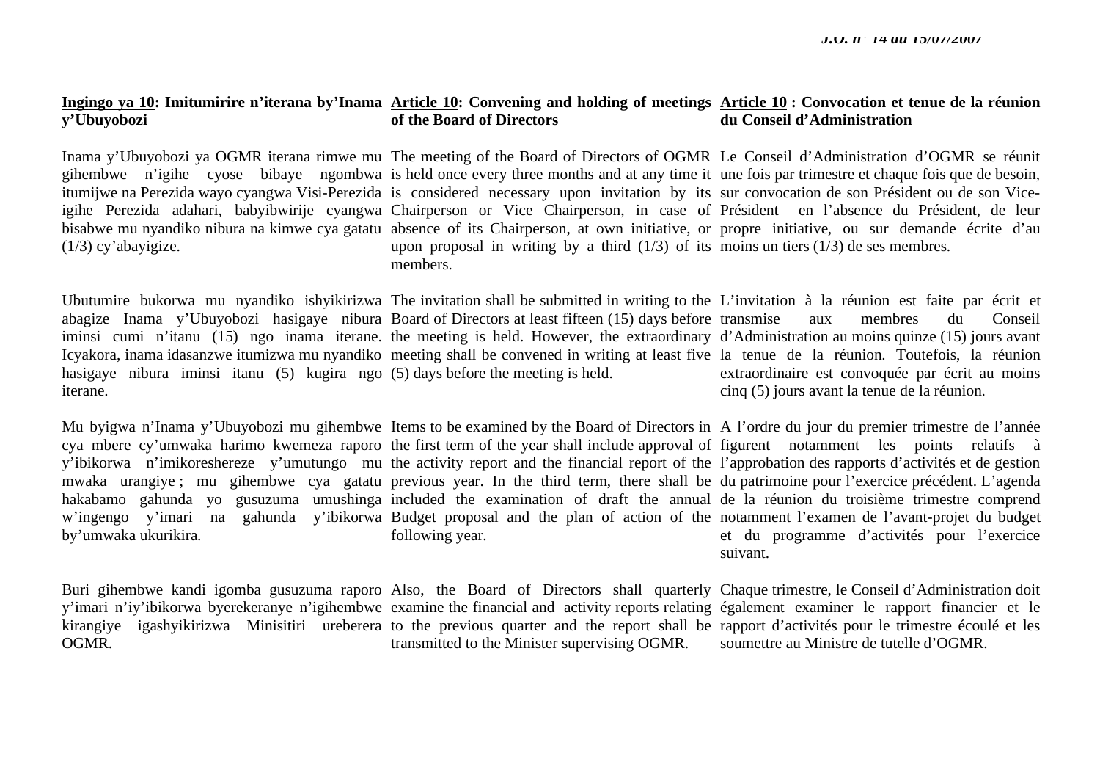#### **Ingingo ya 10: Imitumirire n'iterana by'Inama Article 10: Convening and holding of meetings Article 10 : Convocation et tenue de la réunion y'Ubuyobozi of the Board of Directors du Conseil d'Administration**

Inama y'Ubuyobozi ya OGMR iterana rimwe mu The meeting of the Board of Directors of OGMR Le Conseil d'Administration d'OGMR se réunit gihembwe n'igihe cyose bibaye ngombwa is held once every three months and at any time it une fois par trimestre et chaque fois que de besoin, itumijwe na Perezida wayo cyangwa Visi-Perezida is considered necessary upon invitation by its sur convocation de son Président ou de son Viceigihe Perezida adahari, babyibwirije cyangwa Chairperson or Vice Chairperson, in case of Président en l'absence du Président, de leur bisabwe mu nyandiko nibura na kimwe cya gatatu absence of its Chairperson, at own initiative, or propre initiative, ou sur demande écrite d'au (1/3) cy'abayigize. upon proposal in writing by a third (1/3) of its moins un tiers (1/3) de ses membres. members.

Ubutumire bukorwa mu nyandiko ishyikirizwa The invitation shall be submitted in writing to the L'invitation à la réunion est faite par écrit et abagize Inama y'Ubuyobozi hasigaye nibura Board of Directors at least fifteen (15) days before transmise aux membres du Conseil iminsi cumi n'itanu (15) ngo inama iterane. the meeting is held. However, the extraordinary d'Administration au moins quinze (15) jours avant Icyakora, inama idasanzwe itumizwa mu nyandiko meeting shall be convened in writing at least five la tenue de la réunion. Toutefois, la réunion hasigaye nibura iminsi itanu (5) kugira ngo (5) days before the meeting is held. iterane. extraordinaire est convoquée par écrit au moins cinq (5) jours avant la tenue de la réunion.

Mu byigwa n'Inama y'Ubuyobozi mu gihembwe Items to be examined by the Board of Directors in Al'ordre du jour du premier trimestre de l'année cya mbere cy'umwaka harimo kwemeza raporo the first term of the year shall include approval of figurent motamment les points relatifs à y'ibikorwa n'imikoreshereze y'umutungo mu the activity report and the financial report of the l'approbation des rapports d'activités et de gestion mwaka urangiye; mu gihembwe cya gatatu previous year. In the third term, there shall be du patrimoine pour l'exercice précédent. L'agenda hakabamo gahunda yo gusuzuma umushinga included the examination of draft the annual de la réunion du troisième trimestre comprend <sup>w</sup>'ingengo y'imari na gahunda y'ibikorwa Budget proposal and the plan of action of the notamment l'examen de l'avant-projet du budget by'umwaka ukurikira. following year.

et du programme d'activités pour l'exercice suivant.

Buri gihembwe kandi igomba gusuzuma raporo Also, the Board of Directors shall quarterly Chaque trimestre, le Conseil d'Administration doit y'imari n'iy'ibikorwa byerekeranye n'igihembwe examine the financial and activity reports relating également examiner le rapport financier et le kirangiye igashyikirizwa Minisitiri ureberera to the previous quarter and the report shall be rapport d'activités pour le trimestre écoulé et les OGMR. transmitted to the Minister supervising OGMR.

soumettre au Ministre de tutelle d'OGMR.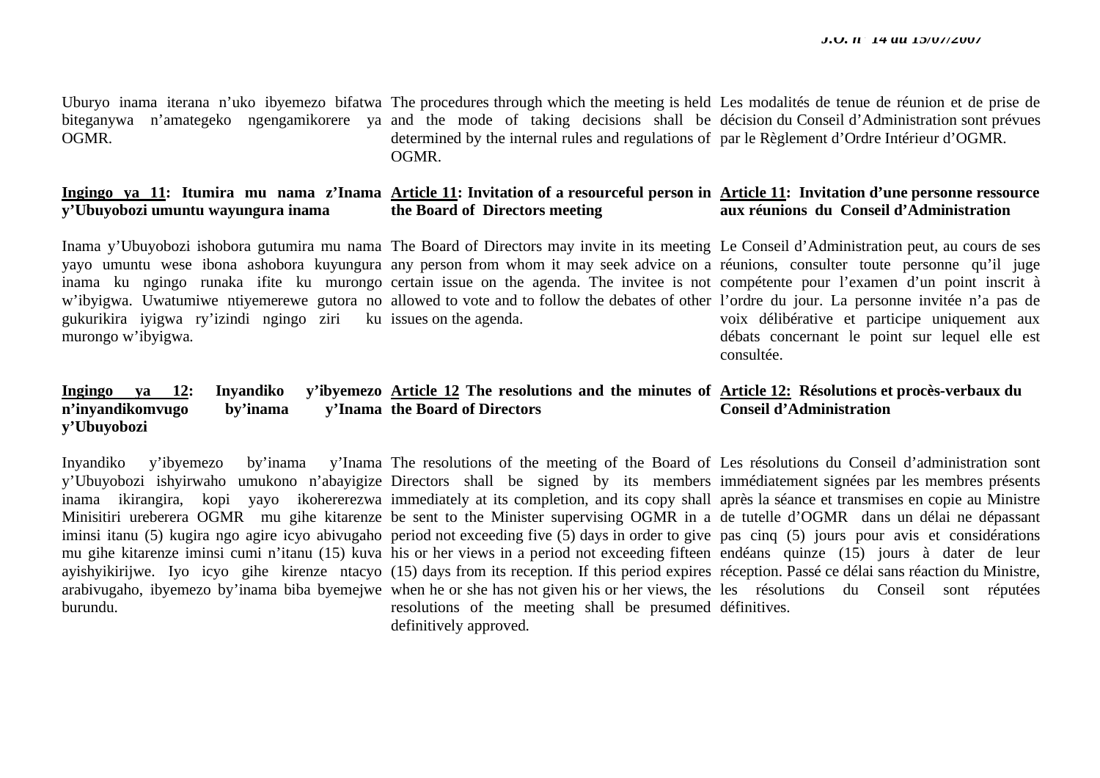Uburyo inama iterana n'uko ibyemezo bifatwa The procedures through which the meeting is held Les modalités de tenue de réunion et de prise de biteganywa n'amategeko ngengamikorere ya and the mode of taking decisions shall be décision-du-Conseil-d'Administration-sont-prévues OGMR. determined by the internal rules and regulations of par le Règlement d'Ordre Intérieur d'OGMR. OGMR.

#### **Ingingo ya 11: Itumira mu nama z'Inama Article 11: Invitation of a resourceful person in Article 11: Invitation d'une personne ressource y'Ubuyobozi umuntu wayungura inama the Board of Directors meeting aux réunions du Conseil d'Administration**

Inama y'Ubuyobozi ishobora gutumira mu nama The Board of Directors may invite in its meeting Le Conseil d'Administration peut, au cours de ses yayo umuntu wese ibona ashobora kuyungura any person-from whom it may seek-advice on a réunions, consulter toute personne qu'il juge inama ku ngingo runaka ifite ku murongo certain issue on the agenda. The invitee is not compétente pour l'examen d'un point inscrit à <sup>w</sup>'ibyigwa. Uwatumiwe ntiyemerewe gutora no allowed to vote and to follow the debates of other l'ordre du jour. La personne invitée n'a pas de gukurikira iyigwa ry'izindi ngingo ziri ku issues on the agenda. murongo w'ibyigwa. voix délibérative et participe uniquement aux débats concernant le point sur lequel elle est consultée.

#### **Ingingo ya 12: Inyandiko n'inyandikomvugo** by'inama **y'Ubuyobozi Article 12 The resolutions and the minutes of Article 12: Résolutions et procès-verbaux du the Board of Directors Conseil d'Administration**

burundu.

Inyandiko y'ibyemezo by'inama y'Inama The resolutions of the meeting of the Board of Les résolutions du Conseil d'administration sont y'Ubuyobozi ishyirwaho umukono n'abayigize Directors shall be signed by its members immédiatement signées par les membres présents inama ikirangira, kopi yayo ikohererezwa immediately at its completion, and its copy shall après la séance et transmises en copie au Ministre Minisitiri ureberera OGMR mu gihe kitarenze be sent to the Minister supervising OGMR in a de tutelle d'OGMR dans un délai ne dépassant iminsi itanu (5) kugira ngo agire icyo abivugaho period not exceeding five (5) days in order to give pas cinq (5) jours pour avis et considérations mu gihe kitarenze iminsi cumi n'itanu (15) kuva his or her views in a period not exceeding fifteen endéans quinze (15) jours à dater de leur ayishyikirijwe. Iyo icyo gihe kirenze ntacyo (15) days from its reception. If this period expires réception. Passé ce délai sans réaction du Ministre, arabivugaho, ibyemezo by'inama biba byemejwe when he or she has not given his or her views, the les résolutions du Conseil sont réputées resolutions of the meeting shall be presumed définitives.definitively approved.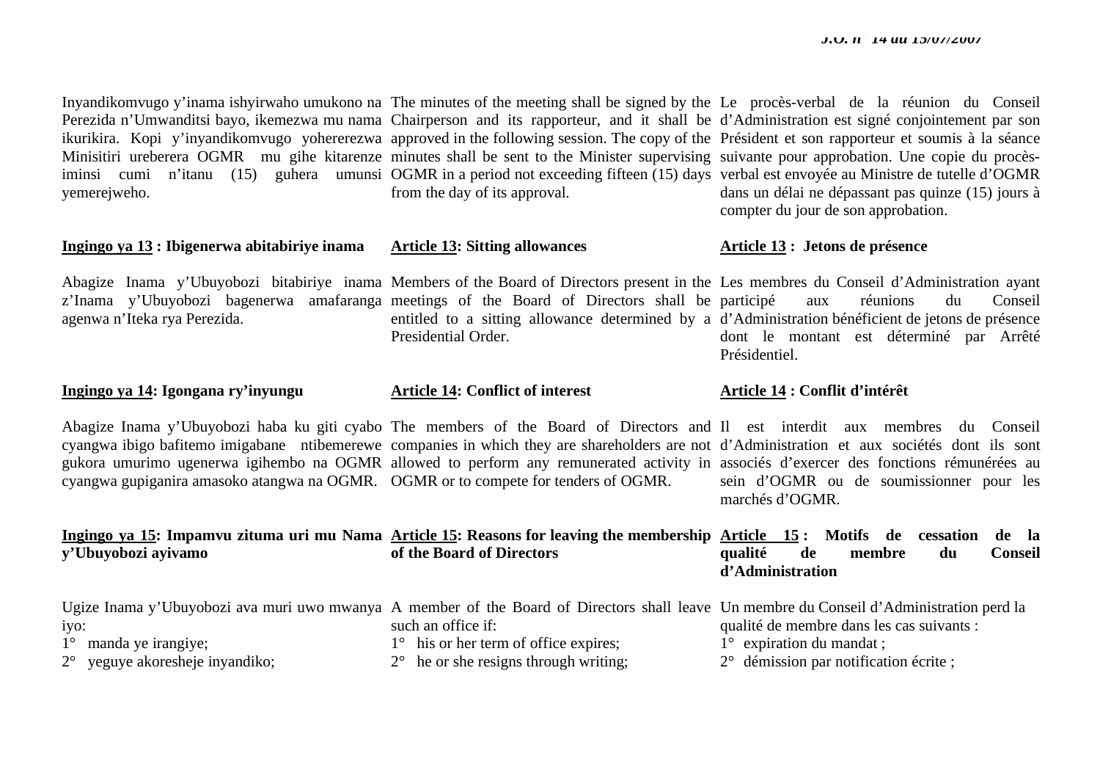Inyandikomvugo y'inama ishyirwaho umukono na The minutes of the meeting shall be signed by the Le procès-verbal de la réunion du Conseil Minisitiri ureberera OGMR mu gihe kitarenze minutes shall be sent to the Minister supervising suivante pour approbation. Une copie du procèsyemerejweho.

**Ingingo ya 13 : Ibigenerwa abitabiriye inama** 

agenwa n'Iteka rya Perezida.

**Ingingo ya 14: Igongana ry'inyungu** 

from the day of its approval.

Perezida n'Umwanditsi bayo, ikemezwa mu nama Chairperson and its rapporteur, and it shall be d'Administration est signé conjointement par son ikurikira. Kopi y'inyandikomvugo yohererezwa approved in the following session. The copy of the Président et son rapporteur et soumis à la séance iminsi cumi n'itanu (15) guhera umunsi OGMR in a period not exceeding fifteen (15) days verbal est envoyée au Ministre de tutelle d'OGMR dans un délai ne dépassant pas quinze (15) jours à compter du jour de son approbation.

### **Article 13 : Jetons de présence**

Abagize Inama y'Ubuyobozi bitabiriye inama Members of the Board of Directors present in the Les membres du Conseil d'Administration ayant <sup>z</sup>'Inama y'Ubuyobozi bagenerwa amafaranga meetings of the Board of Directors shall be participé aux réunions du Conseil entitled to a sitting allowance determined by a d'Administration bénéficient de jetons de présence dont le montant est déterminé par Arrêté Présidentiel.

#### **Article 14: Conflict of interest**

**Article 13: Sitting allowances** 

Abagize Inama y'Ubuyobozi haba ku giti cyabo The members of the Board of Directors and Il est interdit aux membres du Conseil cyangwa ibigo bafitemo imigabane ntibemerewe companies in which they are shareholders are not d'Administration et aux sociétés dont ils sont gukora umurimo ugenerwa igihembo na OGMR allowed to perform any remunerated activity in associés d'exercer des fonctions rémunérées au cyangwa gupiganira amasoko atangwa na OGMR. OGMR or to compete for tenders of OGMR.

Presidential Order.

#### **Article 14 : Conflit d'intérêt**

sein d'OGMR ou de soumissionner pour les marchés d'OGMR.

|                     | Ingingo ya 15: Impamvu zituma uri mu Nama Article 15: Reasons for leaving the membership Article 15: Motifs de cessation de la |                  |           |        |    |         |  |
|---------------------|--------------------------------------------------------------------------------------------------------------------------------|------------------|-----------|--------|----|---------|--|
| y'Ubuyobozi ayivamo | of the Board of Directors                                                                                                      | qualité          | <b>de</b> | membre | du | Conseil |  |
|                     |                                                                                                                                | d'Administration |           |        |    |         |  |

|                                          |                                                |  | Ugize Inama y'Ubuyobozi ava muri uwo mwanya A member of the Board of Directors shall leave Un membre du Conseil d'Administration perd la |
|------------------------------------------|------------------------------------------------|--|------------------------------------------------------------------------------------------------------------------------------------------|
| 1VO:                                     | such an office if:                             |  | qualité de membre dans les cas suivants :                                                                                                |
| $1^{\circ}$ manda ye irangiye;           | $1^{\circ}$ his or her term of office expires; |  | $1^{\circ}$ expiration du mandat ;                                                                                                       |
| $2^{\circ}$ yeguye akoresheje inyandiko; | $2^{\circ}$ he or she resigns through writing; |  | $2^{\circ}$ démission par notification écrite ;                                                                                          |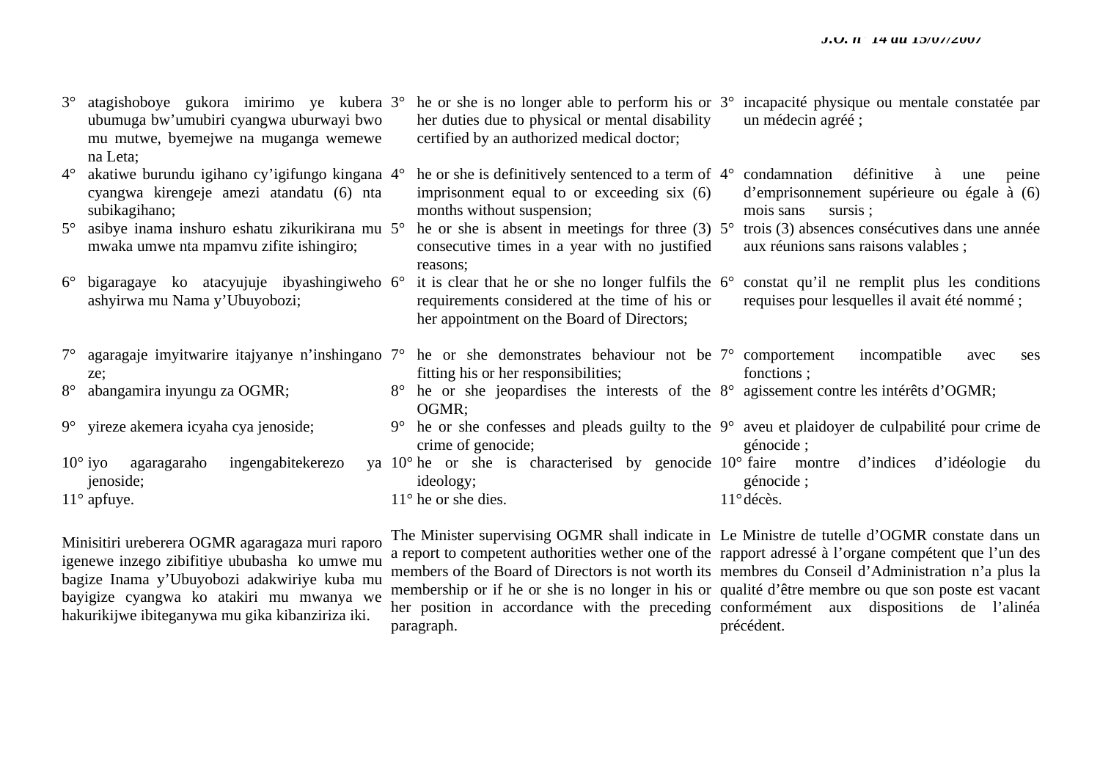| $3^\circ$   | atagishoboye gukora imirimo ye kubera 3°<br>ubumuga bw'umubiri cyangwa uburwayi bwo<br>mu mutwe, byemejwe na muganga wemewe<br>na Leta;                      |             | her duties due to physical or mental disability<br>certified by an authorized medical doctor;                                                               | he or she is no longer able to perform his or 3° incapacité physique ou mentale constatée par<br>un médecin agréé;     |
|-------------|--------------------------------------------------------------------------------------------------------------------------------------------------------------|-------------|-------------------------------------------------------------------------------------------------------------------------------------------------------------|------------------------------------------------------------------------------------------------------------------------|
| $4^{\circ}$ | akatiwe burundu igihano cy'igifungo kingana 4°<br>cyangwa kirengeje amezi atandatu (6) nta<br>subikagihano;                                                  |             | he or she is definitively sentenced to a term of $4^{\circ}$<br>imprisonment equal to or exceeding six (6)<br>months without suspension;                    | définitive<br>condamnation<br>peine<br>à<br>une<br>d'emprisonnement supérieure ou égale à (6)<br>mois sans<br>sursis ; |
| $5^{\circ}$ | asibye inama inshuro eshatu zikurikirana mu $5^{\circ}$ he or she is absent in meetings for three (3) $5^{\circ}$<br>mwaka umwe nta mpamvu zifite ishingiro; |             | consecutive times in a year with no justified<br>reasons:                                                                                                   | trois (3) absences consécutives dans une année<br>aux réunions sans raisons valables;                                  |
| $6^{\circ}$ | bigaragaye ko atacyujuje ibyashingiweho 6°<br>ashyirwa mu Nama y'Ubuyobozi;                                                                                  |             | it is clear that he or she no longer fulfils the $6^{\circ}$<br>requirements considered at the time of his or<br>her appointment on the Board of Directors; | constat qu'il ne remplit plus les conditions<br>requises pour lesquelles il avait été nommé ;                          |
| $7^{\circ}$ | agaragaje imyitwarire itajyanye n'inshingano 7° he or she demonstrates behaviour not be 7° comportement incompatible<br>ze;                                  |             | fitting his or her responsibilities;                                                                                                                        | avec<br>ses<br>fonctions;                                                                                              |
| $8^\circ$   | abangamira inyungu za OGMR;                                                                                                                                  |             | 8° he or she jeopardises the interests of the 8° agissement contre les intérêts d'OGMR;<br>OGMR;                                                            |                                                                                                                        |
|             | 9° yireze akemera icyaha cya jenoside;                                                                                                                       | $9^{\circ}$ | crime of genocide;                                                                                                                                          | he or she confesses and pleads guilty to the 9° aveu et plaidoyer de culpabilité pour crime de<br>génocide;            |
|             | $10^{\circ}$ iyo<br>ingengabitekerezo<br>agaragaraho<br>jenoside;                                                                                            |             | ya 10° he or she is characterised by genocide 10° faire montre d'indices<br>ideology;                                                                       | d'idéologie<br>du<br>génocide;                                                                                         |
|             | $11^{\circ}$ apfuye.                                                                                                                                         |             | $11^{\circ}$ he or she dies.                                                                                                                                | $11^{\circ}$ décès.                                                                                                    |

Minisitiri ureberera OGMR agaragaza muri raporo igenewe inzego zibifitiye ububasha ko umwe mu bagize Inama y'Ubuyobozi adakwiriye kuba mu bayigize cyangwa ko atakiri mu mwanya we hakurikijwe ibiteganywa mu gika kibanziriza iki.

paragraph.

The Minister supervising OGMR shall indicate in Le Ministre de tutelle d'OGMR constate dans un a report to competent authorities wether one of the rapport adressé à l'organe compétent que l'un des members of the Board of Directors is not worth its membres du Conseil d'Administration n'a plus la membership or if he or she is no longer in his or qualité d'être membre ou que son poste est vacant her position in accordance with the preceding conformément aux dispositions de l'alinéa précédent.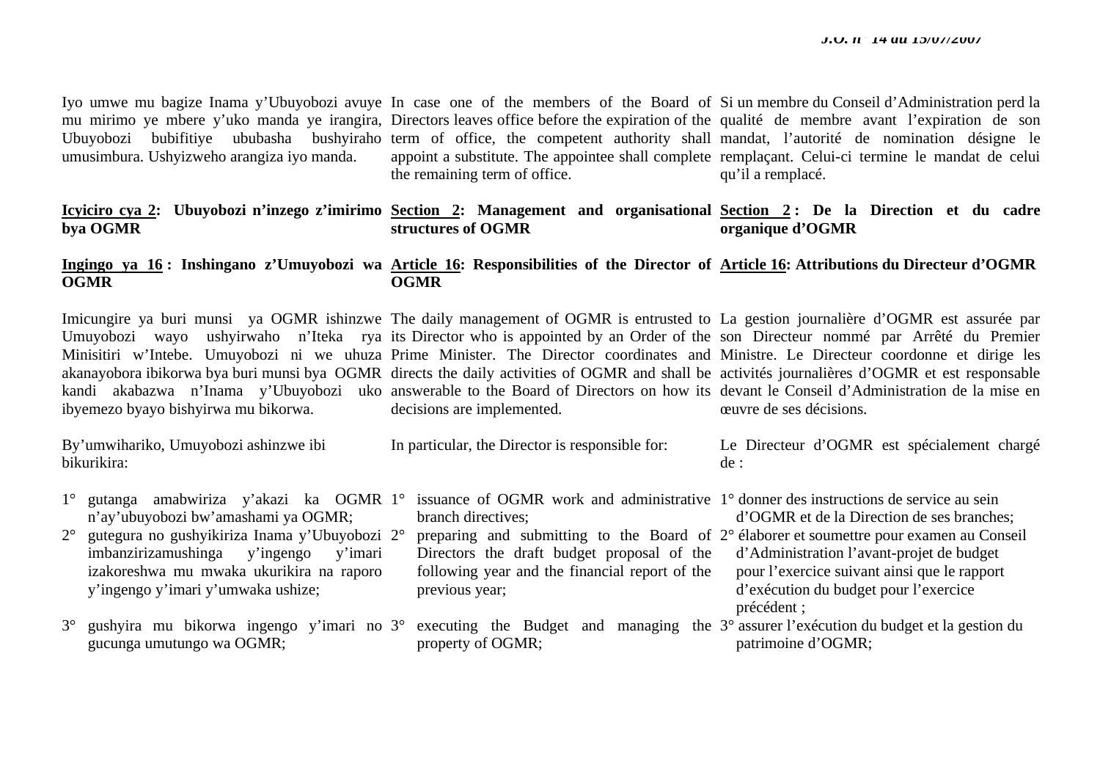Iyo umwe mu bagize Inama y'Ubuyobozi avuye In case one of the members of the Board of Si un membre du Conseil d'Administration perd la mu mirimo ye mbere y'uko manda ye irangira, Directors leaves office before the expiration of the qualité de membre avant l'expiration de son Ubuyobozi bubifitiye ububasha bushyiraho-term of office, the competent authority shall mandat, l'autorité de nomination désigne le umusimbura. Ushyizweho arangiza iyo manda. appoint a substitute. The appointee shall complete remplaçant. Celui-ci termine le mandat de celui the remaining term of office. qu'il a remplacé.

#### **Icyiciro cya 2: Ubuyobozi n'inzego z'imirimo Section 2: Management and organisational Section 2 : De la Direction et du cadre bya OGMR structures of OGMR organique d'OGMR**

#### **Ingingo ya 16 : Inshingano z'Umuyobozi wa Article 16: Responsibilities of the Director of Article 16: Attributions du Directeur d'OGMR OGMR OGMR**

Imicungire ya buri munsi ya OGMR ishinzwe The daily management of OGMR is entrusted to La gestion journalière d'OGMR est assurée par Umuyobozi wayo ushyirwaho n'Iteka rya its-Director-who-is-appointed-by-an-Order-of-the-son-Directeur-nommé par Arrêté du Premier Minisitiri w'Intebe. Umuyobozi ni we uhuza Prime Minister. The Director coordinates and Ministre. Le Directeur coordonne et dirige les akanayobora ibikorwa bya buri munsi bya OGMR directs the daily activities of OGMR and shall be activités journalières d'OGMR et est responsable kandi akabazwa n'Inama y'Ubuyobozi uko answerable to the Board of Directors on how its devant le Conseil d'Administration de la mise en ibyemezo byayo bishyirwa mu bikorwa. decisions are implemented. œuvre de ses décisions.

| By'umwihariko, Umuyobozi ashinzwe ibi<br>bikurikira:                                                                                                                                                                                                                       | In particular, the Director is responsible for:                                                                                                                                                                                | Le Directeur d'OGMR est spécialement chargé<br>de:                                                                                                                                                                                                                                                   |
|----------------------------------------------------------------------------------------------------------------------------------------------------------------------------------------------------------------------------------------------------------------------------|--------------------------------------------------------------------------------------------------------------------------------------------------------------------------------------------------------------------------------|------------------------------------------------------------------------------------------------------------------------------------------------------------------------------------------------------------------------------------------------------------------------------------------------------|
| amabwiriza y'akazi ka OGMR 1°<br>gutanga<br>n'ay'ubuyobozi bw'amashami ya OGMR;<br>gutegura no gushyikiriza Inama y'Ubuyobozi 2°<br>$2^{\circ}$<br>imbanzirizamushinga y'ingengo y'imari<br>izakoreshwa mu mwaka ukurikira na raporo<br>y'ingengo y'imari y'umwaka ushize; | issuance of OGMR work and administrative 1° donner des instructions de service au sein<br>branch directives;<br>Directors the draft budget proposal of the<br>following year and the financial report of the<br>previous year; | d'OGMR et de la Direction de ses branches;<br>preparing and submitting to the Board of $2^{\circ}$ élaborer et soumettre pour examen au Conseil<br>d'Administration l'avant-projet de budget<br>pour l'exercice suivant ainsi que le rapport<br>d'exécution du budget pour l'exercice<br>précédent ; |
| gushyira mu bikorwa ingengo y'imari no 3° executing the Budget and<br>gucunga umutungo wa OGMR;                                                                                                                                                                            | property of OGMR;                                                                                                                                                                                                              | managing the 3° assurer l'exécution du budget et la gestion du<br>patrimoine d'OGMR;                                                                                                                                                                                                                 |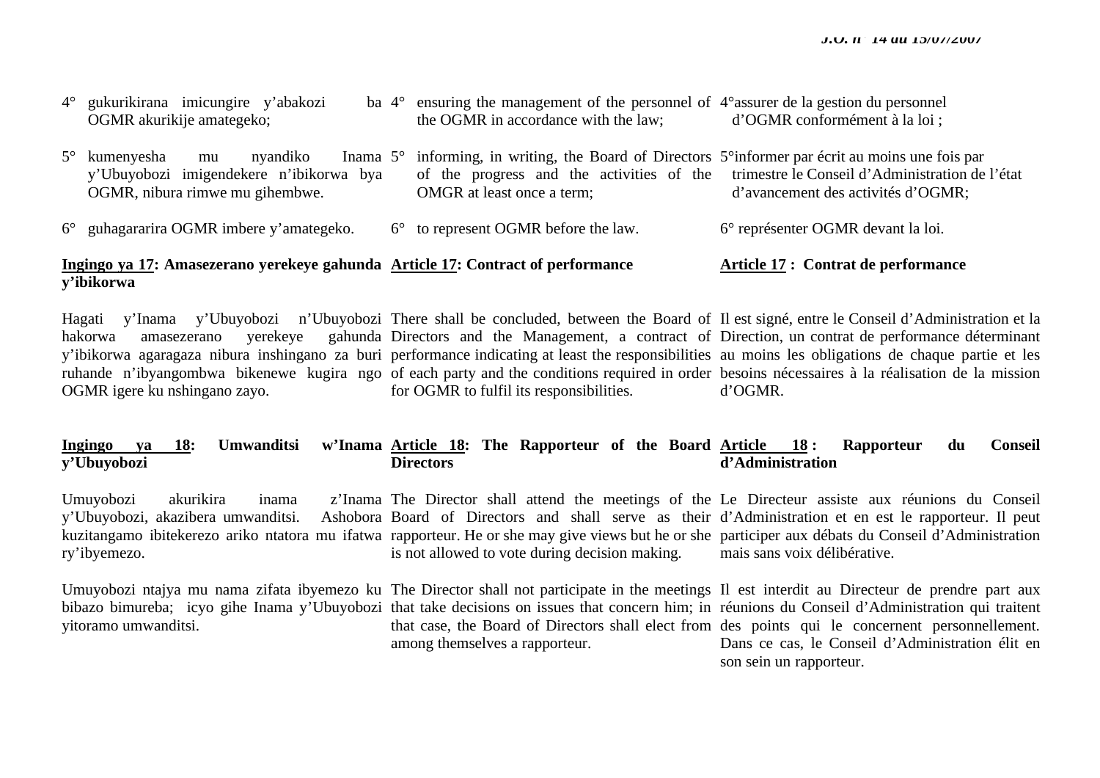son sein un rapporteur.

| 4° gukurikirana imicungire y'abakozi                                                                                 | ba $4^{\circ}$ ensuring the management of the personnel of $4^{\circ}$ assurer de la gestion du personnel                        |                                                                                                                                 |
|----------------------------------------------------------------------------------------------------------------------|----------------------------------------------------------------------------------------------------------------------------------|---------------------------------------------------------------------------------------------------------------------------------|
| OGMR akurikije amategeko;                                                                                            | the OGMR in accordance with the law;                                                                                             | d'OGMR conformément à la loi ;                                                                                                  |
| $5^\circ$ kumenyesha<br>nyandiko<br>mu<br>y'Ubuyobozi imigendekere n'ibikorwa bya<br>OGMR, nibura rimwe mu gihembwe. | Inama 5° informing, in writing, the Board of Directors 5° informer par écrit au moins une fois par<br>OMGR at least once a term; | of the progress and the activities of the trimestre le Conseil d'Administration de l'état<br>d'avancement des activités d'OGMR; |
| 6° guhagararira OGMR imbere y'amategeko.                                                                             | $6^{\circ}$ to represent OGMR before the law.                                                                                    | 6° représenter OGMR devant la loi.                                                                                              |
| Ingingo ya 17: Amasezerano yerekeye gahunda Article 17: Contract of performance                                      |                                                                                                                                  | <b>Article 17: Contrat de performance</b>                                                                                       |

# **y'ibikorwa**

Hagati y'Inama y'Ubuyobozi n'Ubuyobozi There shall be concluded, between the Board of Il est signé, entre le Conseil d'Administration et la hakorwa amasezerano yerekeye y'ibikorwa agaragaza nibura inshingano za buri performance indicating at least the responsibilities au moins les obligations de chaque partie et les ruhande n'ibyangombwa bikenewe kugira ngo of each party and the conditions required in order besoins nécessaires à la réalisation de la mission OGMR igere ku nshingano zayo. Directors and the Management, a contract of Direction, un contrat de performance déterminant for OGMR to fulfil its responsibilities. d'OGMR.

#### **Ingingo ya 18: Umwanditsi y'Ubuyobozi Article 18: The Rapporteur of the Board Article 18 : Rapporteur du Conseil Directors d'Administration**

Umuyobozi akurikira inama y'Ubuyobozi, akazibera umwanditsi. kuzitangamo ibitekerezo ariko ntatora mu ifatwa rapporteur. He or she may give views but he or she participer aux débats du Conseil d'Administration ry'ibyemezo. The Director shall attend the meetings of the Le Directeur assiste aux réunions du Conseil Board of Directors and shall serve as their d'Administration et en est le rapporteur. Il peut is not allowed to vote during decision making. mais sans voix délibérative.

Umuyobozi ntajya mu nama zifata ibyemezo ku The Director shall not participate in the meetings Il est interdit au Directeur de prendre part aux bibazo bimureba; icyo gihe Inama y'Ubuyobozi that take decisions on issues that concern him; in réunions du Conseil d'Administration qui traitent yitoramo umwanditsi. that case, the Board of Directors shall elect from des points qui le concernent personnellement. among themselves a rapporteur. Dans ce cas, le Conseil d'Administration élit en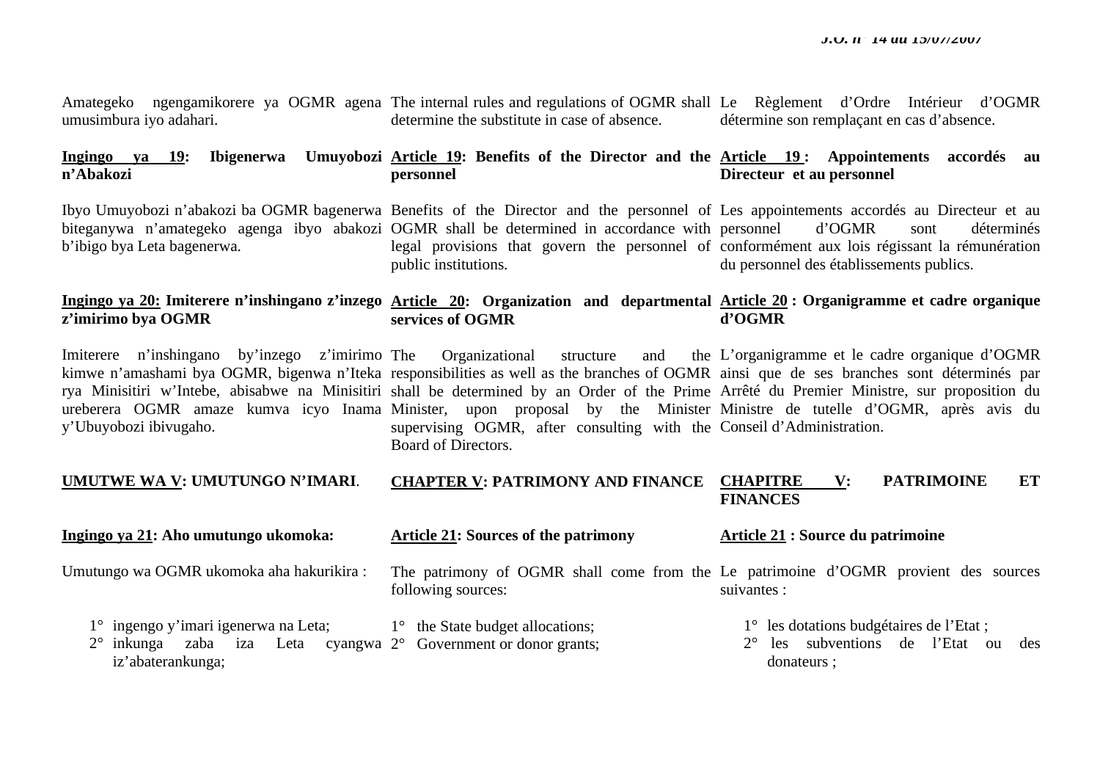Amategeko ngengamikorere ya OGMR agena The internal rules and regulations of OGMR shall Le Règlement d'Ordre Intérieur d'OGMR umusimbura iyo adahari. determine the substitute in case of absence. détermine son remplaçant en cas d'absence.

#### **Ingingo ya 19: Ibigenerwa Umuyobozi Article 19: Benefits of the Director and the Article 19 : Appointements accordés au <sup>n</sup>'Abakozi personnel Directeur et au personnel**

Ibyo Umuyobozi n'abakozi ba OGMR bagenerwa Benefits of the Director and the personnel of Les appointements accordés au Directeur et au biteganywa n'amategeko agenga ibyo abakozi OGMR shall be determined in accordance with personnel d'OGMR sont déterminés b'ibigo bya Leta bagenerwa. legal provisions that govern the personnel of conformément aux lois régissant la rémunération public institutions. du personnel des établissements publics.

#### **Ingingo ya 20: Imiterere n'inshingano z'inzego Article 20: Organization and departmental Article 20 : Organigramme et cadre organique <sup>z</sup>'imirimo bya OGMR services of OGMR d'OGMR**

Imiterere n'inshingano by'inzego z'imirimo y'Ubuyobozi ibivugaho.

kimwe n'amashami bya OGMR, bigenwa n'Iteka responsibilities as well as the branches of OGMR ainsi que de ses branches sont déterminés par rya Minisitiri w'Intebe, abisabwe na Minisitiri shall be determined by an Order of the Prime Arrêté du Premier Ministre, sur proposition du ureberera OGMR amaze kumva icyo Inama Minister, upon proposal by the Minister-Ministre de tutelle d'OGMR, après avis du Organizational structure and supervising OGMR, after consulting with the Conseil d'Administration. Board of Directors. L'organigramme et le cadre organique d'OGMR

#### **UMUTWE WA V: UMUTUNGO N'IMARI**. **CHAPTER V: PATRIMONY AND FINANCE**  V: PATRIMOINE ET **FINANCES**

**Ingingo ya 21: Aho umutungo ukomoka:**  Umutungo wa OGMR ukomoka aha hakurikira : 1° ingengo y'imari igenerwa na Leta; 2° inkunga zaba iza Leta cyangwa 2° Government or donor grants; iz'abaterankunga; **Article 21: Sources of the patrimony** The patrimony of OGMR shall come from the Le patrimoine d'OGMR provient des sources following sources: 1° the State budget allocations; **Article 21 : Source du patrimoine**  suivantes : 1° les dotations budgétaires de l'Etat ; 2° les subventions de l'Etat ou des donateurs ;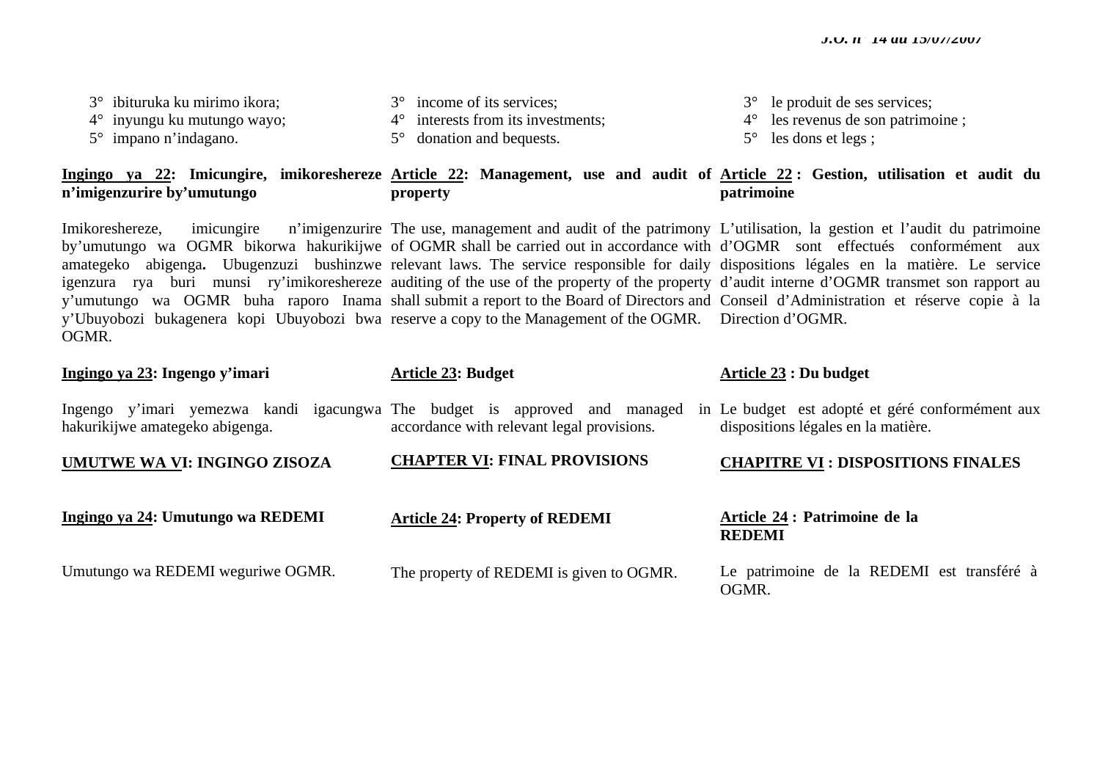| 3° ibituruka ku mirimo ikora;<br>$4^{\circ}$ inyungu ku mutungo wayo;<br>$5^\circ$ impano n'indagano. | 3° income of its services;<br>$4^{\circ}$ interests from its investments;<br>donation and bequests.<br>$5^\circ$                                                                                                                                                                                                                                                                                                                                                                                                                     | le produit de ses services;<br>$3^\circ$<br>les revenus de son patrimoine;<br>$4^{\circ}$<br>les dons et legs;<br>$5^{\circ}$                                                                                                                                             |
|-------------------------------------------------------------------------------------------------------|--------------------------------------------------------------------------------------------------------------------------------------------------------------------------------------------------------------------------------------------------------------------------------------------------------------------------------------------------------------------------------------------------------------------------------------------------------------------------------------------------------------------------------------|---------------------------------------------------------------------------------------------------------------------------------------------------------------------------------------------------------------------------------------------------------------------------|
| n'imigenzurire by'umutungo                                                                            | property                                                                                                                                                                                                                                                                                                                                                                                                                                                                                                                             | Ingingo ya 22: Imicungire, imikoreshereze Article 22: Management, use and audit of Article 22: Gestion, utilisation et audit du<br>patrimoine                                                                                                                             |
| Imikoreshereze,<br>OGMR.                                                                              | imicungire n'imigenzurire The use, management and audit of the patrimony L'utilisation, la gestion et l'audit du patrimoine<br>amategeko abigenga. Ubugenzuzi bushinzwe relevant laws. The service responsible for daily dispositions légales en la matière. Le service<br>igenzura rya buri munsi ry'imikoreshereze auditing of the use of the property of the property d'audit interne d'OGMR transmet son rapport au<br>y'Ubuyobozi bukagenera kopi Ubuyobozi bwa reserve a copy to the Management of the OGMR. Direction d'OGMR. | by'umutungo wa OGMR bikorwa hakurikijwe of OGMR shall be carried out in accordance with d'OGMR sont effectués conformément aux<br>y'umutungo wa OGMR buha raporo Inama shall submit a report to the Board of Directors and Conseil d'Administration et réserve copie à la |
| Ingingo ya 23: Ingengo y'imari                                                                        | <b>Article 23: Budget</b>                                                                                                                                                                                                                                                                                                                                                                                                                                                                                                            | Article $23:$ Du budget                                                                                                                                                                                                                                                   |
|                                                                                                       |                                                                                                                                                                                                                                                                                                                                                                                                                                                                                                                                      |                                                                                                                                                                                                                                                                           |
| hakurikijwe amategeko abigenga.                                                                       | Ingengo y'imari yemezwa kandi igacungwa The budget is approved and managed in Le budget est adopté et géré conformément aux<br>accordance with relevant legal provisions.                                                                                                                                                                                                                                                                                                                                                            | dispositions légales en la matière.                                                                                                                                                                                                                                       |
| UMUTWE WA VI: INGINGO ZISOZA                                                                          | <b>CHAPTER VI: FINAL PROVISIONS</b>                                                                                                                                                                                                                                                                                                                                                                                                                                                                                                  | <b>CHAPITRE VI: DISPOSITIONS FINALES</b>                                                                                                                                                                                                                                  |
| Ingingo ya 24: Umutungo wa REDEMI                                                                     | <b>Article 24: Property of REDEMI</b>                                                                                                                                                                                                                                                                                                                                                                                                                                                                                                | Article 24 : Patrimoine de la<br><b>REDEMI</b>                                                                                                                                                                                                                            |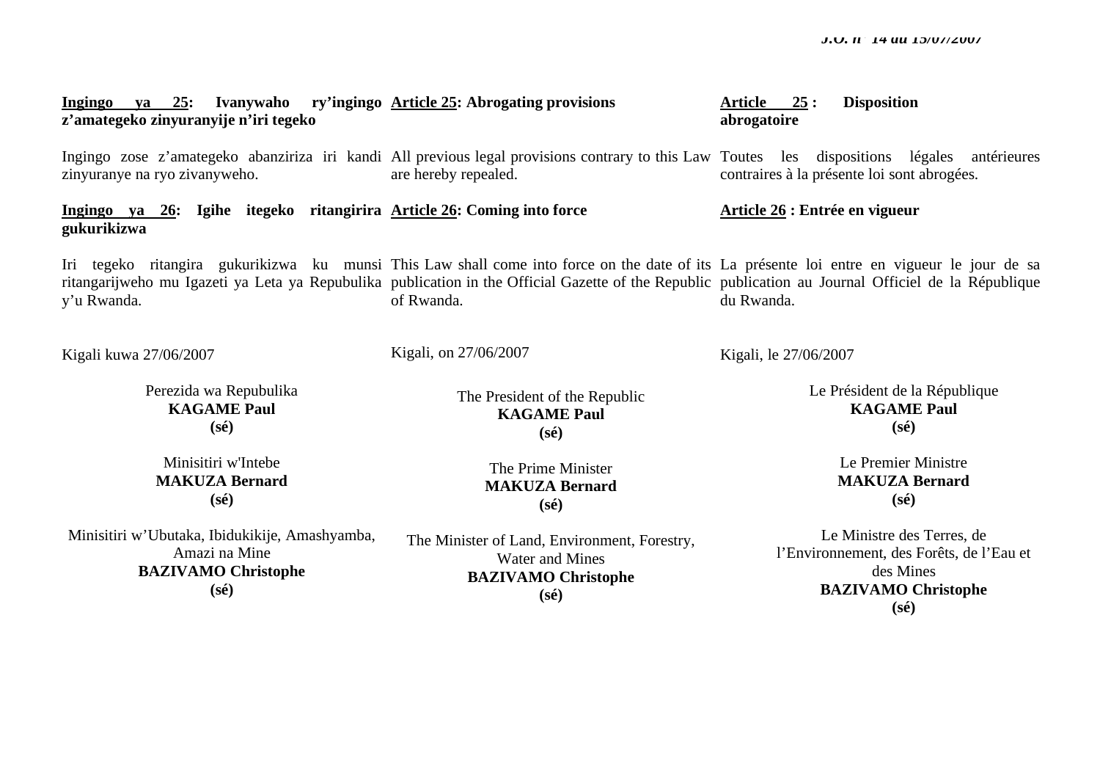#### **Ingingo ya 25: Ivanywaho ry'ingingo Article 25: Abrogating provisions <sup>z</sup>'amategeko zinyuranyije n'iri tegeko Article 25 : Disposition abrogatoire**

Ingingo zose z'amategeko abanziriza iri kandi All-previous-legal-provisions-contrary-to-this-Law Toutes les dispositions légales antérieures zinyuranye na ryo zivanyweho. are hereby repealed.

**Ingingo ya 26: Igihe itegeko ritangirira Article 26: Coming into force gukurikizwa** 

Iri tegeko ritangira gukurikizwa ku munsi This Law shall come into force on the date of its La présente loi entre en vigueur le jour de sa ritangarijweho mu Igazeti ya Leta ya Repubulika publication in the Official Gazette of the Republic publication au Journal Officiel de la République y'u Rwanda. of Rwanda. du Rwanda.

Kigali kuwa 27/06/2007

Perezida wa Repubulika **KAGAME Paul (sé)** 

Minisitiri w'Intebe **MAKUZA Bernard (sé)** 

Minisitiri w'Ubutaka, Ibidukikije, Amashyamba, Amazi na Mine **BAZIVAMO Christophe (sé)** 

The President of the Republic **KAGAME Paul (sé)** 

Kigali, on 27/06/2007

The Prime Minister **MAKUZA Bernard (sé)** 

The Minister of Land, Environment, Forestry, Water and Mines **BAZIVAMO Christophe (sé)** 

contraires à la présente loi sont abrogées.

**Article 26 : Entrée en vigueur** 

Kigali, le 27/06/2007

Le Président de la République **KAGAME Paul (sé)** 

> Le Premier Ministre **MAKUZA Bernard (sé)**

Le Ministre des Terres, de l'Environnement, des Forêts, de l'Eau et des Mines **BAZIVAMO Christophe (sé)**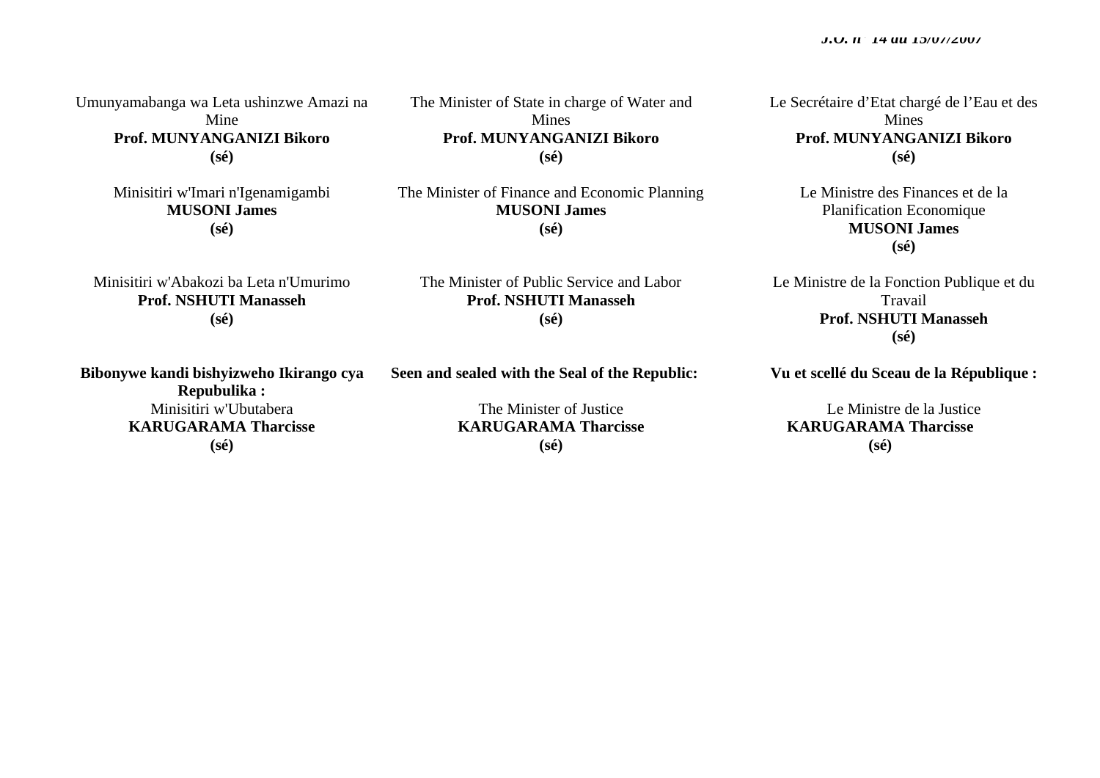Umunyamabanga wa Leta ushinzwe Amazi na Mine **Prof. MUNYANGANIZI Bikoro (sé)** 

> Minisitiri w'Imari n'Igenamigambi **MUSONI James (sé)**

Mines **Prof. MUNYANGANIZI Bikoro (sé)** 

The Minister of State in charge of Water and

The Minister of Finance and Economic Planning **MUSONI James (sé)** 

Minisitiri w'Abakozi ba Leta n'Umurimo **Prof. NSHUTI Manasseh (sé)** 

**Bibonywe kandi bishyizweho Ikirango cya Repubulika :**  Minisitiri w'Ubutabera **KARUGARAMA Tharcisse (sé)** 

The Minister of Public Service and Labor **Prof. NSHUTI Manasseh (sé)** 

**Seen and sealed with the Seal of the Republic:** 

The Minister of Justice **KARUGARAMA Tharcisse (sé)**

Le Secrétaire d'Etat chargé de l'Eau et des **Mines Prof. MUNYANGANIZI Bikoro (sé)** 

> Le Ministre des Finances et de la Planification Economique **MUSONI James (sé)**

Le Ministre de la Fonction Publique et du Travail **Prof. NSHUTI Manasseh (sé)** 

**Vu et scellé du Sceau de la République :** 

Le Ministre de la Justice **KARUGARAMA Tharcisse (sé)**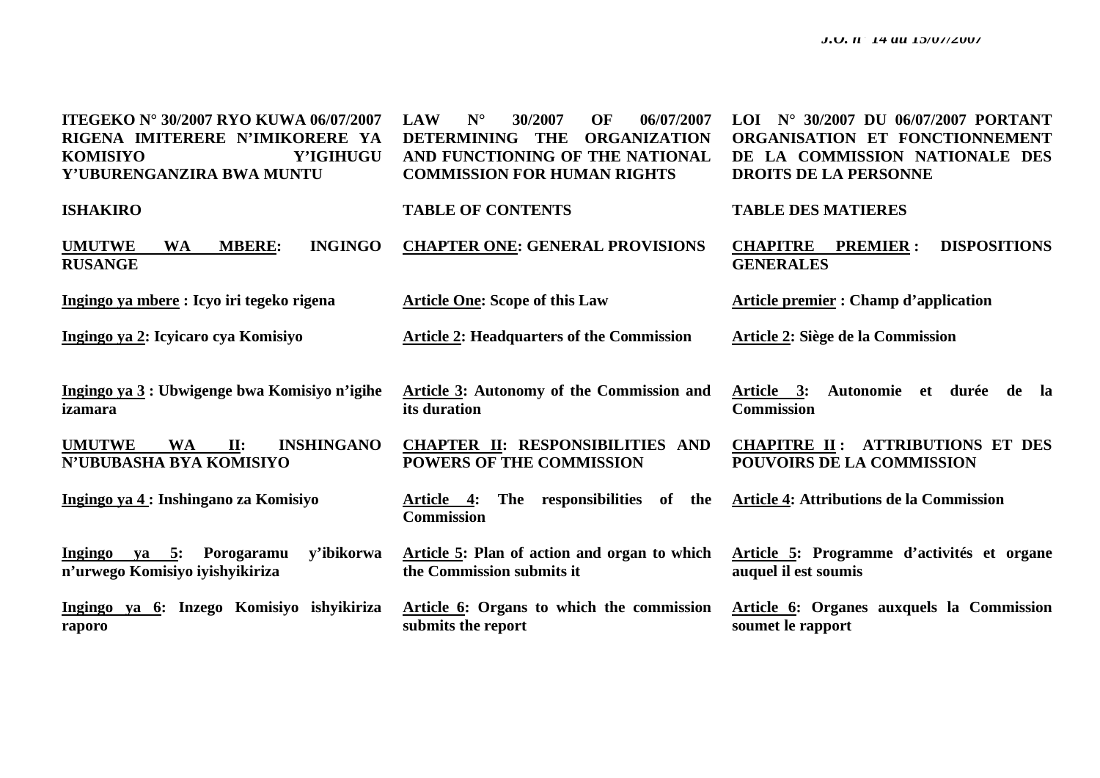| <b>ITEGEKO N° 30/2007 RYO KUWA 06/07/2007</b><br>RIGENA IMITERERE N'IMIKORERE YA<br><b>KOMISIYO</b><br>Y'IGIHUGU<br>Y'UBURENGANZIRA BWA MUNTU | $N^{\circ}$<br>OF<br><b>LAW</b><br>30/2007<br>06/07/2007<br><b>DETERMINING</b><br><b>THE</b><br><b>ORGANIZATION</b><br>AND FUNCTIONING OF THE NATIONAL<br><b>COMMISSION FOR HUMAN RIGHTS</b> | LOI Nº 30/2007 DU 06/07/2007 PORTANT<br>ORGANISATION ET FONCTIONNEMENT<br>DE LA COMMISSION NATIONALE DES<br><b>DROITS DE LA PERSONNE</b> |
|-----------------------------------------------------------------------------------------------------------------------------------------------|----------------------------------------------------------------------------------------------------------------------------------------------------------------------------------------------|------------------------------------------------------------------------------------------------------------------------------------------|
| <b>ISHAKIRO</b>                                                                                                                               | <b>TABLE OF CONTENTS</b>                                                                                                                                                                     | <b>TABLE DES MATIERES</b>                                                                                                                |
| <b>INGINGO</b><br><b>UMUTWE</b><br><b>MBERE:</b><br><b>WA</b><br><b>RUSANGE</b>                                                               | <b>CHAPTER ONE: GENERAL PROVISIONS</b>                                                                                                                                                       | <b>CHAPITRE</b><br><b>PREMIER:</b><br><b>DISPOSITIONS</b><br><b>GENERALES</b>                                                            |
| Ingingo ya mbere : Icyo iri tegeko rigena                                                                                                     | <b>Article One: Scope of this Law</b>                                                                                                                                                        | <b>Article premier: Champ d'application</b>                                                                                              |
| Ingingo va 2: Icyicaro cya Komisiyo                                                                                                           | <b>Article 2: Headquarters of the Commission</b>                                                                                                                                             | <b>Article 2: Siège de la Commission</b>                                                                                                 |
|                                                                                                                                               |                                                                                                                                                                                              |                                                                                                                                          |
| Ingingo ya 3 : Ubwigenge bwa Komisiyo n'igihe<br>izamara                                                                                      | <b>Article 3: Autonomy of the Commission and</b><br>its duration                                                                                                                             | Article 3:<br>Autonomie et durée de la<br><b>Commission</b>                                                                              |
| <b>UMUTWE</b><br><b>INSHINGANO</b><br><b>WA</b><br>$\Pi$ :<br>N'UBUBASHA BYA KOMISIYO                                                         | <b>CHAPTER II: RESPONSIBILITIES AND</b><br><b>POWERS OF THE COMMISSION</b>                                                                                                                   | <b>CHAPITRE II: ATTRIBUTIONS ET DES</b><br><b>POUVOIRS DE LA COMMISSION</b>                                                              |
| Ingingo ya 4: Inshingano za Komisiyo                                                                                                          | The responsibilities of<br>the<br>Article 4:<br><b>Commission</b>                                                                                                                            | Article 4: Attributions de la Commission                                                                                                 |
| Ingingo ya 5: Porogaramu<br>y'ibikorwa<br>n'urwego Komisiyo iyishyikiriza                                                                     | Article 5: Plan of action and organ to which<br>the Commission submits it                                                                                                                    | Article 5: Programme d'activités et organe<br>auquel il est soumis                                                                       |
| Ingingo ya 6: Inzego Komisiyo ishyikiriza<br>raporo                                                                                           | Article 6: Organs to which the commission<br>submits the report                                                                                                                              | Article 6: Organes auxquels la Commission<br>soumet le rapport                                                                           |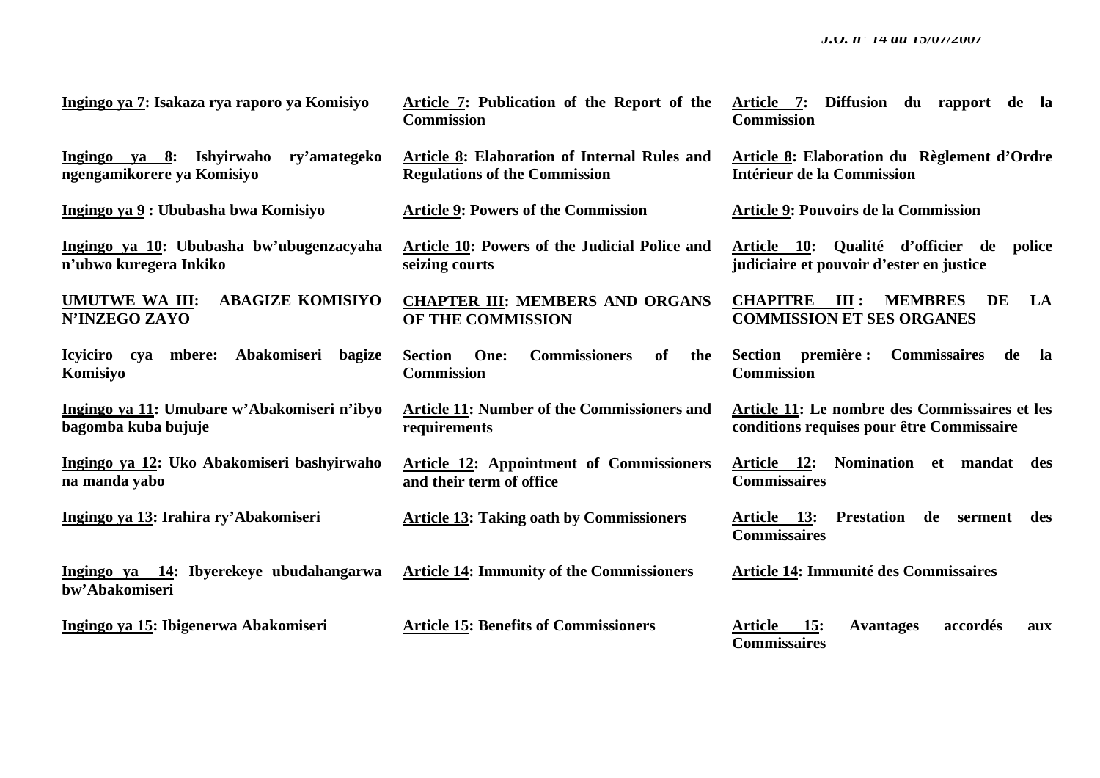| <u>Ingingo ya 7: Isakaza rya raporo ya Komisiyo</u>                            | <b>Article 7: Publication of the Report of the</b><br><b>Commission</b>              | Article 7: Diffusion du rapport de la<br><b>Commission</b>                                 |
|--------------------------------------------------------------------------------|--------------------------------------------------------------------------------------|--------------------------------------------------------------------------------------------|
| <u>Ingingo ya 8</u> : Ishyirwaho<br>ry'amategeko<br>ngengamikorere ya Komisiyo | Article 8: Elaboration of Internal Rules and<br><b>Regulations of the Commission</b> | <b>Article 8: Elaboration du Règlement d'Ordre</b><br>Intérieur de la Commission           |
| Ingingo ya 9: Ububasha bwa Komisiyo                                            | <b>Article 9: Powers of the Commission</b>                                           | <b>Article 9: Pouvoirs de la Commission</b>                                                |
| Ingingo ya 10: Ububasha bw'ubugenzacyaha<br>n'ubwo kuregera Inkiko             | Article 10: Powers of the Judicial Police and<br>seizing courts                      | Article 10: Qualité d'officier de<br>police<br>judiciaire et pouvoir d'ester en justice    |
| <b>ABAGIZE KOMISIYO</b><br><b>UMUTWE WA III:</b><br><b>N'INZEGO ZAYO</b>       | <b>CHAPTER III: MEMBERS AND ORGANS</b><br>OF THE COMMISSION                          | <b>CHAPITRE</b> III:<br><b>MEMBRES</b><br>LA<br>DE<br><b>COMMISSION ET SES ORGANES</b>     |
| Icyiciro cya mbere: Abakomiseri bagize<br>Komisiyo                             | <b>Commissioners</b><br><b>Section</b><br>One:<br>of<br>the<br><b>Commission</b>     | <b>Commissaires</b><br>Section première :<br>de<br>la<br><b>Commission</b>                 |
| Ingingo ya 11: Umubare w'Abakomiseri n'ibyo<br>bagomba kuba bujuje             | <b>Article 11: Number of the Commissioners and</b><br>requirements                   | Article 11: Le nombre des Commissaires et les<br>conditions requises pour être Commissaire |
| Ingingo ya 12: Uko Abakomiseri bashyirwaho<br>na manda yabo                    | <b>Article 12:</b> Appointment of Commissioners<br>and their term of office          | Article 12: Nomination et mandat des<br><b>Commissaires</b>                                |
| Ingingo ya 13: Irahira ry'Abakomiseri                                          | <b>Article 13: Taking oath by Commissioners</b>                                      | <b>Article 13: Prestation</b><br>de serment<br>des<br><b>Commissaires</b>                  |
| Ingingo ya 14: Ibyerekeye ubudahangarwa<br>bw'Abakomiseri                      | <b>Article 14: Immunity of the Commissioners</b>                                     | <b>Article 14: Immunité des Commissaires</b>                                               |
| Ingingo ya 15: Ibigenerwa Abakomiseri                                          | <b>Article 15: Benefits of Commissioners</b>                                         | <b>Article</b><br>15:<br>accordés<br><b>Avantages</b><br>aux<br><b>Commissaires</b>        |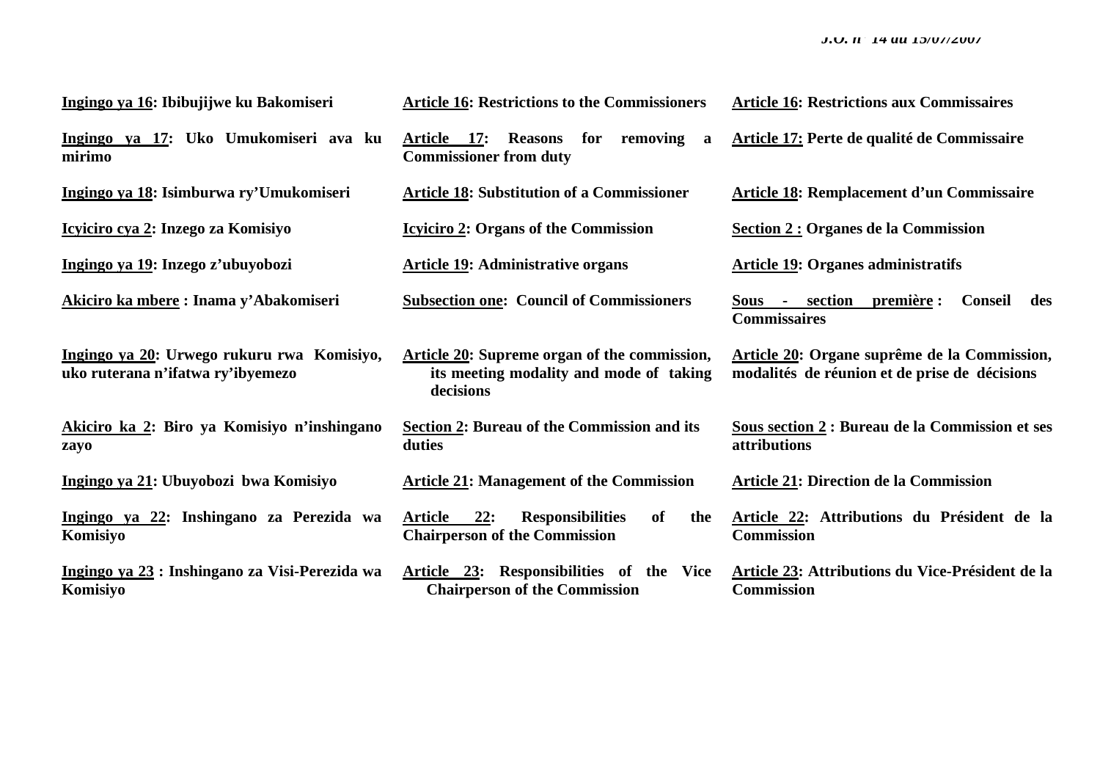| Ingingo ya 16: Ibibujijwe ku Bakomiseri                                         | <b>Article 16: Restrictions to the Commissioners</b>                                                 | <b>Article 16: Restrictions aux Commissaires</b>                                              |
|---------------------------------------------------------------------------------|------------------------------------------------------------------------------------------------------|-----------------------------------------------------------------------------------------------|
| Ingingo ya 17: Uko Umukomiseri ava ku<br>mirimo                                 | Article 17:<br><b>Reasons</b><br>for<br>removing<br>a<br><b>Commissioner from duty</b>               | Article 17: Perte de qualité de Commissaire                                                   |
| Ingingo ya 18: Isimburwa ry'Umukomiseri                                         | <b>Article 18: Substitution of a Commissioner</b>                                                    | <b>Article 18: Remplacement d'un Commissaire</b>                                              |
| Icyiciro cya 2: Inzego za Komisiyo                                              | <b>Icylicity</b> 2: Organs of the Commission                                                         | Section 2 : Organes de la Commission                                                          |
| Ingingo ya 19: Inzego z'ubuyobozi                                               | <b>Article 19: Administrative organs</b>                                                             | <b>Article 19: Organes administratifs</b>                                                     |
| Akiciro ka mbere: Inama y'Abakomiseri                                           | <b>Subsection one: Council of Commissioners</b>                                                      | Sous - section première :<br>Conseil<br>des<br><b>Commissaires</b>                            |
| Ingingo ya 20: Urwego rukuru rwa Komisiyo,<br>uko ruterana n'ifatwa ry'ibyemezo | Article 20: Supreme organ of the commission,<br>its meeting modality and mode of taking<br>decisions | Article 20: Organe suprême de la Commission,<br>modalités de réunion et de prise de décisions |
| Akiciro ka 2: Biro ya Komisiyo n'inshingano<br>zayo                             | <b>Section 2: Bureau of the Commission and its</b><br>duties                                         | Sous section 2 : Bureau de la Commission et ses<br><i>attributions</i>                        |
| Ingingo ya 21: Ubuyobozi bwa Komisiyo                                           | <b>Article 21: Management of the Commission</b>                                                      | <b>Article 21: Direction de la Commission</b>                                                 |
| Ingingo ya 22: Inshingano za Perezida wa<br>Komisiyo                            | Article 22:<br><b>Responsibilities</b><br>of<br>the<br><b>Chairperson of the Commission</b>          | Article 22: Attributions du Président de la<br><b>Commission</b>                              |
| Ingingo ya 23 : Inshingano za Visi-Perezida wa<br>Komisiyo                      | Article 23: Responsibilities of the Vice<br><b>Chairperson of the Commission</b>                     | Article 23: Attributions du Vice-Président de la<br><b>Commission</b>                         |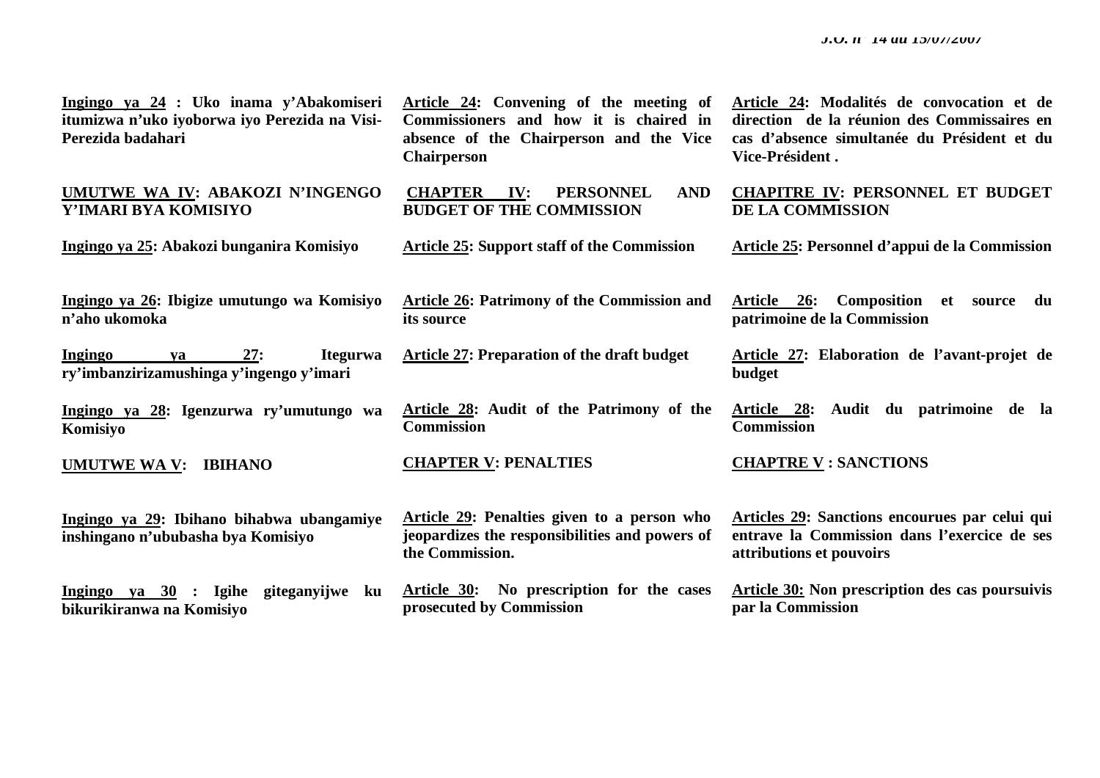**Ingingo ya 24 : Uko inama y'Abakomiseri itumizwa n'uko iyoborwa iyo Perezida na Visi-Perezida badahari** 

**UMUTWE WA IV: ABAKOZI N'INGENGO Y'IMARI BYA KOMISIYO** 

**Ingingo ya 25: Abakozi bunganira Komisiyo** 

**Ingingo ya 26: Ibigize umutungo wa Komisiyo <sup>n</sup>'aho ukomoka** 

**Ingingo ya 27: Itegurwa ry'imbanzirizamushinga y'ingengo y'imari** 

**Ingingo ya 28: Igenzurwa ry'umutungo wa Komisiyo**

**UMUTWE WA V: IBIHANO** 

**Ingingo ya 29: Ibihano bihabwa ubangamiye inshingano n'ububasha bya Komisiyo** 

**Ingingo ya 30 : Igihe giteganyijwe ku bikurikiranwa na Komisiyo** 

**Article 24: Convening of the meeting of Commissioners and how it is chaired in absence of the Chairperson and the Vice Chairperson** 

**CHAPTER IV: PERSONNEL AND BUDGET OF THE COMMISSION** 

**Article 25: Support staff of the Commission** 

**Article 26: Patrimony of the Commission and its source** 

**Article 27: Preparation of the draft budget** 

**Article 28: Audit of the Patrimony of the Commission** 

**Article 29: Penalties given to a person who jeopardizes the responsibilities and powers of**

**Article 30: No prescription for the cases**

#### **CHAPTER V: PENALTIES**

**prosecuted by Commission** 

**the Commission.** 

**Article 24: Modalités de convocation et de direction de la réunion des Commissaires en cas d'absence simultanée du Président et du Vice-Président .** 

**CHAPITRE IV: PERSONNEL ET BUDGET DE LA COMMISSION** 

**Article 25: Personnel d'appui de la Commission** 

**Article 26: Composition et source du patrimoine de la Commission** 

**Article 27: Elaboration de l'avant-projet de budget** 

**Article 28: Audit du patrimoine de la Commission** 

#### **CHAPTRE V : SANCTIONS**

**Articles 29: Sanctions encourues par celui qui entrave la Commission dans l'exercice de ses attributions et pouvoirs** 

**Article 30: Non prescription des cas poursuivis par la Commission**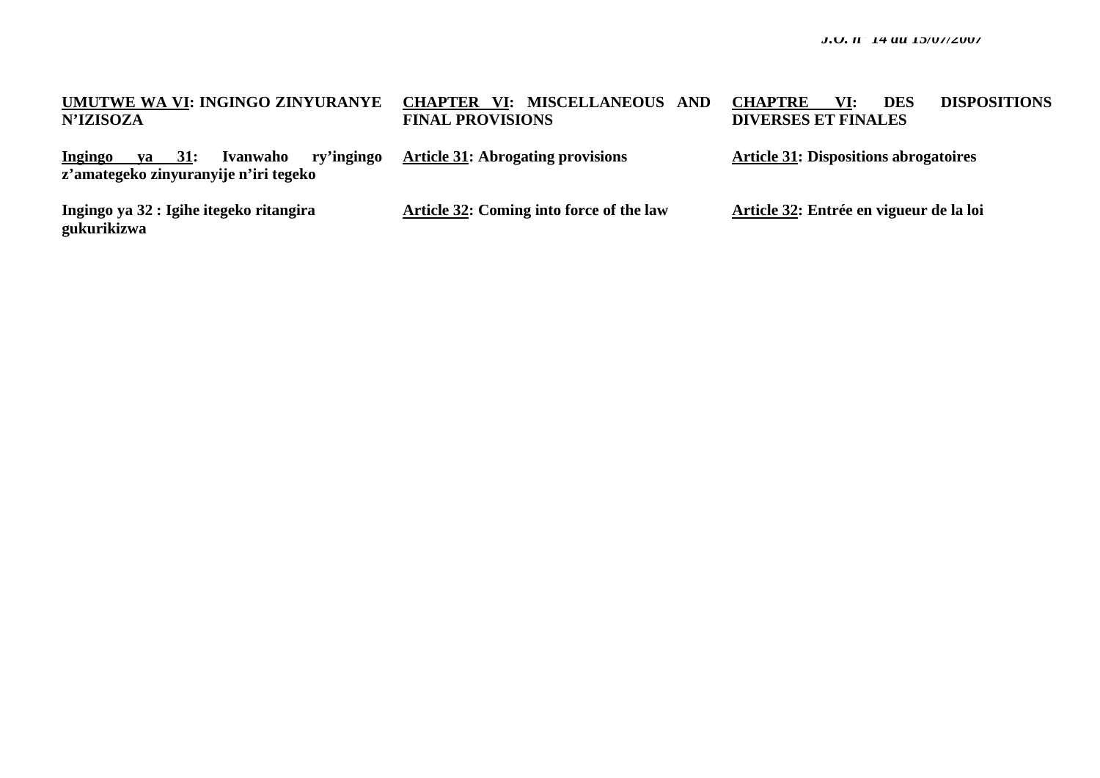| UMUTWE WA VI: INGINGO ZINYURANYE<br>N'IZISOZA                                                    | <b>CHAPTER VI: MISCELLANEOUS AND</b><br><b>FINAL PROVISIONS</b> | <b>DISPOSITIONS</b><br>VI:<br><b>DES</b><br><b>CHAPTRE</b><br><b>DIVERSES ET FINALES</b> |
|--------------------------------------------------------------------------------------------------|-----------------------------------------------------------------|------------------------------------------------------------------------------------------|
| ry'ingingo<br>Ivanwaho<br>$ya = 31$ :<br><u>Ingingo</u><br>z'amategeko zinyuranyije n'iri tegeko | <b>Article 31:</b> Abrogating provisions                        | <b>Article 31: Dispositions abrogatoires</b>                                             |
| Ingingo ya 32 : Igihe itegeko ritangira<br>gukurikizwa                                           | <b>Article 32: Coming into force of the law</b>                 | Article 32: Entrée en vigueur de la loi                                                  |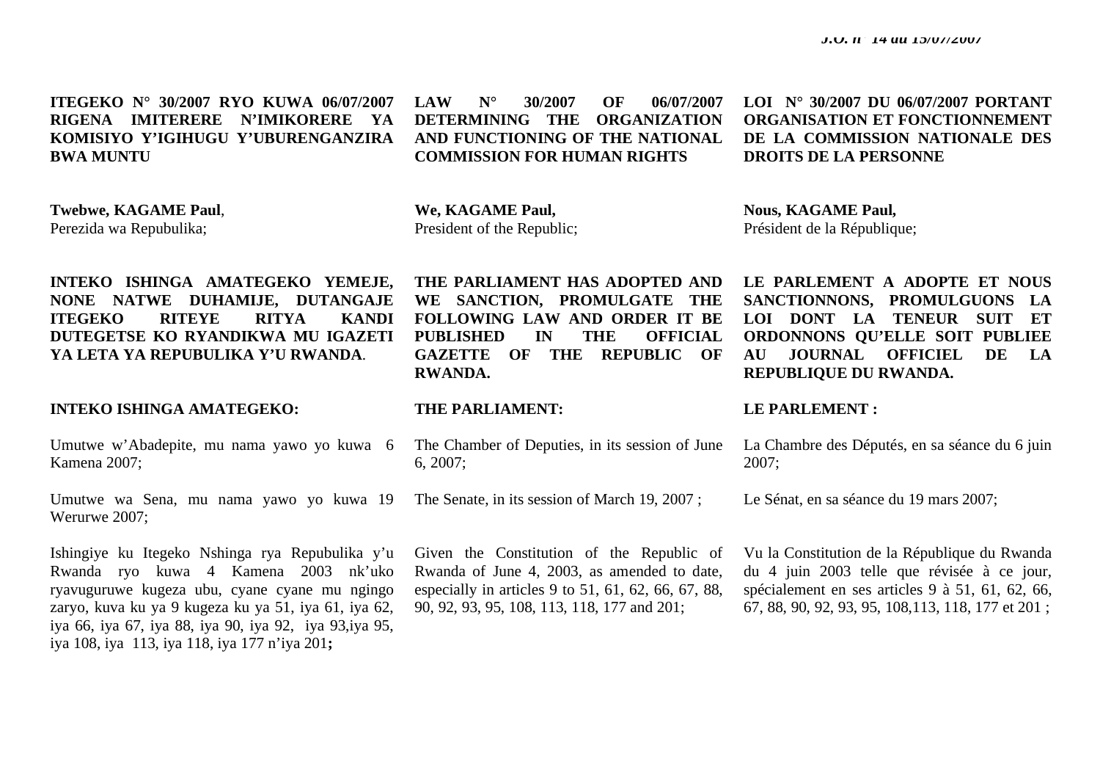**ITEGEKO N° 30/2007 RYO KUWA 06/07/2007 RIGENA IMITERERE N'IMIKORERE YA KOMISIYO Y'IGIHUGU Y'UBURENGANZIRA BWA MUNTU** 

**Twebwe, KAGAME Paul**, Perezida wa Repubulika;

 **LAW N° 30/2007 OF 06/07/2007 DETERMINING THE ORGANIZATION AND FUNCTIONING OF THE NATIONAL COMMISSION FOR HUMAN RIGHTS** 

**We, KAGAME Paul,**  President of the Republic;

**INTEKO ISHINGA AMATEGEKO YEMEJE, NONE NATWE DUHAMIJE, DUTANGAJE ITEGEKO RITEYE RITYA KANDI DUTEGETSE KO RYANDIKWA MU IGAZETI YA LETA YA REPUBULIKA Y'U RWANDA**.

# **INTEKO ISHINGA AMATEGEKO:**

Umutwe w'Abadepite, mu nama yawo yo kuwa 6 Kamena 2007;

Umutwe wa Sena, mu nama yawo yo kuwa 19 Werurwe 2007;

Ishingiye ku Itegeko Nshinga rya Repubulika y'u Rwanda ryo kuwa 4 Kamena 2003 nk'uko ryavuguruwe kugeza ubu, cyane cyane mu ngingo zaryo, kuva ku ya 9 kugeza ku ya 51, iya 61, iya 62, iya 66, iya 67, iya 88, iya 90, iya 92, iya 93,iya 95, iya 108, iya 113, iya 118, iya 177 n'iya 201**;** 

**THE PARLIAMENT HAS ADOPTED AND WE SANCTION, PROMULGATE THE FOLLOWING LAW AND ORDER IT BE PUBLISHED IN THE OFFICIAL GAZETTE OF THE REPUBLIC OF RWANDA.** 

### **THE PARLIAMENT:**

The Chamber of Deputies, in its session of June 6, 2007;

The Senate, in its session of March 19, 2007 ;

Given the Constitution of the Republic of Rwanda of June 4, 2003, as amended to date, especially in articles 9 to 51, 61, 62, 66, 67, 88, 90, 92, 93, 95, 108, 113, 118, 177 and 201;

 **LOI N° 30/2007 DU 06/07/2007 PORTANT ORGANISATION ET FONCTIONNEMENT DE LA COMMISSION NATIONALE DES DROITS DE LA PERSONNE** 

**Nous, KAGAME Paul,**  Président de la République;

**LE PARLEMENT A ADOPTE ET NOUS SANCTIONNONS, PROMULGUONS LA LOI DONT LA TENEUR SUIT ET ORDONNONS QU'ELLE SOIT PUBLIEE AU JOURNAL OFFICIEL DE LA REPUBLIQUE DU RWANDA.** 

### **LE PARLEMENT :**

La Chambre des Députés, en sa séance du 6 juin 2007;

Le Sénat, en sa séance du 19 mars 2007;

Vu la Constitution de la République du Rwanda du 4 juin 2003 telle que révisée à ce jour, spécialement en ses articles 9 à 51, 61, 62, 66, 67, 88, 90, 92, 93, 95, 108,113, 118, 177 et 201 ;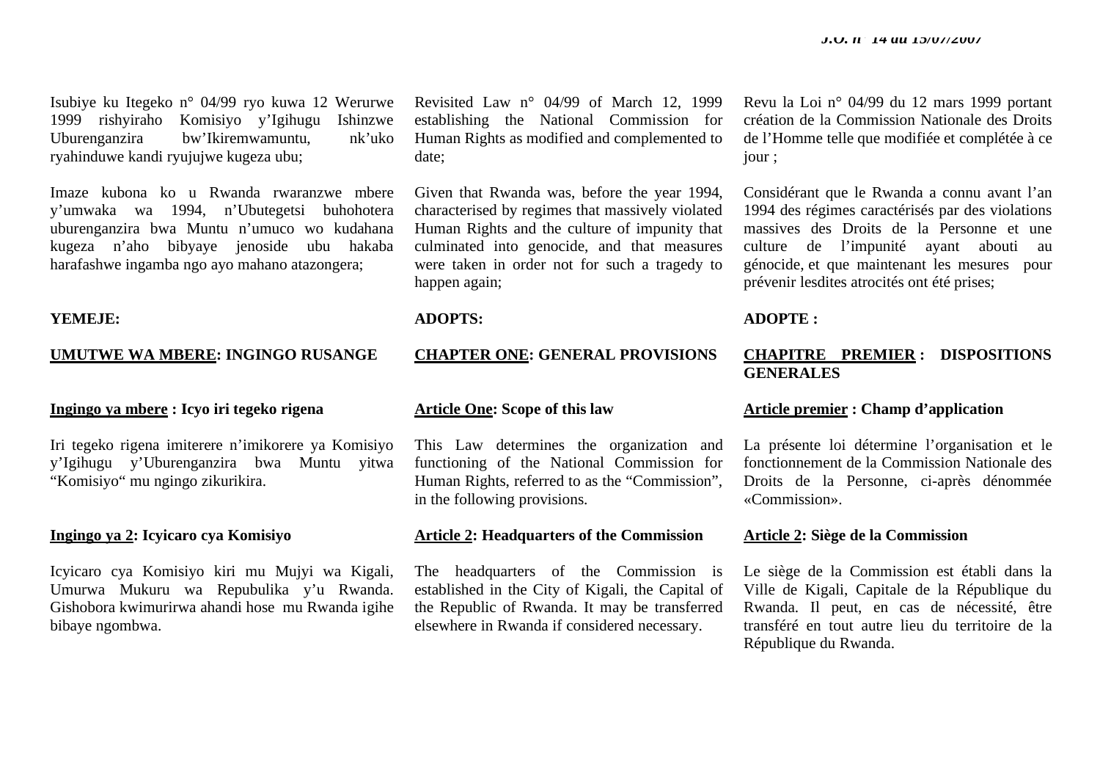Isubiye ku Itegeko n° 04/99 ryo kuwa 12 Werurwe 1999 rishyiraho Komisiyo y'Igihugu Ishinzwe bw'Ikiremwamuntu, nk'uko ryahinduwe kandi ryujujwe kugeza ubu;

Imaze kubona ko u Rwanda rwaranzwe mbere y'umwaka wa 1994, n'Ubutegetsi buhohotera uburenganzira bwa Muntu n'umuco wo kudahana kugeza n'aho bibyaye jenoside ubu hakaba harafashwe ingamba ngo ayo mahano atazongera;

#### **YEMEJE:**

#### **UMUTWE WA MBERE: INGINGO RUSANGE**

# **Ingingo ya mbere : Icyo iri tegeko rigena**

Iri tegeko rigena imiterere n'imikorere ya Komisiyo y'Igihugu y'Uburenganzira bwa Muntu yitwa "Komisiyo" mu ngingo zikurikira.

#### **Ingingo ya 2: Icyicaro cya Komisiyo**

Icyicaro cya Komisiyo kiri mu Mujyi wa Kigali, Umurwa Mukuru wa Repubulika y'u Rwanda. Gishobora kwimurirwa ahandi hose mu Rwanda igihe bibaye ngombwa.

Revisited Law n° 04/99 of March 12, 1999 establishing the National Commission for Human Rights as modified and complemented to date;

Given that Rwanda was, before the year 1994, characterised by regimes that massively violated Human Rights and the culture of impunity that culminated into genocide, and that measures were taken in order not for such a tragedy to happen again;

### **ADOPTS:**

# **CHAPTER ONE: GENERAL PROVISIONS**

#### **Article One: Scope of this law**

This Law determines the organization and functioning of the National Commission for Human Rights, referred to as the "Commission", in the following provisions.

#### **Article 2: Headquarters of the Commission**

The headquarters of the Commission is established in the City of Kigali, the Capital of the Republic of Rwanda. It may be transferred elsewhere in Rwanda if considered necessary.

Revu la Loi n° 04/99 du 12 mars 1999 portant création de la Commission Nationale des Droits de l'Homme telle que modifiée et complétée à ce jour ;

Considérant que le Rwanda a connu avant l'an 1994 des régimes caractérisés par des violations massives des Droits de la Personne et une culture de l'impunité ayant abouti au génocide, et que maintenant les mesures pour prévenir lesdites atrocités ont été prises;

**ADOPTE :** 

# **CHAPITRE PREMIER : DISPOSITIONS GENERALES**

# **Article premier : Champ d'application**

La présente loi détermine l'organisation et le fonctionnement de la Commission Nationale des Droits de la Personne, ci-après dénommée «Commission».

#### **Article 2: Siège de la Commission**

Le siège de la Commission est établi dans la Ville de Kigali, Capitale de la République du Rwanda. Il peut, en cas de nécessité, être transféré en tout autre lieu du territoire de la République du Rwanda.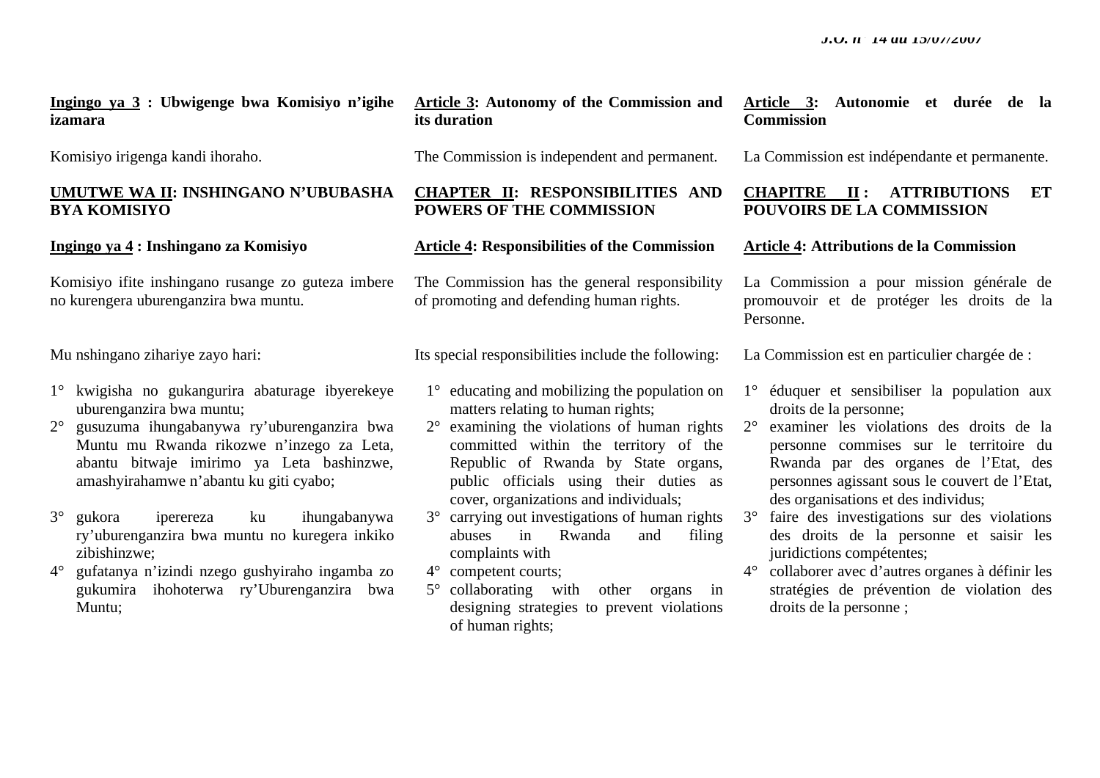**Ingingo ya 3 : Ubwigenge bwa Komisiyo n'igihe izamara**

Komisiyo irigenga kandi ihoraho.

# **UMUTWE WA II: INSHINGANO N'UBUBASHA BYA KOMISIYO**

**Ingingo ya 4 : Inshingano za Komisiyo** 

Komisiyo ifite inshingano rusange zo guteza imbere no kurengera uburenganzira bwa muntu.

Mu nshingano zihariye zayo hari:

- 1° kwigisha no gukangurira abaturage ibyerekeye uburenganzira bwa muntu;
- 2° gusuzuma ihungabanywa ry'uburenganzira bwa Muntu mu Rwanda rikozwe n'inzego za Leta, abantu bitwaje imirimo ya Leta bashinzwe, amashyirahamwe n'abantu ku giti cyabo;
- 3° gukora iperereza ku ihungabanywa ry'uburenganzira bwa muntu no kuregera inkiko zibishinzwe;
- 4° gufatanya n'izindi nzego gushyiraho ingamba zo gukumira ihohoterwa ry'Uburenganzira bwa Muntu;

**Article 3: Autonomy of the Commission and its duration** 

The Commission is independent and permanent.

# **CHAPTER II: RESPONSIBILITIES AND POWERS OF THE COMMISSION**

# **Article 4: Responsibilities of the Commission**

The Commission has the general responsibility of promoting and defending human rights.

Its special responsibilities include the following:

- 1° educating and mobilizing the population on matters relating to human rights;
- 2° examining the violations of human rights committed within the territory of the Republic of Rwanda by State organs, public officials using their duties as cover, organizations and individuals;
- 3° carrying out investigations of human rights abuses in Rwanda and filing complaints with
- 4° competent courts;
- 5° collaborating with other organs in designing strategies to prevent violations of human rights;

# **Article 3: Autonomie et durée de la Commission**

La Commission est indépendante et permanente.

# **CHAPITRE II : ATTRIBUTIONS ET POUVOIRS DE LA COMMISSION**

### **Article 4: Attributions de la Commission**

La Commission a pour mission générale de promouvoir et de protéger les droits de la Personne.

La Commission est en particulier chargée de :

- 1° éduquer et sensibiliser la population aux droits de la personne;
- 2° examiner les violations des droits de la personne commises sur le territoire du Rwanda par des organes de l'Etat, des personnes agissant sous le couvert de l'Etat, des organisations et des individus;
- 3° faire des investigations sur des violations des droits de la personne et saisir les juridictions compétentes;
	- 4° collaborer avec d'autres organes à définir les stratégies de prévention de violation des droits de la personne ;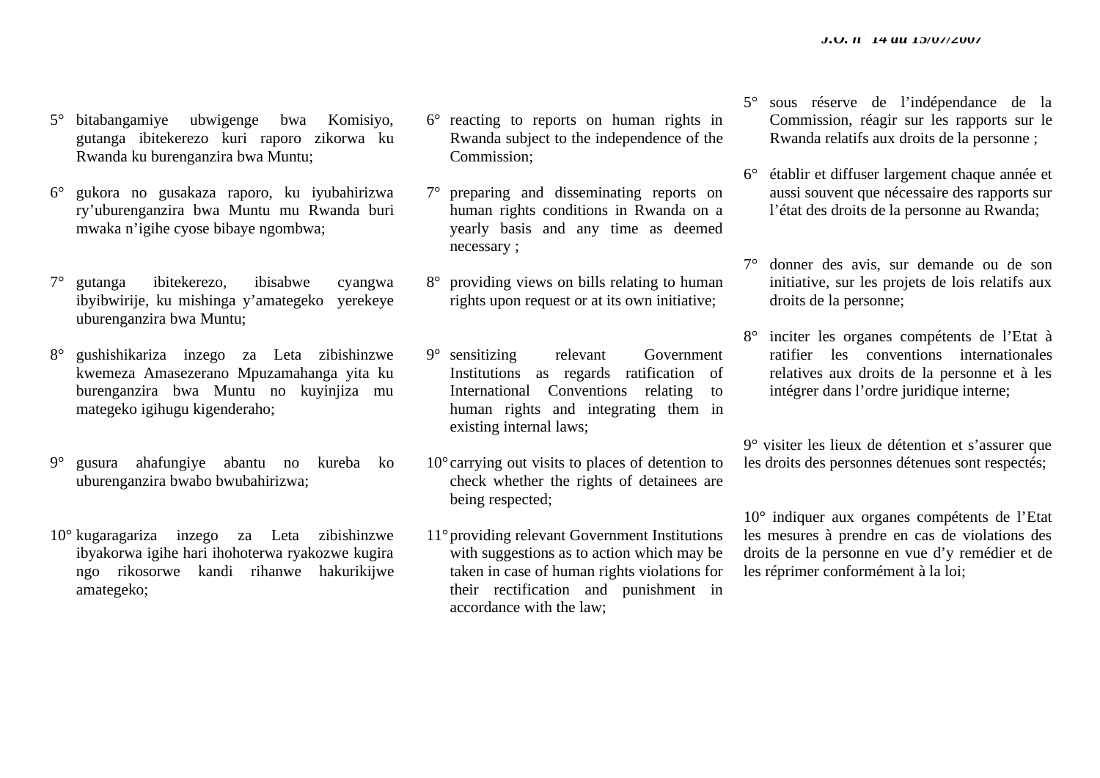- 5° bitabangamiye ubwigenge bwa Komisiyo, gutanga ibitekerezo kuri raporo zikorwa ku Rwanda ku burenganzira bwa Muntu;
- 6° gukora no gusakaza raporo, ku iyubahirizwa ry'uburenganzira bwa Muntu mu Rwanda buri mwaka n'igihe cyose bibaye ngombwa;
- 7° gutanga ibitekerezo, ibisabwe cyangwa ibyibwirije, ku mishinga y'amategeko yerekeye uburenganzira bwa Muntu;
- 8° gushishikariza inzego za Leta zibishinzwe kwemeza Amasezerano Mpuzamahanga yita ku burenganzira bwa Muntu no kuyinjiza mu mategeko igihugu kigenderaho;
- 9° gusura ahafungiye abantu no kureba ko uburenganzira bwabo bwubahirizwa;
- 10° kugaragariza inzego za Leta zibishinzwe ibyakorwa igihe hari ihohoterwa ryakozwe kugira ngo rikosorwe kandi rihanwe hakurikijwe amategeko;
- 6° reacting to reports on human rights in Rwanda subject to the independence of the Commission;
- 7° preparing and disseminating reports on human rights conditions in Rwanda on a yearly basis and any time as deemed necessary ;
- 8° providing views on bills relating to human rights upon request or at its own initiative;
- 9° sensitizing relevant Government Institutions as regards ratification of International Conventions relating to human rights and integrating them in existing internal laws;
- 10°carrying out visits to places of detention to check whether the rights of detainees are being respected;
- 11°providing relevant Government Institutions with suggestions as to action which may be taken in case of human rights violations for their rectification and punishment in accordance with the law;
- 5° sous réserve de l'indépendance de la Commission, réagir sur les rapports sur le Rwanda relatifs aux droits de la personne ;
- 6° établir et diffuser largement chaque année et aussi souvent que nécessaire des rapports sur l'état des droits de la personne au Rwanda;
- 7° donner des avis, sur demande ou de son initiative, sur les projets de lois relatifs aux droits de la personne;
- 8° inciter les organes compétents de l'Etat à ratifier les conventions internationales relatives aux droits de la personne et à les intégrer dans l'ordre juridique interne;

9° visiter les lieux de détention et s'assurer que les droits des personnes détenues sont respectés;

10**°** indiquer aux organes compétents de l'Etat les mesures à prendre en cas de violations des droits de la personne en vue d'y remédier et de les réprimer conformément à la loi;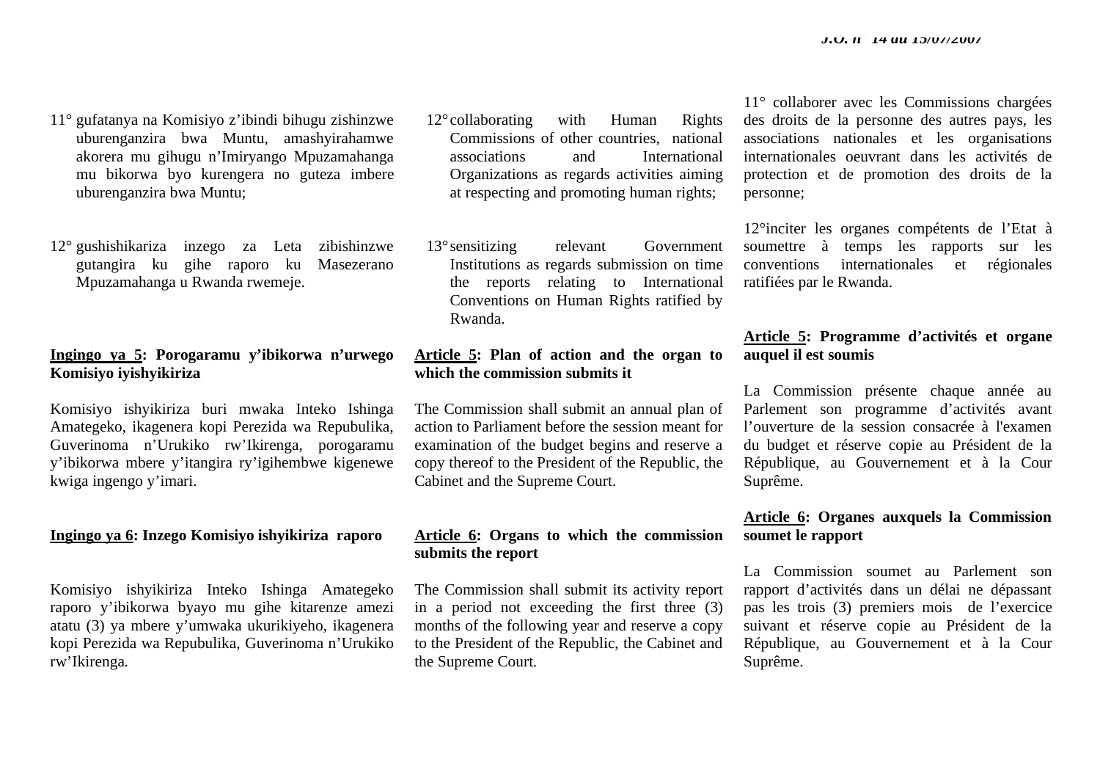- 11° gufatanya na Komisiyo z'ibindi bihugu zishinzwe uburenganzira bwa Muntu, amashyirahamwe akorera mu gihugu n'Imiryango Mpuzamahanga mu bikorwa byo kurengera no guteza imbere uburenganzira bwa Muntu;
- 12° gushishikariza inzego za Leta zibishinzwe gutangira ku gihe raporo ku Masezerano Mpuzamahanga u Rwanda rwemeje.

# **Ingingo ya 5: Porogaramu y'ibikorwa n'urwego Komisiyo iyishyikiriza**

Komisiyo ishyikiriza buri mwaka Inteko Ishinga Amategeko, ikagenera kopi Perezida wa Repubulika, Guverinoma n'Urukiko rw'Ikirenga, porogaramu y'ibikorwa mbere y'itangira ry'igihembwe kigenewe kwiga ingengo y'imari.

#### **Ingingo ya 6: Inzego Komisiyo ishyikiriza raporo**

Komisiyo ishyikiriza Inteko Ishinga Amategeko raporo y'ibikorwa byayo mu gihe kitarenze amezi atatu (3) ya mbere y'umwaka ukurikiyeho, ikagenera kopi Perezida wa Repubulika, Guverinoma n'Urukiko rw'Ikirenga.

- 12°collaborating with Human Rights Commissions of other countries, national associations and International Organizations as regards activities aiming at respecting and promoting human rights;
- 13°sensitizing relevant Government Institutions as regards submission on time the reports relating to International Conventions on Human Rights ratified by Rwanda.

# **Article 5: Plan of action and the organ to which the commission submits it**

The Commission shall submit an annual plan of action to Parliament before the session meant for examination of the budget begins and reserve a copy thereof to the President of the Republic, the Cabinet and the Supreme Court.

# **Article 6: Organs to which the commission submits the report**

The Commission shall submit its activity report in a period not exceeding the first three (3) months of the following year and reserve a copy to the President of the Republic, the Cabinet and the Supreme Court.

11° collaborer avec les Commissions chargées des droits de la personne des autres pays, les associations nationales et les organisations internationales oeuvrant dans les activités de protection et de promotion des droits de la personne;

12°inciter les organes compétents de l'Etat à soumettre à temps les rapports sur les conventions internationales et régionales ratifiées par le Rwanda.

# **Article 5: Programme d'activités et organe auquel il est soumis**

La Commission présente chaque année au Parlement son programme d'activités avant l'ouverture de la session consacrée à l'examen du budget et réserve copie au Président de la République, au Gouvernement et à la Cour Suprême.

# **Article 6: Organes auxquels la Commission soumet le rapport**

La Commission soumet au Parlement son rapport d'activités dans un délai ne dépassant pas les trois (3) premiers mois de l'exercice suivant et réserve copie au Président de la République, au Gouvernement et à la Cour Suprême.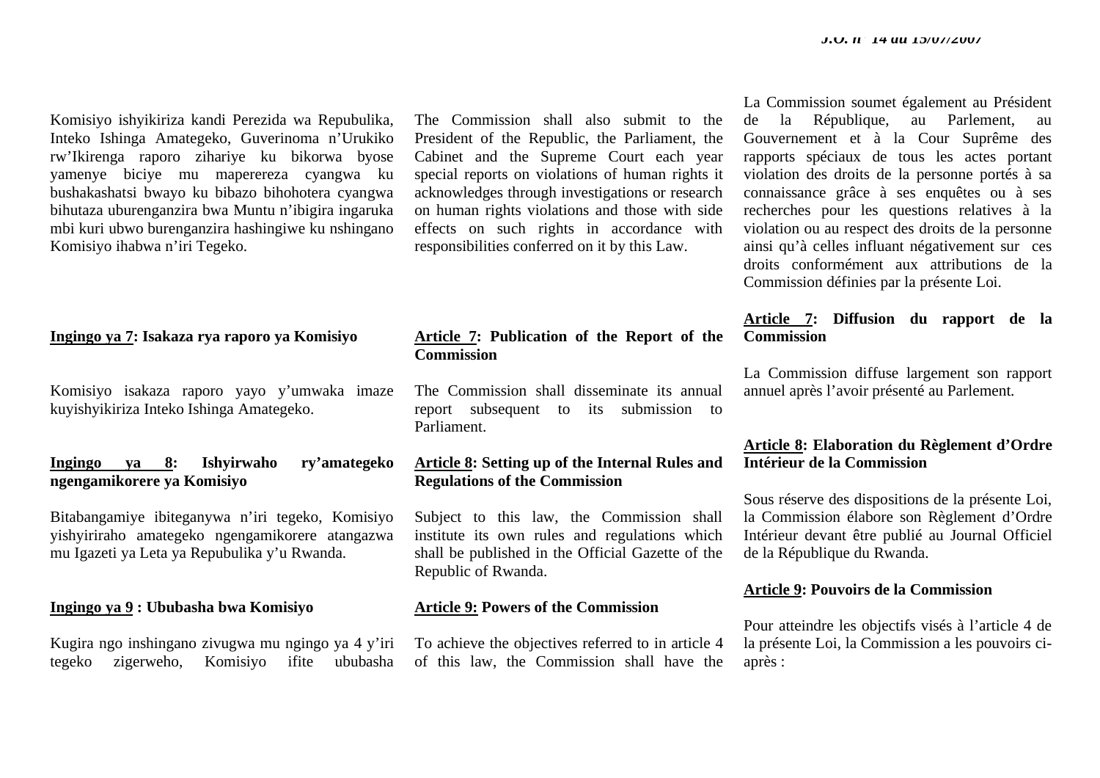Komisiyo ishyikiriza kandi Perezida wa Repubulika, Inteko Ishinga Amategeko, Guverinoma n'Urukiko rw'Ikirenga raporo zihariye ku bikorwa byose yamenye biciye mu maperereza cyangwa ku bushakashatsi bwayo ku bibazo bihohotera cyangwa bihutaza uburenganzira bwa Muntu n'ibigira ingaruka mbi kuri ubwo burenganzira hashingiwe ku nshingano Komisiyo ihabwa n'iri Tegeko.

**Ingingo ya 7: Isakaza rya raporo ya Komisiyo**

Komisiyo isakaza raporo yayo y'umwaka imaze kuyishyikiriza Inteko Ishinga Amategeko.

### **Ingingo ya 8: Ishyirwaho ry'amategeko ngengamikorere ya Komisiyo**

Bitabangamiye ibiteganywa n'iri tegeko, Komisiyo yishyiriraho amategeko ngengamikorere atangazwa mu Igazeti ya Leta ya Repubulika y'u Rwanda.

#### **Ingingo ya 9 : Ububasha bwa Komisiyo**

Kugira ngo inshingano zivugwa mu ngingo ya 4 y'iri tegeko zigerweho, Komisiyo ifite ububasha

The Commission shall also submit to the President of the Republic, the Parliament, the Cabinet and the Supreme Court each year special reports on violations of human rights it acknowledges through investigations or research on human rights violations and those with side effects on such rights in accordance with responsibilities conferred on it by this Law.

### **Article 7: Publication of the Report of the Commission**

The Commission shall disseminate its annual report subsequent to its submission to Parliament.

# **Article 8: Setting up of the Internal Rules and Regulations of the Commission**

Subject to this law, the Commission shall institute its own rules and regulations which shall be published in the Official Gazette of the Republic of Rwanda.

# **Article 9: Powers of the Commission**

To achieve the objectives referred to in article 4 of this law, the Commission shall have the La Commission soumet également au Président de la République, au Parlement, au Gouvernement et à la Cour Suprême des rapports spéciaux de tous les actes portant violation des droits de la personne portés à sa connaissance grâce à ses enquêtes ou à ses recherches pour les questions relatives à la violation ou au respect des droits de la personne ainsi qu'à celles influant négativement sur ces droits conformément aux attributions de la Commission définies par la présente Loi.

### **Article 7: Diffusion du rapport de la Commission**

La Commission diffuse largement son rapport annuel après l'avoir présenté au Parlement.

# **Article 8: Elaboration du Règlement d'Ordre Intérieur de la Commission**

Sous réserve des dispositions de la présente Loi, la Commission élabore son Règlement d'Ordre Intérieur devant être publié au Journal Officiel de la République du Rwanda.

#### **Article 9: Pouvoirs de la Commission**

Pour atteindre les objectifs visés à l'article 4 de la présente Loi, la Commission a les pouvoirs ciaprès :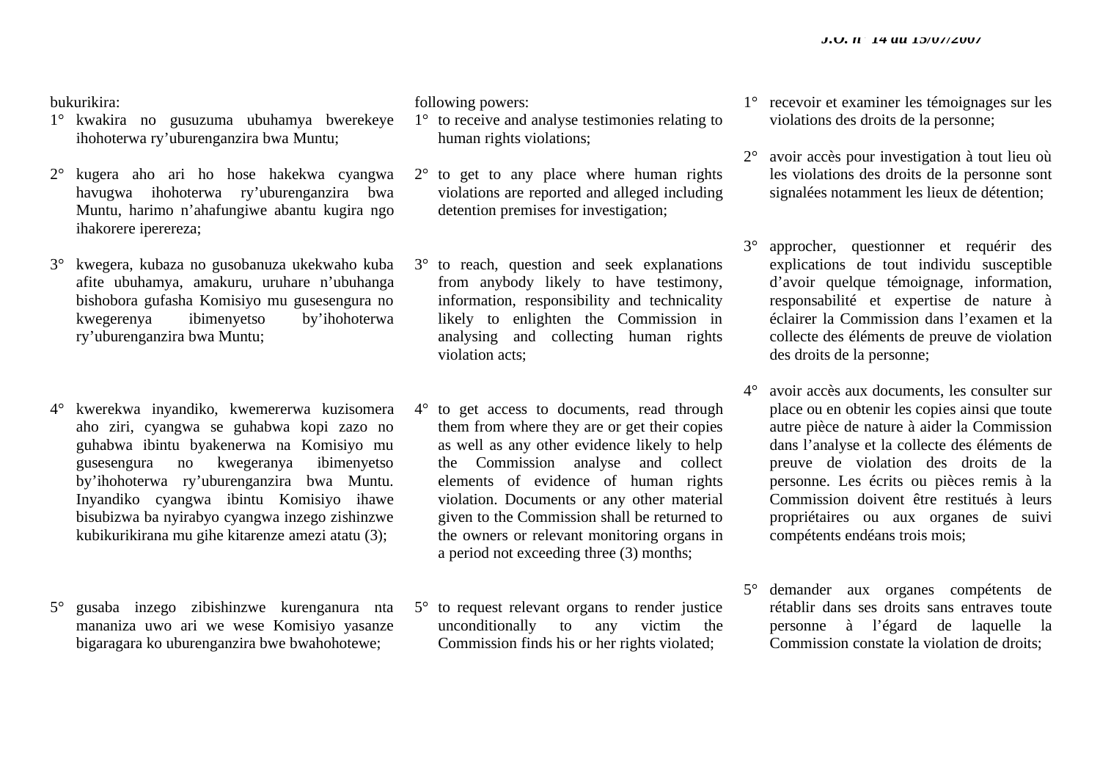#### bukurikira:

- 1° kwakira no gusuzuma ubuhamya bwerekeye ihohoterwa ry'uburenganzira bwa Muntu;
- 2° kugera aho ari ho hose hakekwa cyangwa havugwa ihohoterwa ry'uburenganzira bwa Muntu, harimo n'ahafungiwe abantu kugira ngo ihakorere iperereza;
- 3° kwegera, kubaza no gusobanuza ukekwaho kuba afite ubuhamya, amakuru, uruhare n'ubuhanga bishobora gufasha Komisiyo mu gusesengura no kwegerenya ibimenyetso by'ihohoterwa ry'uburenganzira bwa Muntu;
- 4° kwerekwa inyandiko, kwemererwa kuzisomera aho ziri, cyangwa se guhabwa kopi zazo no guhabwa ibintu byakenerwa na Komisiyo mu gusesengura no kwegeranya ibimenyetso by'ihohoterwa ry'uburenganzira bwa Muntu. Inyandiko cyangwa ibintu Komisiyo ihawe bisubizwa ba nyirabyo cyangwa inzego zishinzwe kubikurikirana mu gihe kitarenze amezi atatu (3);
- 5° gusaba inzego zibishinzwe kurenganura nta mananiza uwo ari we wese Komisiyo yasanze bigaragara ko uburenganzira bwe bwahohotewe;

following powers:

- 1° to receive and analyse testimonies relating to human rights violations;
- 2° to get to any place where human rights violations are reported and alleged including detention premises for investigation;
- 3° to reach, question and seek explanations from anybody likely to have testimony, information, responsibility and technicality likely to enlighten the Commission in analysing and collecting human rights violation acts;
- 4° to get access to documents, read through them from where they are or get their copies as well as any other evidence likely to help the Commission analyse and collect elements of evidence of human rights violation. Documents or any other material given to the Commission shall be returned to the owners or relevant monitoring organs in a period not exceeding three (3) months;
- 5° to request relevant organs to render justice unconditionally to any victim the Commission finds his or her rights violated;
- 1° recevoir et examiner les témoignages sur les violations des droits de la personne;
- 2° avoir accès pour investigation à tout lieu où les violations des droits de la personne sont signalées notamment les lieux de détention;
- 3° approcher, questionner et requérir des explications de tout individu susceptible d'avoir quelque témoignage, information, responsabilité et expertise de nature à éclairer la Commission dans l'examen et la collecte des éléments de preuve de violation des droits de la personne;
- 4° avoir accès aux documents, les consulter sur place ou en obtenir les copies ainsi que toute autre pièce de nature à aider la Commission dans l'analyse et la collecte des éléments de preuve de violation des droits de la personne. Les écrits ou pièces remis à la Commission doivent être restitués à leurs propriétaires ou aux organes de suivi compétents endéans trois mois;
- 5° demander aux organes compétents de rétablir dans ses droits sans entraves toute personne à l'égard de laquelle la Commission constate la violation de droits;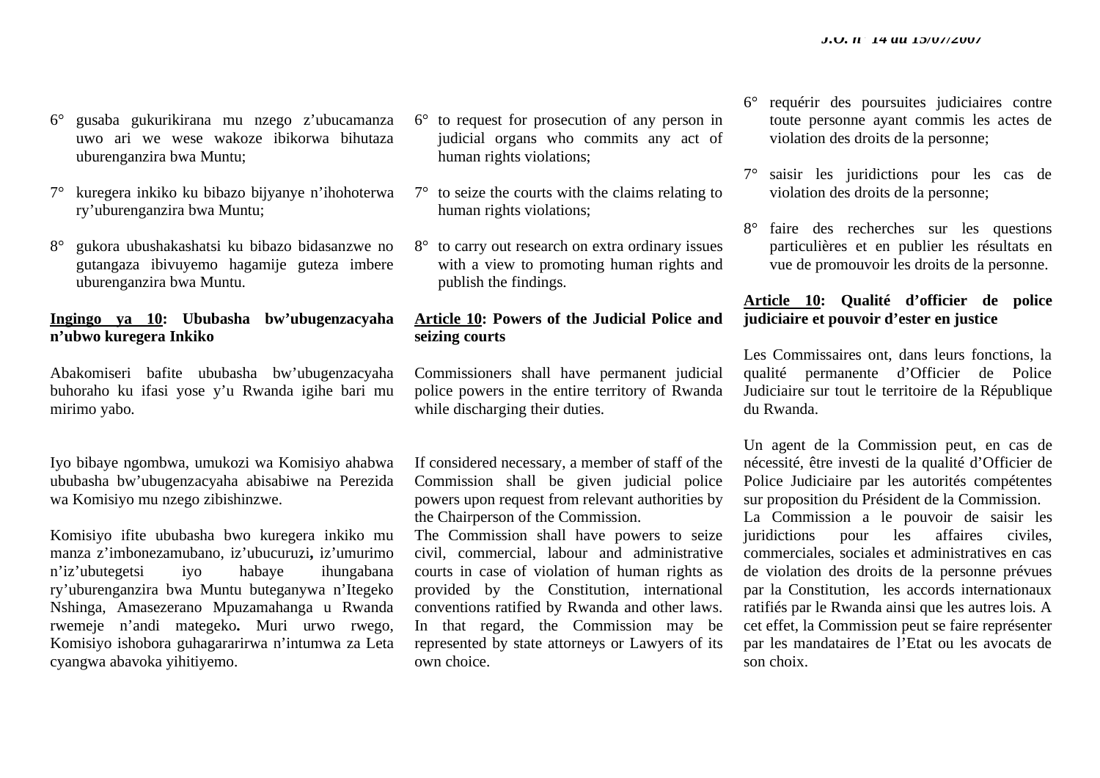- 6° gusaba gukurikirana mu nzego z'ubucamanza uwo ari we wese wakoze ibikorwa bihutaza uburenganzira bwa Muntu;
- 7° kuregera inkiko ku bibazo bijyanye n'ihohoterwa ry'uburenganzira bwa Muntu;
- 8° gukora ubushakashatsi ku bibazo bidasanzwe no gutangaza ibivuyemo hagamije guteza imbere uburenganzira bwa Muntu.

# **Ingingo ya 10: Ububasha bw'ubugenzacyaha <sup>n</sup>'ubwo kuregera Inkiko**

Abakomiseri bafite ububasha bw'ubugenzacyaha buhoraho ku ifasi yose y'u Rwanda igihe bari mu mirimo yabo.

Iyo bibaye ngombwa, umukozi wa Komisiyo ahabwa ububasha bw'ubugenzacyaha abisabiwe na Perezida wa Komisiyo mu nzego zibishinzwe.

Komisiyo ifite ububasha bwo kuregera inkiko mu manza z'imbonezamubano, iz'ubucuruzi**,** iz'umurimo <sup>n</sup>'iz'ubutegetsi iyo habaye ihungabana ry'uburenganzira bwa Muntu buteganywa n'Itegeko Nshinga, Amasezerano Mpuzamahanga u Rwanda rwemeje n'andi mategeko**.** Muri urwo rwego, Komisiyo ishobora guhagararirwa n'intumwa za Leta cyangwa abavoka yihitiyemo.

- 6° to request for prosecution of any person in judicial organs who commits any act of human rights violations;
- $7^\circ$  to seize the courts with the claims relating to human rights violations;
- 8° to carry out research on extra ordinary issues with a view to promoting human rights and publish the findings.

# **Article 10: Powers of the Judicial Police and seizing courts**

Commissioners shall have permanent judicial police powers in the entire territory of Rwanda while discharging their duties.

If considered necessary, a member of staff of the Commission shall be given judicial police powers upon request from relevant authorities by the Chairperson of the Commission.

The Commission shall have powers to seize civil, commercial, labour and administrative courts in case of violation of human rights as provided by the Constitution, international conventions ratified by Rwanda and other laws. In that regard, the Commission may be represented by state attorneys or Lawyers of its own choice.

- 6° requérir des poursuites judiciaires contre toute personne ayant commis les actes de violation des droits de la personne;
- 7° saisir les juridictions pour les cas de violation des droits de la personne;
- 8° faire des recherches sur les questions particulières et en publier les résultats en vue de promouvoir les droits de la personne.

# **Article 10: Qualité d'officier de police judiciaire et pouvoir d'ester en justice**

Les Commissaires ont, dans leurs fonctions, la qualité permanente d'Officier de Police Judiciaire sur tout le territoire de la République du Rwanda.

Un agent de la Commission peut, en cas de nécessité, être investi de la qualité d'Officier de Police Judiciaire par les autorités compétentes sur proposition du Président de la Commission. La Commission a le pouvoir de saisir les juridictions pour les affaires civiles, commerciales, sociales et administratives en cas de violation des droits de la personne prévues par la Constitution, les accords internationaux ratifiés par le Rwanda ainsi que les autres lois. A cet effet, la Commission peut se faire représenter par les mandataires de l'Etat ou les avocats de son choix.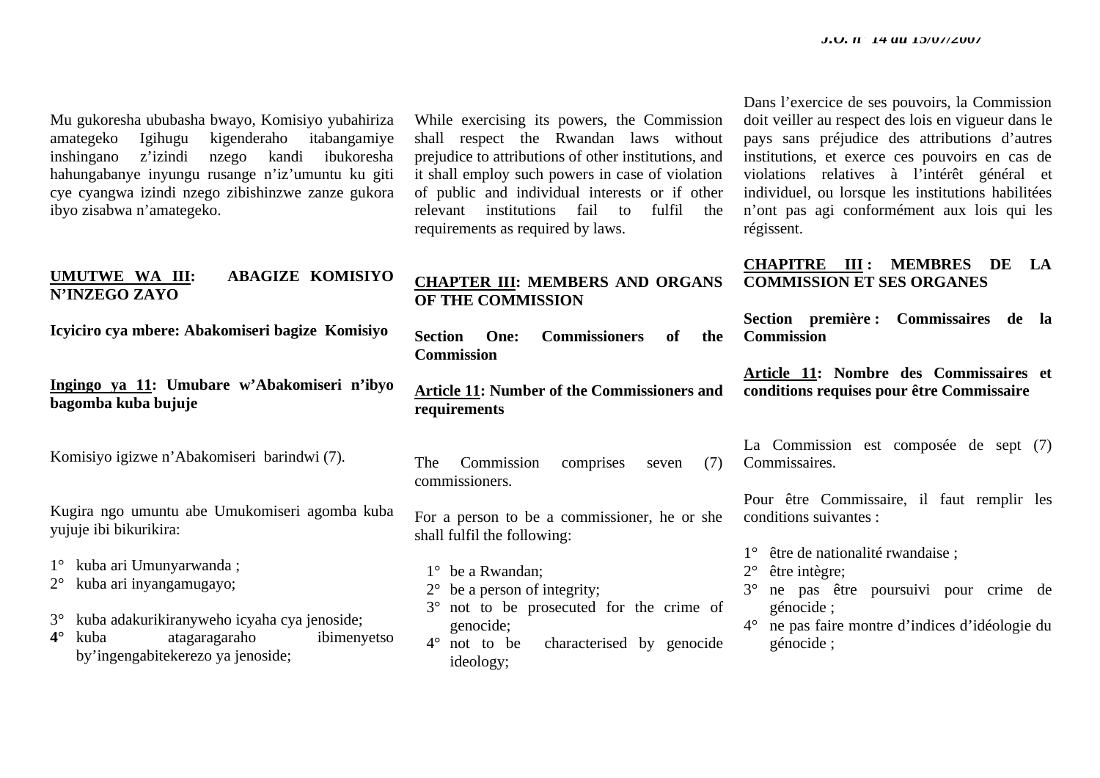Mu gukoresha ububasha bwayo, Komisiyo yubahiriza amategeko Igihugu kigenderaho itabangamiye inshingano z'izindi nzego kandi ibukoresha hahungabanye inyungu rusange n'iz'umuntu ku giti cye cyangwa izindi nzego zibishinzwe zanze gukora ibyo zisabwa n'amategeko.

# **UMUTWE WA III: ABAGIZE KOMISIYO N'INZEGO ZAYO**

**Icyiciro cya mbere: Abakomiseri bagize Komisiyo** 

**Ingingo ya 11: Umubare w'Abakomiseri n'ibyo bagomba kuba bujuje** 

Komisiyo igizwe n'Abakomiseri barindwi (7).

Kugira ngo umuntu abe Umukomiseri agomba kuba yujuje ibi bikurikira:

- 1° kuba ari Umunyarwanda ;
- 2° kuba ari inyangamugayo;
- 3° kuba adakurikiranyweho icyaha cya jenoside;
- **4°** kuba atagaragaraho ibimenyetso by'ingengabitekerezo ya jenoside;

While exercising its powers, the Commission shall respect the Rwandan laws without prejudice to attributions of other institutions, and it shall employ such powers in case of violation of public and individual interests or if other relevant institutions fail to fulfil the requirements as required by laws.

# **CHAPTER III: MEMBERS AND ORGANS OF THE COMMISSION**

**Section One: Commissioners of the Commission** 

**Article 11: Number of the Commissioners and requirements** 

The Commission comprises seven (7) commissioners.

For a person to be a commissioner, he or she shall fulfil the following:

1° be a Rwandan;

- 2° be a person of integrity;
- 3° not to be prosecuted for the crime of genocide;
- 4° not to be characterised by genocide ideology;

Dans l'exercice de ses pouvoirs, la Commission doit veiller au respect des lois en vigueur dans le pays sans préjudice des attributions d'autres institutions, et exerce ces pouvoirs en cas de violations relatives à l'intérêt général et individuel, ou lorsque les institutions habilitées <sup>n</sup>'ont pas agi conformément aux lois qui les régissent.

# **CHAPITRE III : MEMBRES DE LA COMMISSION ET SES ORGANES**

**Section première : Commissaires de la Commission** 

**Article 11: Nombre des Commissaires et conditions requises pour être Commissaire** 

La Commission est composée de sept (7) Commissaires.

Pour être Commissaire, il faut remplir les conditions suivantes :

- 1° être de nationalité rwandaise ;
- 2° être intègre;
- 3° ne pas être poursuivi pour crime de génocide ;
- 4° ne pas faire montre d'indices d'idéologie du génocide ;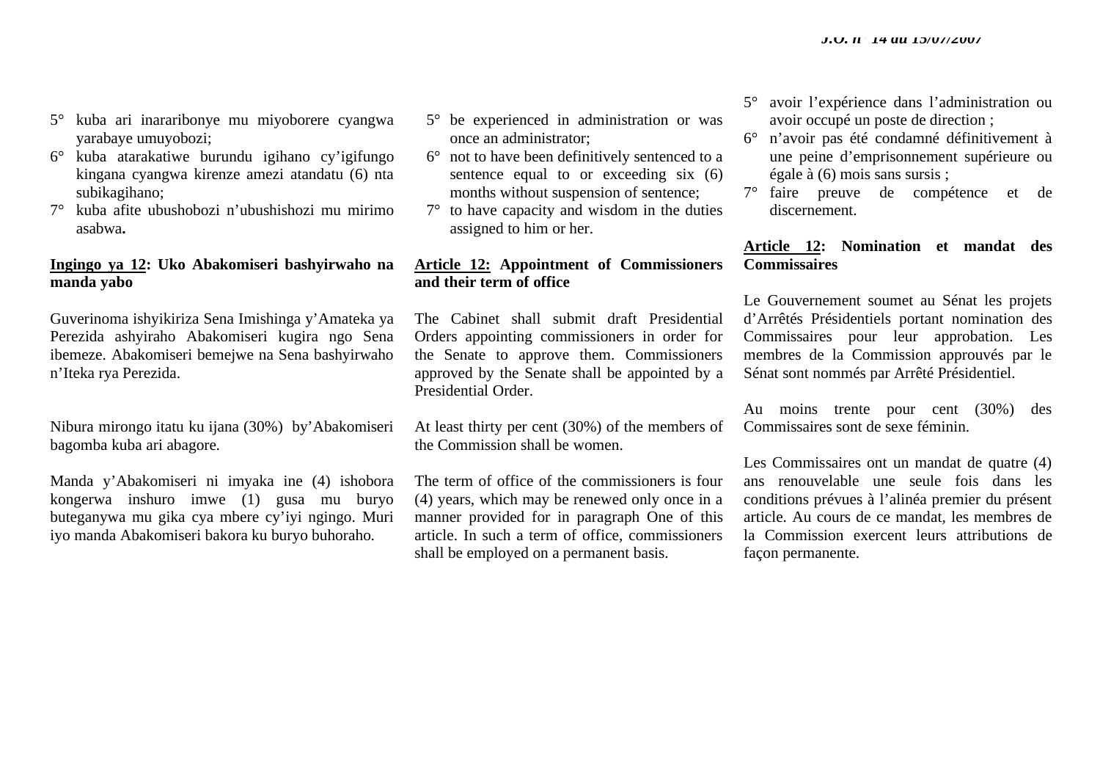- 5° kuba ari inararibonye mu miyoborere cyangwa yarabaye umuyobozi;
- 6° kuba atarakatiwe burundu igihano cy'igifungo kingana cyangwa kirenze amezi atandatu (6) nta subikagihano;
- 7° kuba afite ubushobozi n'ubushishozi mu mirimo asabwa**.**

# **Ingingo ya 12: Uko Abakomiseri bashyirwaho na manda yabo**

Guverinoma ishyikiriza Sena Imishinga y'Amateka ya Perezida ashyiraho Abakomiseri kugira ngo Sena ibemeze. Abakomiseri bemejwe na Sena bashyirwaho <sup>n</sup>'Iteka rya Perezida.

Nibura mirongo itatu ku ijana (30%) by'Abakomiseri bagomba kuba ari abagore.

Manda y'Abakomiseri ni imyaka ine (4) ishobora kongerwa inshuro imwe (1) gusa mu buryo buteganywa mu gika cya mbere cy'iyi ngingo. Muri iyo manda Abakomiseri bakora ku buryo buhoraho.

- 5° be experienced in administration or was once an administrator;
- 6° not to have been definitively sentenced to a sentence equal to or exceeding six (6) months without suspension of sentence;
- 7° to have capacity and wisdom in the duties assigned to him or her.

# **Article 12: Appointment of Commissioners and their term of office**

The Cabinet shall submit draft Presidential Orders appointing commissioners in order for the Senate to approve them. Commissioners approved by the Senate shall be appointed by a Presidential Order.

At least thirty per cent (30%) of the members of the Commission shall be women.

The term of office of the commissioners is four (4) years, which may be renewed only once in a manner provided for in paragraph One of this article. In such a term of office, commissioners shall be employed on a permanent basis.

- 5° avoir l'expérience dans l'administration ou avoir occupé un poste de direction ;
- 6° <sup>n</sup>'avoir pas été condamné définitivement à une peine d'emprisonnement supérieure ou égale à (6) mois sans sursis ;
- 7° faire preuve de compétence et de discernement.

# **Article 12: Nomination et mandat des Commissaires**

Le Gouvernement soumet au Sénat les projets d'Arrêtés Présidentiels portant nomination des Commissaires pour leur approbation. Les membres de la Commission approuvés par le Sénat sont nommés par Arrêté Présidentiel.

Au moins trente pour cent (30%) des Commissaires sont de sexe féminin.

Les Commissaires ont un mandat de quatre (4) ans renouvelable une seule fois dans les conditions prévues à l'alinéa premier du présent article. Au cours de ce mandat, les membres de la Commission exercent leurs attributions de façon permanente.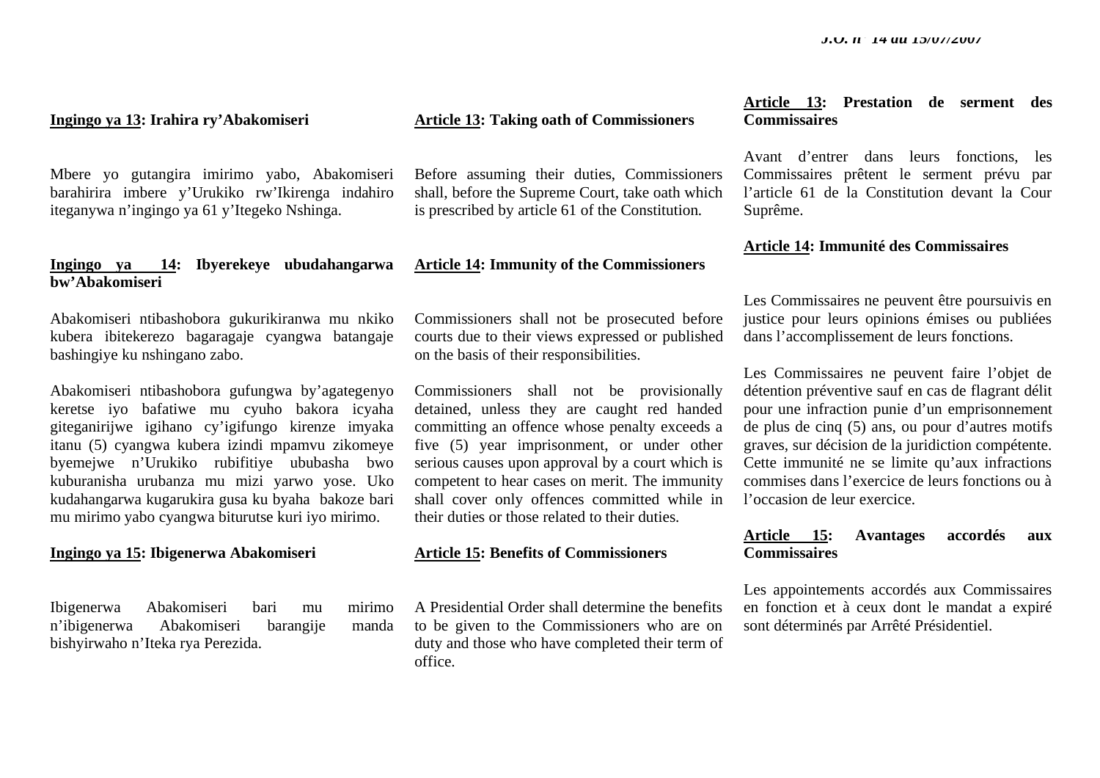#### **Ingingo ya 13: Irahira ry'Abakomiseri**

Mbere yo gutangira imirimo yabo, Abakomiseri barahirira imbere y'Urukiko rw'Ikirenga indahiro iteganywa n'ingingo ya 61 y'Itegeko Nshinga.

### **Ingingo ya 14: Ibyerekeye ubudahangarwa bw'Abakomiseri**

Abakomiseri ntibashobora gukurikiranwa mu nkiko kubera ibitekerezo bagaragaje cyangwa batangaje bashingiye ku nshingano zabo.

Abakomiseri ntibashobora gufungwa by'agategenyo keretse iyo bafatiwe mu cyuho bakora icyaha giteganirijwe igihano cy'igifungo kirenze imyaka itanu (5) cyangwa kubera izindi mpamvu zikomeye byemejwe n'Urukiko rubifitiye ububasha bwo kuburanisha urubanza mu mizi yarwo yose. Uko kudahangarwa kugarukira gusa ku byaha bakoze bari mu mirimo yabo cyangwa biturutse kuri iyo mirimo.

#### **Ingingo ya 15: Ibigenerwa Abakomiseri**

Ibigenerwa Abakomiseri bari mu mirimo <sup>n</sup>'ibigenerwa Abakomiseri barangije manda bishyirwaho n'Iteka rya Perezida.

### **Article 13: Taking oath of Commissioners**

Before assuming their duties, Commissioners shall, before the Supreme Court, take oath which is prescribed by article 61 of the Constitution.

#### **Article 14: Immunity of the Commissioners**

Commissioners shall not be prosecuted before courts due to their views expressed or published on the basis of their responsibilities.

Commissioners shall not be provisionally detained, unless they are caught red handed committing an offence whose penalty exceeds a five (5) year imprisonment, or under other serious causes upon approval by a court which is competent to hear cases on merit. The immunity shall cover only offences committed while in their duties or those related to their duties.

#### **Article 15: Benefits of Commissioners**

A Presidential Order shall determine the benefits to be given to the Commissioners who are on duty and those who have completed their term of office.

# **Article 13: Prestation de serment des Commissaires**

Avant d'entrer dans leurs fonctions, les Commissaires prêtent le serment prévu par l'article 61 de la Constitution devant la Cour Suprême.

#### **Article 14: Immunité des Commissaires**

Les Commissaires ne peuvent être poursuivis en justice pour leurs opinions émises ou publiées dans l'accomplissement de leurs fonctions.

Les Commissaires ne peuvent faire l'objet de détention préventive sauf en cas de flagrant délit pour une infraction punie d'un emprisonnement de plus de cinq (5) ans, ou pour d'autres motifs graves, sur décision de la juridiction compétente. Cette immunité ne se limite qu'aux infractions commises dans l'exercice de leurs fonctions ou à l'occasion de leur exercice.

# **Article 15: Avantages accordés aux Commissaires**

Les appointements accordés aux Commissaires en fonction et à ceux dont le mandat a expiré sont déterminés par Arrêté Présidentiel.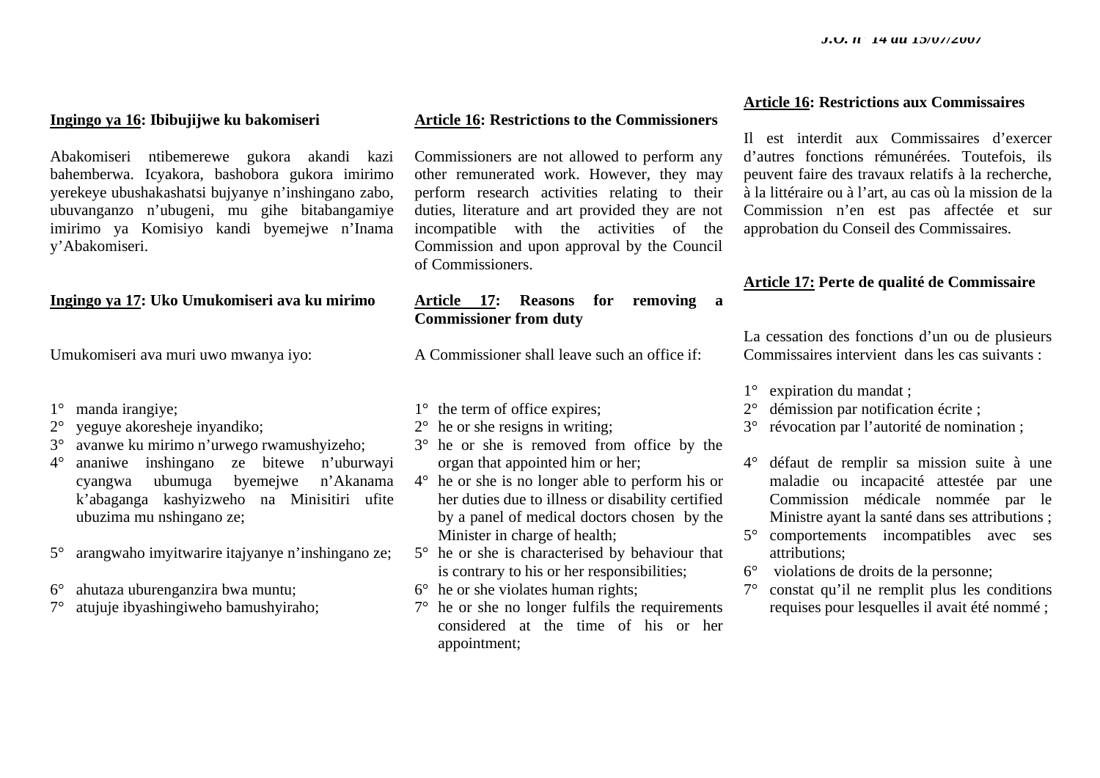### **Ingingo ya 16: Ibibujijwe ku bakomiseri**

Abakomiseri ntibemerewe gukora akandi kazi bahemberwa. Icyakora, bashobora gukora imirimo yerekeye ubushakashatsi bujyanye <sup>n</sup>'inshingano zabo, ubuvanganzo n'ubugeni, mu gihe bitabangamiye imirimo ya Komisiyo kandi byemejwe n'Inama y'Abakomiseri.

# **Ingingo ya 17: Uko Umukomiseri ava ku mirimo**

Umukomiseri ava muri uwo mwanya iyo:

- 1° manda irangiye;
- 2° yeguye akoresheje inyandiko;
- 3° avanwe ku mirimo n'urwego rwamushyizeho;
- 4° ananiwe inshingano ze bitewe n'uburwayi cyangwa ubumuga byemejwe n'Akanama k'abaganga kashyizweho na Minisitiri ufite ubuzima mu nshingano ze;
- 5° arangwaho imyitwarire itajyanye n'inshingano ze;
- 6° ahutaza uburenganzira bwa muntu;
- 7° atujuje ibyashingiweho bamushyiraho;

#### **Article 16: Restrictions to the Commissioners**

Commissioners are not allowed to perform any other remunerated work. However, they may perform research activities relating to their duties, literature and art provided they are not incompatible with the activities of the Commission and upon approval by the Council of Commissioners.

# **Article 17: Reasons for removing a Commissioner from duty**

A Commissioner shall leave such an office if:

# 1° the term of office expires;

- $2^{\circ}$  he or she resigns in writing;
- 3° he or she is removed from office by the organ that appointed him or her;
- 4° he or she is no longer able to perform his or her duties due to illness or disability certified by a panel of medical doctors chosen by the Minister in charge of health;
- 5° he or she is characterised by behaviour that is contrary to his or her responsibilities;
- $6^\circ$  he or she violates human rights;
- 7° he or she no longer fulfils the requirements considered at the time of his or her appointment;

### **Article 16: Restrictions aux Commissaires**

Il est interdit aux Commissaires d'exercer d'autres fonctions rémunérées. Toutefois, ils peuvent faire des travaux relatifs à la recherche, à la littéraire ou à l'art, au cas où la mission de la Commission n'en est pas affectée et sur approbation du Conseil des Commissaires.

# **Article 17: Perte de qualité de Commissaire**

La cessation des fonctions d'un ou de plusieurs Commissaires intervient dans les cas suivants :

1° expiration du mandat ;

- 2° démission par notification écrite ;
- 3° révocation par l'autorité de nomination ;
- 4° défaut de remplir sa mission suite à une maladie ou incapacité attestée par une Commission médicale nommée par le Ministre ayant la santé dans ses attributions ;
- 5° comportements incompatibles avec ses attributions;
- 6° violations de droits de la personne;
- 7° constat qu'il ne remplit plus les conditions requises pour lesquelles il avait été nommé ;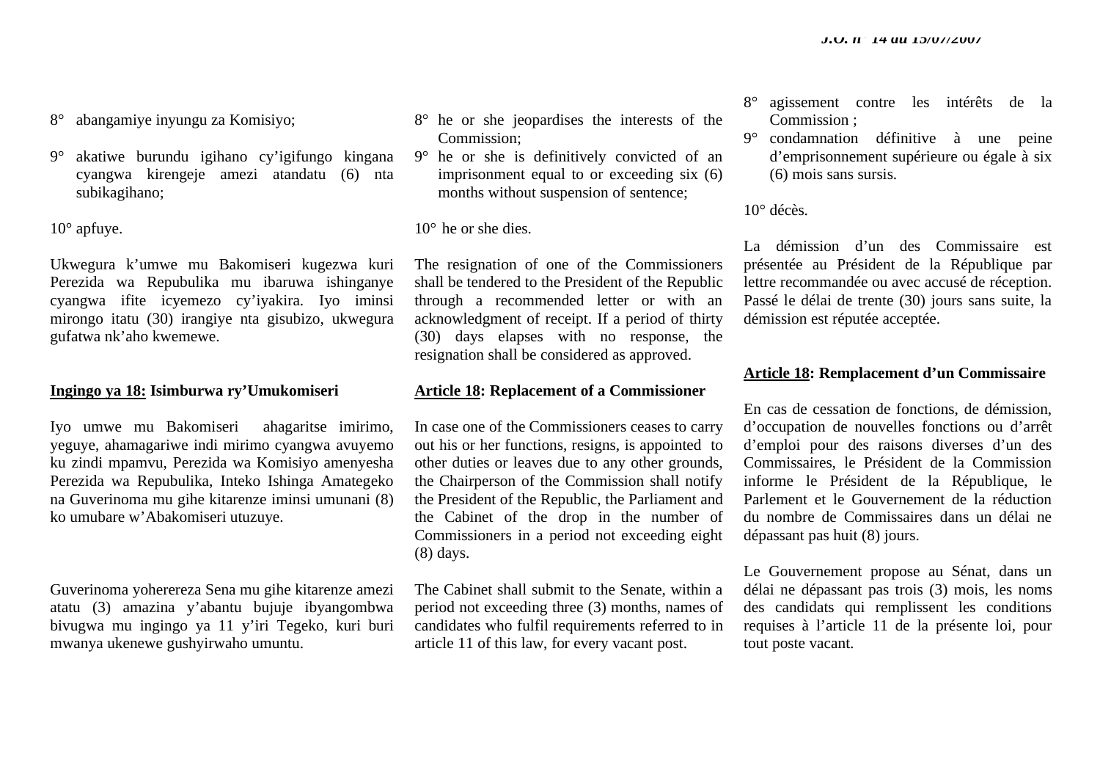8° abangamiye inyungu za Komisiyo;

9° akatiwe burundu igihano cy'igifungo kingana cyangwa kirengeje amezi atandatu (6) nta subikagihano;

 $10^{\circ}$  apfuye.

Ukwegura k'umwe mu Bakomiseri kugezwa kuri Perezida wa Repubulika mu ibaruwa ishinganye cyangwa ifite icyemezo cy'iyakira. Iyo iminsi mirongo itatu (30) irangiye nta gisubizo, ukwegura gufatwa nk'aho kwemewe.

#### **Ingingo ya 18: Isimburwa ry'Umukomiseri**

Iyo umwe mu Bakomiseri ahagaritse imirimo, yeguye, ahamagariwe indi mirimo cyangwa avuyemo ku zindi mpamvu, Perezida wa Komisiyo amenyesha Perezida wa Repubulika, Inteko Ishinga Amategeko na Guverinoma mu gihe kitarenze iminsi umunani (8) ko umubare w'Abakomiseri utuzuye.

Guverinoma yoherereza Sena mu gihe kitarenze amezi atatu (3) amazina y'abantu bujuje ibyangombwa bivugwa mu ingingo ya 11 y'iri Tegeko, kuri buri mwanya ukenewe gushyirwaho umuntu.

- 8° he or she jeopardises the interests of the Commission;
- 9° he or she is definitively convicted of an imprisonment equal to or exceeding six (6) months without suspension of sentence;

10° he or she dies.

The resignation of one of the Commissioners shall be tendered to the President of the Republic through a recommended letter or with an acknowledgment of receipt. If a period of thirty (30) days elapses with no response, the resignation shall be considered as approved.

### **Article 18: Replacement of a Commissioner**

In case one of the Commissioners ceases to carry out his or her functions, resigns, is appointed to other duties or leaves due to any other grounds, the Chairperson of the Commission shall notify the President of the Republic, the Parliament and the Cabinet of the drop in the number of Commissioners in a period not exceeding eight (8) days.

The Cabinet shall submit to the Senate, within a period not exceeding three (3) months, names of candidates who fulfil requirements referred to in article 11 of this law, for every vacant post.

- 8° agissement contre les intérêts de la Commission ;
- 9° condamnation définitive à une peine d'emprisonnement supérieure ou égale à six (6) mois sans sursis.

10° décès.

La démission d'un des Commissaire est présentée au Président de la République par lettre recommandée ou avec accusé de réception. Passé le délai de trente (30) jours sans suite, la démission est réputée acceptée.

### **Article 18: Remplacement d'un Commissaire**

En cas de cessation de fonctions, de démission, d'occupation de nouvelles fonctions ou d'arrêt d'emploi pour des raisons diverses d'un des Commissaires, le Président de la Commission informe le Président de la République, le Parlement et le Gouvernement de la réduction du nombre de Commissaires dans un délai ne dépassant pas huit (8) jours.

Le Gouvernement propose au Sénat, dans un délai ne dépassant pas trois (3) mois, les noms des candidats qui remplissent les conditions requises à l'article 11 de la présente loi, pour tout poste vacant.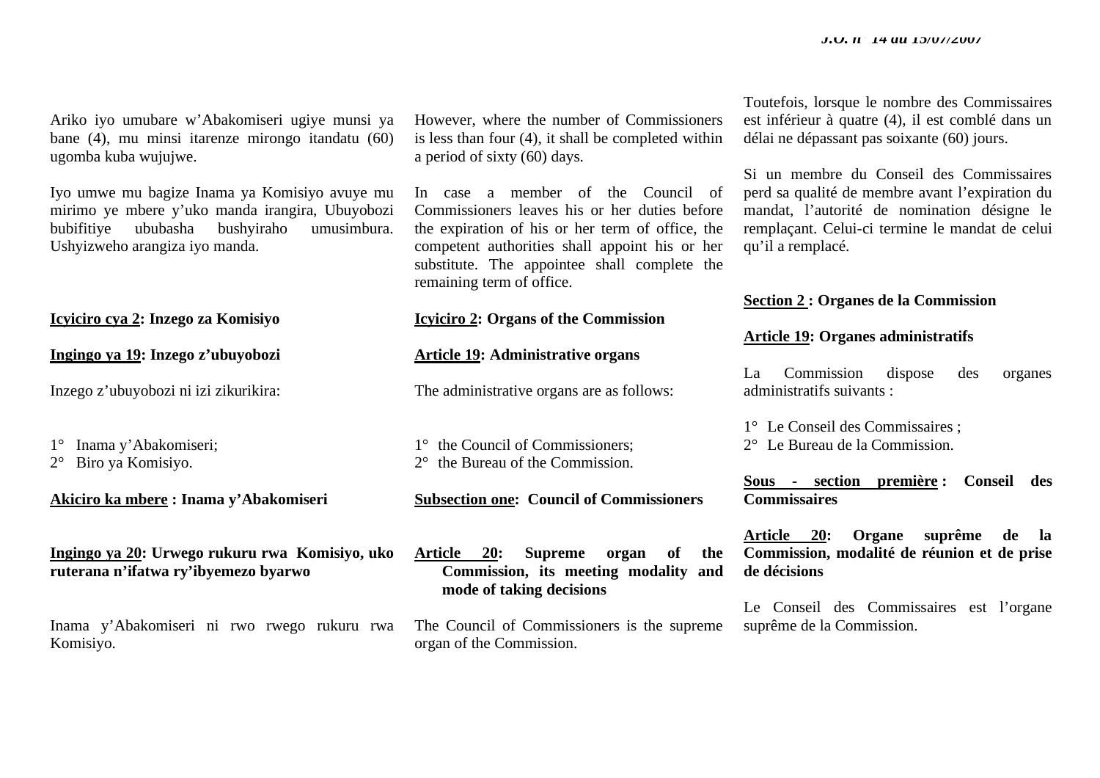Ariko iyo umubare w'Abakomiseri ugiye munsi ya bane (4), mu minsi itarenze mirongo itandatu (60) ugomba kuba wujujwe.

Iyo umwe mu bagize Inama ya Komisiyo avuye mu mirimo ye mbere y'uko manda irangira, Ubuyobozi bubifitiye ububasha bushyiraho umusimbura. Ushyizweho arangiza iyo manda.

### **Icyiciro cya 2: Inzego za Komisiyo**

**Ingingo ya 19: Inzego z'ubuyobozi** 

Inzego z'ubuyobozi ni izi zikurikira:

1° Inama y'Abakomiseri;

2° Biro ya Komisiyo.

**Akiciro ka mbere : Inama y'Abakomiseri** 

# **Ingingo ya 20: Urwego rukuru rwa Komisiyo, uko ruterana n'ifatwa ry'ibyemezo byarwo**

Inama y'Abakomiseri ni rwo rwego rukuru rwa Komisiyo.

However, where the number of Commissioners is less than four (4), it shall be completed within a period of sixty (60) days.

In case a member of the Council of Commissioners leaves his or her duties before the expiration of his or her term of office, the competent authorities shall appoint his or her substitute. The appointee shall complete the remaining term of office.

# **Icyiciro 2: Organs of the Commission**

### **Article 19: Administrative organs**

The administrative organs are as follows:

1° the Council of Commissioners; 2° the Bureau of the Commission.

**Subsection one: Council of Commissioners** 

**Article 20: Supreme organ of the Commission, its meeting modality and mode of taking decisions** 

The Council of Commissioners is the supreme organ of the Commission.

Toutefois, lorsque le nombre des Commissaires est inférieur à quatre (4), il est comblé dans un délai ne dépassant pas soixante (60) jours.

Si un membre du Conseil des Commissaires perd sa qualité de membre avant l'expiration du mandat, l'autorité de nomination désigne le remplaçant. Celui-ci termine le mandat de celui qu'il a remplacé.

# **Section 2 : Organes de la Commission**

#### **Article 19: Organes administratifs**

La Commission dispose des organes administratifs suivants :

1° Le Conseil des Commissaires ;

2° Le Bureau de la Commission.

**Sous - section première : Conseil des Commissaires** 

**Article 20: Organe suprême de la Commission, modalité de réunion et de prise de décisions** 

Le Conseil des Commissaires est l'organe suprême de la Commission.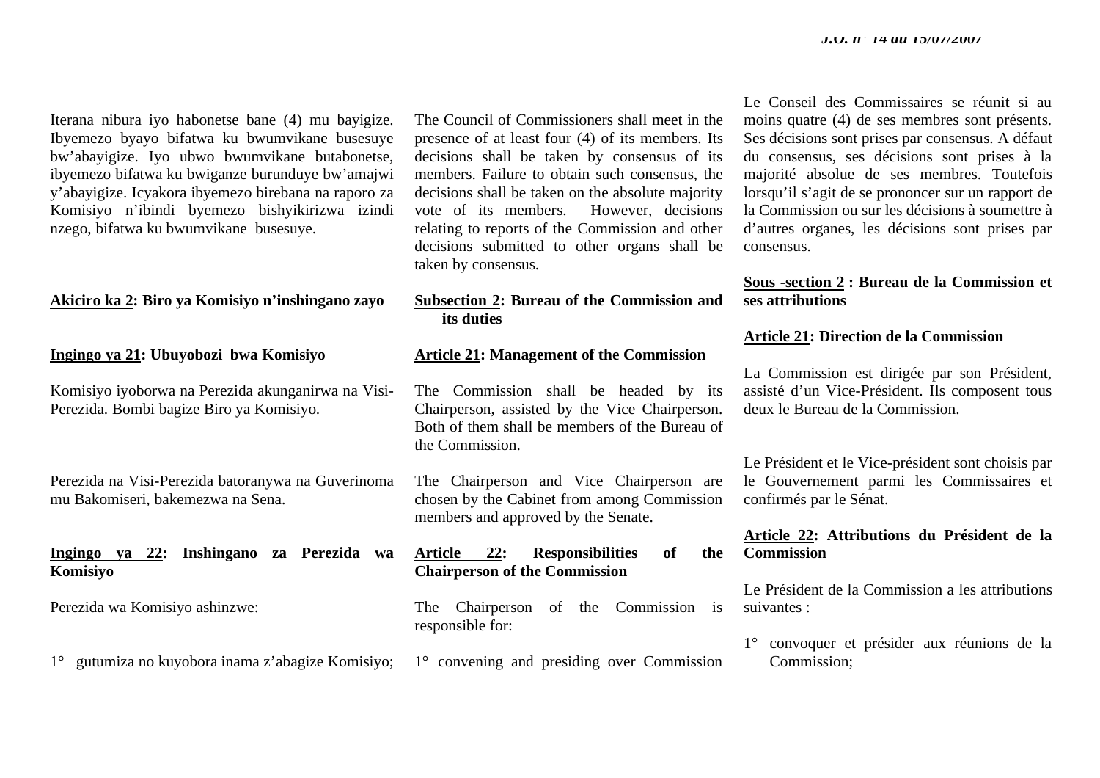Iterana nibura iyo habonetse bane (4) mu bayigize. Ibyemezo byayo bifatwa ku bwumvikane busesuye bw'abayigize. Iyo ubwo bwumvikane butabonetse, ibyemezo bifatwa ku bwiganze burunduye bw'amajwi y'abayigize. Icyakora ibyemezo birebana na raporo za Komisiyo n'ibindi byemezo bishyikirizwa izindi nzego, bifatwa ku bwumvikane busesuye.

#### **Akiciro ka 2: Biro ya Komisiyo n'inshingano zayo**

**Ingingo ya 21: Ubuyobozi bwa Komisiyo** 

Komisiyo iyoborwa na Perezida akunganirwa na Visi-Perezida. Bombi bagize Biro ya Komisiyo.

Perezida na Visi-Perezida batoranywa na Guverinoma mu Bakomiseri, bakemezwa na Sena.

## **Ingingo ya 22: Inshingano za Perezida wa Komisiyo**

Perezida wa Komisiyo ashinzwe:

1° gutumiza no kuyobora inama z'abagize Komisiyo;

The Council of Commissioners shall meet in the presence of at least four (4) of its members. Its decisions shall be taken by consensus of its members. Failure to obtain such consensus, the decisions shall be taken on the absolute majority vote of its members. However, decisions relating to reports of the Commission and other decisions submitted to other organs shall be taken by consensus.

# **Subsection 2: Bureau of the Commission and its duties**

#### **Article 21: Management of the Commission**

The Commission shall be headed by its Chairperson, assisted by the Vice Chairperson. Both of them shall be members of the Bureau of the Commission.

The Chairperson and Vice Chairperson are chosen by the Cabinet from among Commission members and approved by the Senate.

### **Article 22: Responsibilities of the Chairperson of the Commission**

The Chairperson of the Commission is responsible for:

1° convening and presiding over Commission

Le Conseil des Commissaires se réunit si au moins quatre (4) de ses membres sont présents. Ses décisions sont prises par consensus. A défaut du consensus, ses décisions sont prises à la majorité absolue de ses membres. Toutefois lorsqu'il s'agit de se prononcer sur un rapport de la Commission ou sur les décisions à soumettre à d'autres organes, les décisions sont prises par consensus.

# **Sous -section 2 : Bureau de la Commission et ses attributions**

#### **Article 21: Direction de la Commission**

La Commission est dirigée par son Président, assisté d'un Vice-Président. Ils composent tous deux le Bureau de la Commission.

Le Président et le Vice-président sont choisis par le Gouvernement parmi les Commissaires et confirmés par le Sénat.

### **Article 22: Attributions du Président de la Commission**

Le Président de la Commission a les attributions suivantes :

1° convoquer et présider aux réunions de la Commission;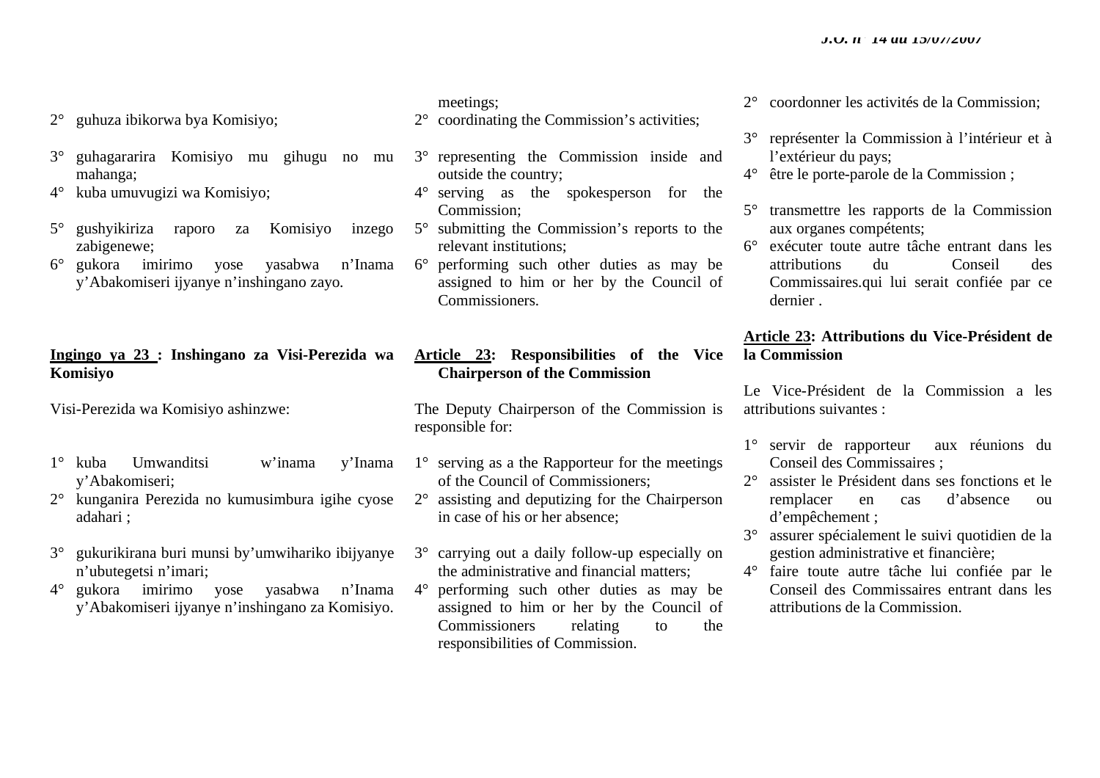- 2° guhuza ibikorwa bya Komisiyo;
- 3° guhagararira Komisiyo mu gihugu no mu mahanga;
- 4° kuba umuvugizi wa Komisiyo;
- 5° gushyikiriza raporo za Komisiyo inzego zabigenewe;
- 6° gukora imirimo yose yasabwa n'Inama y'Abakomiseri ijyanye n'inshingano zayo.

# **Ingingo ya 23 : Inshingano za Visi-Perezida wa Komisiyo**

Visi-Perezida wa Komisiyo ashinzwe:

- 1° kuba Umwanditsi w'inama y'Inama y'Abakomiseri;
- 2° kunganira Perezida no kumusimbura igihe cyose adahari ;
- 3° gukurikirana buri munsi by'umwihariko ibijyanye <sup>n</sup>'ubutegetsi n'imari;
- 4° gukora imirimo yose yasabwa n'Inama y'Abakomiseri ijyanye n'inshingano za Komisiyo.

meetings;

- 2° coordinating the Commission's activities;
- 3° representing the Commission inside and outside the country;
- 4° serving as the spokesperson for the Commission;
- 5° submitting the Commission's reports to the relevant institutions;
- 6° performing such other duties as may be assigned to him or her by the Council of Commissioners.

**Article 23: Responsibilities of the Vice Chairperson of the Commission** 

The Deputy Chairperson of the Commission is responsible for:

- 1° serving as a the Rapporteur for the meetings of the Council of Commissioners;
- 2° assisting and deputizing for the Chairperson in case of his or her absence;
- 3° carrying out a daily follow-up especially on the administrative and financial matters;
- 4° performing such other duties as may be assigned to him or her by the Council of Commissioners relating to the responsibilities of Commission.
- 2° coordonner les activités de la Commission;
- 3° représenter la Commission à l'intérieur et à l'extérieur du pays;
- 4° être le porte-parole de la Commission ;
- 5° transmettre les rapports de la Commission aux organes compétents;
- 6° exécuter toute autre tâche entrant dans les attributions du Conseil des Commissaires.qui lui serait confiée par ce dernier .

# **Article 23: Attributions du Vice-Président de la Commission**

Le Vice-Président de la Commission a les attributions suivantes :

- 1° servir de rapporteur aux réunions du Conseil des Commissaires ;
- 2° assister le Président dans ses fonctions et le remplacer en cas d'absence ou d'empêchement ;
- 3° assurer spécialement le suivi quotidien de la gestion administrative et financière;
- 4° faire toute autre tâche lui confiée par le Conseil des Commissaires entrant dans les attributions de la Commission.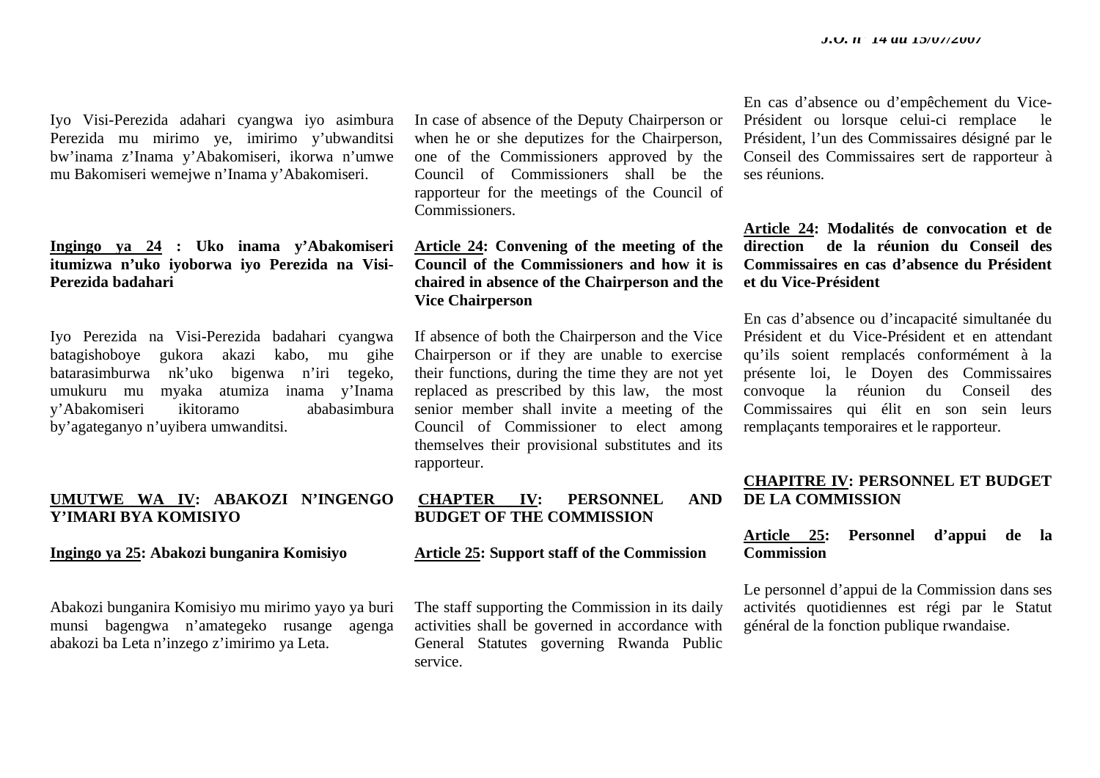Iyo Visi-Perezida adahari cyangwa iyo asimbura Perezida mu mirimo ye, imirimo y'ubwanditsi bw'inama z'Inama y'Abakomiseri, ikorwa n'umwe mu Bakomiseri wemejwe n'Inama y'Abakomiseri.

**Ingingo ya 24 : Uko inama y'Abakomiseri itumizwa n'uko iyoborwa iyo Perezida na Visi-Perezida badahari** 

Iyo Perezida na Visi-Perezida badahari cyangwa batagishoboye gukora akazi kabo, mu gihe batarasimburwa nk'uko bigenwa n'iri tegeko, umukuru mu myaka atumiza inama y'Inama y'Abakomiseri ikitoramo ababasimbura by'agateganyo n'uyibera umwanditsi.

# **UMUTWE WA IV: ABAKOZI N'INGENGO Y'IMARI BYA KOMISIYO**

#### **Ingingo ya 25: Abakozi bunganira Komisiyo**

Abakozi bunganira Komisiyo mu mirimo yayo ya buri munsi bagengwa n'amategeko rusange agenga abakozi ba Leta n'inzego z'imirimo ya Leta.

In case of absence of the Deputy Chairperson or when he or she deputizes for the Chairperson, one of the Commissioners approved by the Council of Commissioners shall be the rapporteur for the meetings of the Council of Commissioners.

**Article 24: Convening of the meeting of the Council of the Commissioners and how it is chaired in absence of the Chairperson and the Vice Chairperson** 

If absence of both the Chairperson and the Vice Chairperson or if they are unable to exercise their functions, during the time they are not yet replaced as prescribed by this law, the most senior member shall invite a meeting of the Council of Commissioner to elect among themselves their provisional substitutes and its rapporteur.

# **CHAPTER IV: PERSONNEL AND BUDGET OF THE COMMISSION**

#### **Article 25: Support staff of the Commission**

The staff supporting the Commission in its daily activities shall be governed in accordance with General Statutes governing Rwanda Public service.

En cas d'absence ou d'empêchement du Vice-Président ou lorsque celui-ci remplace le Président, l'un des Commissaires désigné par le Conseil des Commissaires sert de rapporteur à ses réunions.

**Article 24: Modalités de convocation et de direction de la réunion du Conseil des Commissaires en cas d'absence du Président et du Vice-Président** 

En cas d'absence ou d'incapacité simultanée du Président et du Vice-Président et en attendant qu'ils soient remplacés conformément à la présente loi, le Doyen des Commissaires convoque la réunion du Conseil des Commissaires qui élit en son sein leurs remplaçants temporaires et le rapporteur.

# **CHAPITRE IV: PERSONNEL ET BUDGET DE LA COMMISSION**

# **Article 25: Personnel d'appui de la Commission**

Le personnel d'appui de la Commission dans ses activités quotidiennes est régi par le Statut général de la fonction publique rwandaise.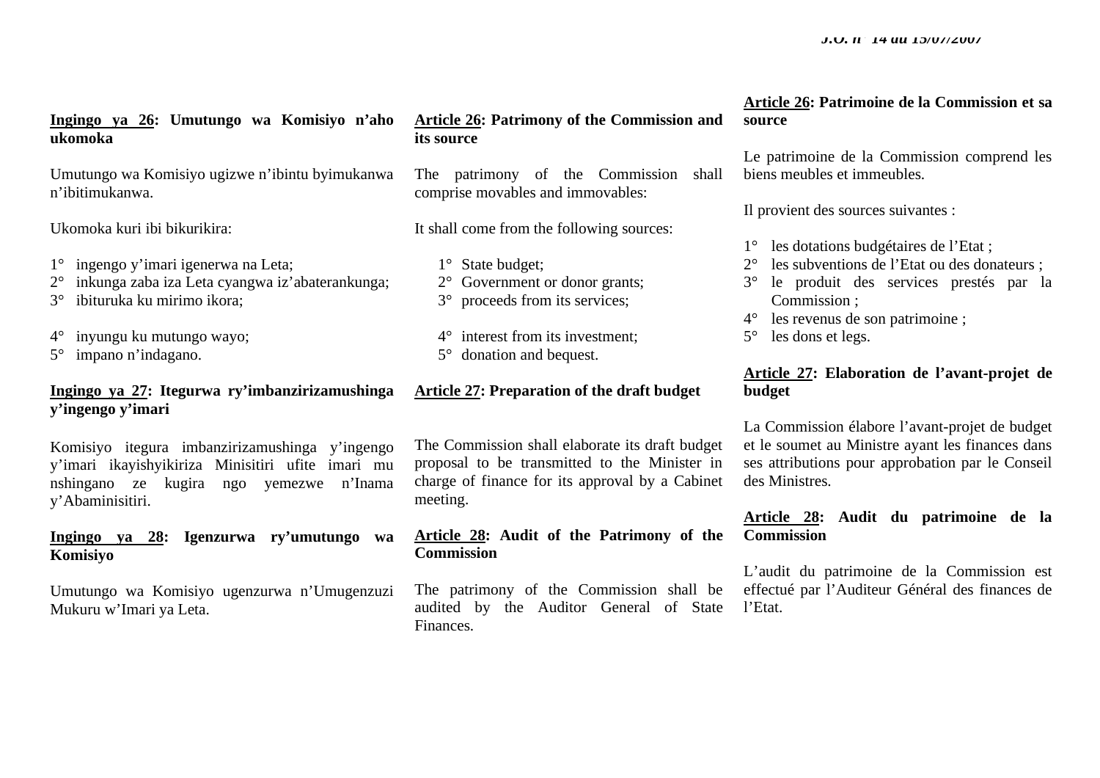# **Ingingo ya 26: Umutungo wa Komisiyo n'aho ukomoka**

Umutungo wa Komisiyo ugizwe n'ibintu byimukanwa <sup>n</sup>'ibitimukanwa.

Ukomoka kuri ibi bikurikira:

- 1° ingengo y'imari igenerwa na Leta;
- 2° inkunga zaba iza Leta cyangwa iz'abaterankunga;
- 3° ibituruka ku mirimo ikora;
- 4° inyungu ku mutungo wayo;
- 5° impano n'indagano.

# **Ingingo ya 27: Itegurwa ry'imbanzirizamushinga y'ingengo y'imari**

Komisiyo itegura imbanzirizamushinga y'ingengo y'imari ikayishyikiriza Minisitiri ufite imari mu nshingano ze kugira ngo yemezwe n'Inama y'Abaminisitiri.

# **Ingingo ya 28: Igenzurwa ry'umutungo wa Komisiyo**

Umutungo wa Komisiyo ugenzurwa n'Umugenzuzi Mukuru w'Imari ya Leta.

# **Article 26: Patrimony of the Commission and its source**

The patrimony of the Commission shall comprise movables and immovables:

It shall come from the following sources:

- 1° State budget;
- 2° Government or donor grants;
- 3° proceeds from its services;
- 4° interest from its investment; 5° donation and bequest.

# **Article 27: Preparation of the draft budget**

The Commission shall elaborate its draft budget proposal to be transmitted to the Minister in charge of finance for its approval by a Cabinet meeting.

# **Article 28: Audit of the Patrimony of the Commission**

The patrimony of the Commission shall be audited by the Auditor General of State Finances.

# **Article 26: Patrimoine de la Commission et sa source**

Le patrimoine de la Commission comprend les biens meubles et immeubles.

Il provient des sources suivantes :

- 1° les dotations budgétaires de l'Etat ;
- 2° les subventions de l'Etat ou des donateurs ;
- 3° le produit des services prestés par la Commission ;
- 4° les revenus de son patrimoine ;
- 5° les dons et legs.

# **Article 27: Elaboration de l'avant-projet de budget**

La Commission élabore l'avant-projet de budget et le soumet au Ministre ayant les finances dans ses attributions pour approbation par le Conseil des Ministres.

# **Article 28: Audit du patrimoine de la Commission**

L'audit du patrimoine de la Commission est effectué par l'Auditeur Général des finances de l'Etat.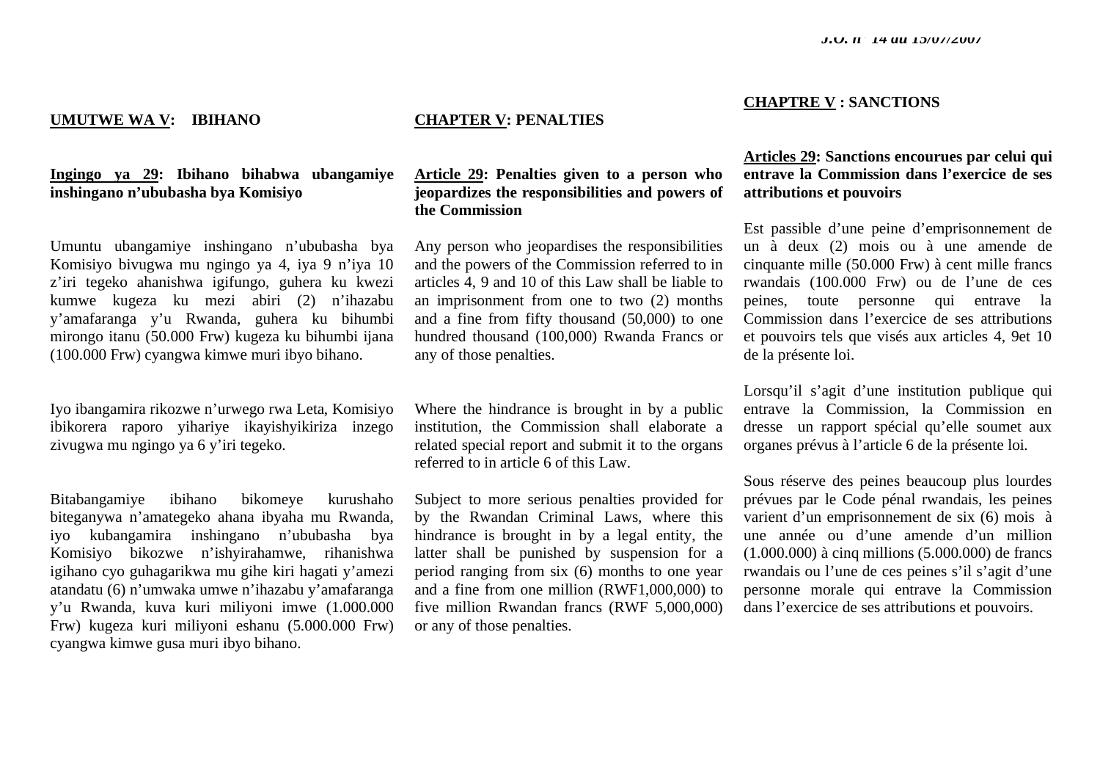#### **UMUTWE WA V: IBIHANO**

# **Ingingo ya 29: Ibihano bihabwa ubangamiye inshingano n'ububasha bya Komisiyo**

Umuntu ubangamiye inshingano n'ububasha bya Komisiyo bivugwa mu ngingo ya 4, iya 9 n'iya 10 <sup>z</sup>'iri tegeko ahanishwa igifungo, guhera ku kwezi kumwe kugeza ku mezi abiri (2) n'ihazabu y'amafaranga y'u Rwanda, guhera ku bihumbi mirongo itanu (50.000 Frw) kugeza ku bihumbi ijana (100.000 Frw) cyangwa kimwe muri ibyo bihano.

Iyo ibangamira rikozwe n'urwego rwa Leta, Komisiyo ibikorera raporo yihariye ikayishyikiriza inzego zivugwa mu ngingo ya 6 y'iri tegeko.

Bitabangamiye ibihano bikomeye kurushaho biteganywa n'amategeko ahana ibyaha mu Rwanda, iyo kubangamira inshingano n'ububasha bya Komisiyo bikozwe n'ishyirahamwe, rihanishwa igihano cyo guhagarikwa mu gihe kiri hagati y'amezi atandatu (6) n'umwaka umwe n'ihazabu y'amafaranga y'u Rwanda, kuva kuri miliyoni imwe (1.000.000 Frw) kugeza kuri miliyoni eshanu (5.000.000 Frw) cyangwa kimwe gusa muri ibyo bihano.

# **CHAPTER V: PENALTIES**

**Article 29: Penalties given to a person who jeopardizes the responsibilities and powers of the Commission** 

Any person who jeopardises the responsibilities and the powers of the Commission referred to in articles 4, 9 and 10 of this Law shall be liable to an imprisonment from one to two (2) months and a fine from fifty thousand (50,000) to one hundred thousand (100,000) Rwanda Francs or any of those penalties.

Where the hindrance is brought in by a public institution, the Commission shall elaborate a related special report and submit it to the organs referred to in article 6 of this Law.

Subject to more serious penalties provided for by the Rwandan Criminal Laws, where this hindrance is brought in by a legal entity, the latter shall be punished by suspension for a period ranging from six (6) months to one year and a fine from one million (RWF1,000,000) to five million Rwandan francs (RWF 5,000,000) or any of those penalties.

#### **CHAPTRE V : SANCTIONS**

# **Articles 29: Sanctions encourues par celui qui entrave la Commission dans l'exercice de ses attributions et pouvoirs**

Est passible d'une peine d'emprisonnement de un à deux (2) mois ou à une amende de cinquante mille (50.000 Frw) à cent mille francs rwandais (100.000 Frw) ou de l'une de ces peines, toute personne qui entrave la Commission dans l'exercice de ses attributions et pouvoirs tels que visés aux articles 4, 9et 10 de la présente loi.

Lorsqu'il s'agit d'une institution publique qui entrave la Commission, la Commission en dresse un rapport spécial qu'elle soumet aux organes prévus à l'article 6 de la présente loi.

Sous réserve des peines beaucoup plus lourdes prévues par le Code pénal rwandais, les peines varient d'un emprisonnement de six (6) mois à une année ou d'une amende d'un million (1.000.000) à cinq millions (5.000.000) de francs rwandais ou l'une de ces peines s'il s'agit d'une personne morale qui entrave la Commission dans l'exercice de ses attributions et pouvoirs.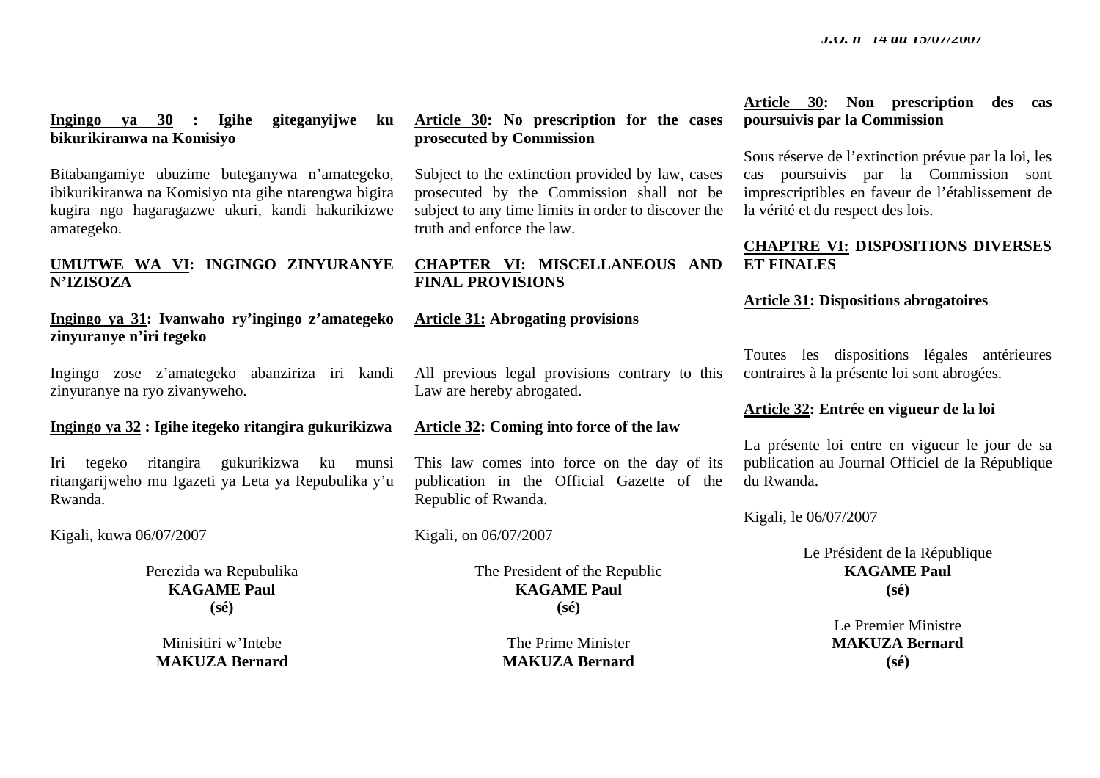# **Ingingo ya 30 : Igihe giteganyijwe ku bikurikiranwa na Komisiyo**

Bitabangamiye ubuzime buteganywa n'amategeko, ibikurikiranwa na Komisiyo nta gihe ntarengwa bigira kugira ngo hagaragazwe ukuri, kandi hakurikizwe amategeko.

# **UMUTWE WA VI: INGINGO ZINYURANYE N'IZISOZA**

# **Ingingo ya 31: Ivanwaho ry'ingingo z'amategeko zinyuranye n'iri tegeko**

Ingingo zose z'amategeko abanziriza iri kandi zinyuranye na ryo zivanyweho.

# **Ingingo ya 32 : Igihe itegeko ritangira gukurikizwa**

Iri tegeko ritangira gukurikizwa ku munsi ritangarijweho mu Igazeti ya Leta ya Repubulika y'u Rwanda.

Kigali, kuwa 06/07/2007

Perezida wa Repubulika **KAGAME Paul (sé)** 

Minisitiri w'Intebe **MAKUZA Bernard** 

# **Article 30: No prescription for the cases prosecuted by Commission**

Subject to the extinction provided by law, cases prosecuted by the Commission shall not be subject to any time limits in order to discover the truth and enforce the law.

# **CHAPTER VI: MISCELLANEOUS AND FINAL PROVISIONS**

# **Article 31: Abrogating provisions**

All previous legal provisions contrary to this Law are hereby abrogated.

# **Article 32: Coming into force of the law**

This law comes into force on the day of its publication in the Official Gazette of the Republic of Rwanda.

Kigali, on 06/07/2007

The President of the Republic **KAGAME Paul (sé)** 

> The Prime Minister **MAKUZA Bernard**

# **Article 30: Non prescription des cas poursuivis par la Commission**

Sous réserve de l'extinction prévue par la loi, les cas poursuivis par la Commission sont imprescriptibles en faveur de l'établissement de la vérité et du respect des lois.

# **CHAPTRE VI: DISPOSITIONS DIVERSES ET FINALES**

# **Article 31: Dispositions abrogatoires**

Toutes les dispositions légales antérieures contraires à la présente loi sont abrogées.

# **Article 32: Entrée en vigueur de la loi**

La présente loi entre en vigueur le jour de sa publication au Journal Officiel de la République du Rwanda.

Kigali, le 06/07/2007

Le Président de la République **KAGAME Paul (sé)** 

> Le Premier Ministre **MAKUZA Bernard (sé)**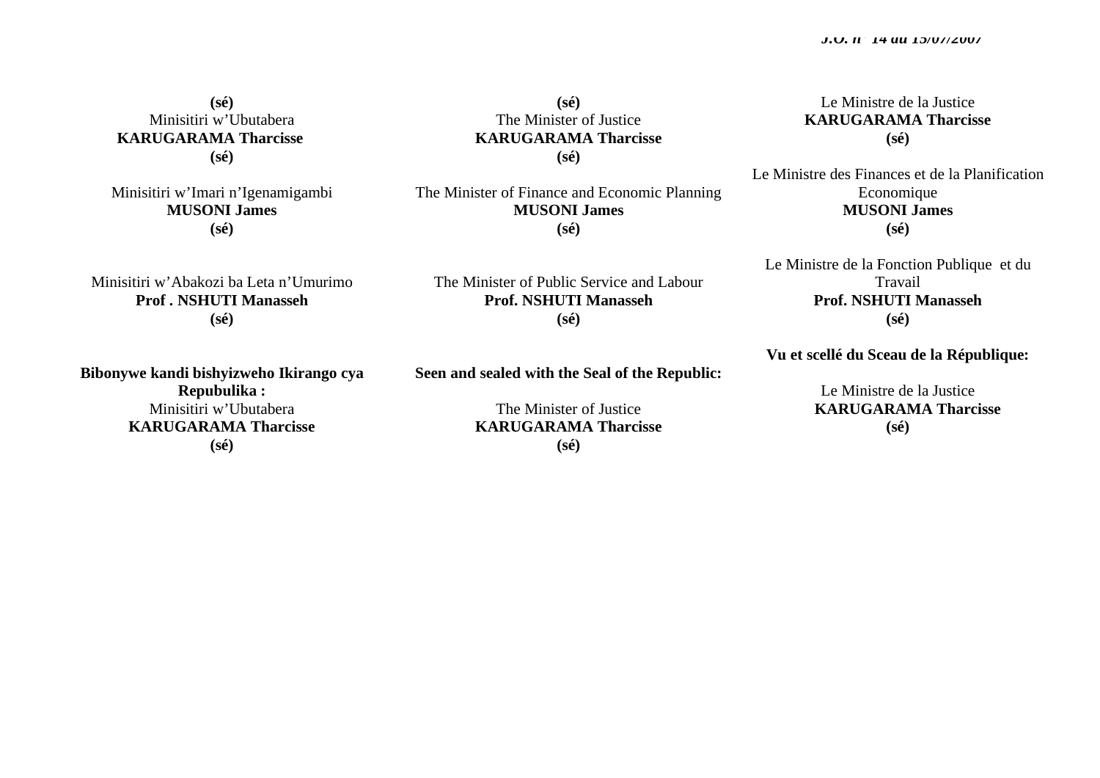**(sé)**  Minisitiri w'Ubutabera  **KARUGARAMA Tharcisse (sé)** 

Minisitiri w'Imari n'Igenamigambi **MUSONI James (sé)** 

Minisitiri w'Abakozi ba Leta n'Umurimo **Prof . NSHUTI Manasseh (sé)** 

**Bibonywe kandi bishyizweho Ikirango cya Repubulika :**  Minisitiri w'Ubutabera **KARUGARAMA Tharcisse (sé)** 

**(sé)**  The Minister of Justice **KARUGARAMA Tharcisse (sé)** 

The Minister of Finance and Economic Planning **MUSONI James (sé)** 

The Minister of Public Service and Labour **Prof. NSHUTI Manasseh (sé)** 

**Seen and sealed with the Seal of the Republic:** 

The Minister of Justice **KARUGARAMA Tharcisse (sé)** 

Le Ministre de la Justice **KARUGARAMA Tharcisse (sé)** 

Le Ministre des Finances et de la Planification Economique **MUSONI James (sé)** 

Le Ministre de la Fonction Publique et du Travail **Prof. NSHUTI Manasseh (sé)** 

**Vu et scellé du Sceau de la République:** 

Le Ministre de la Justice  **KARUGARAMA Tharcisse (sé)**